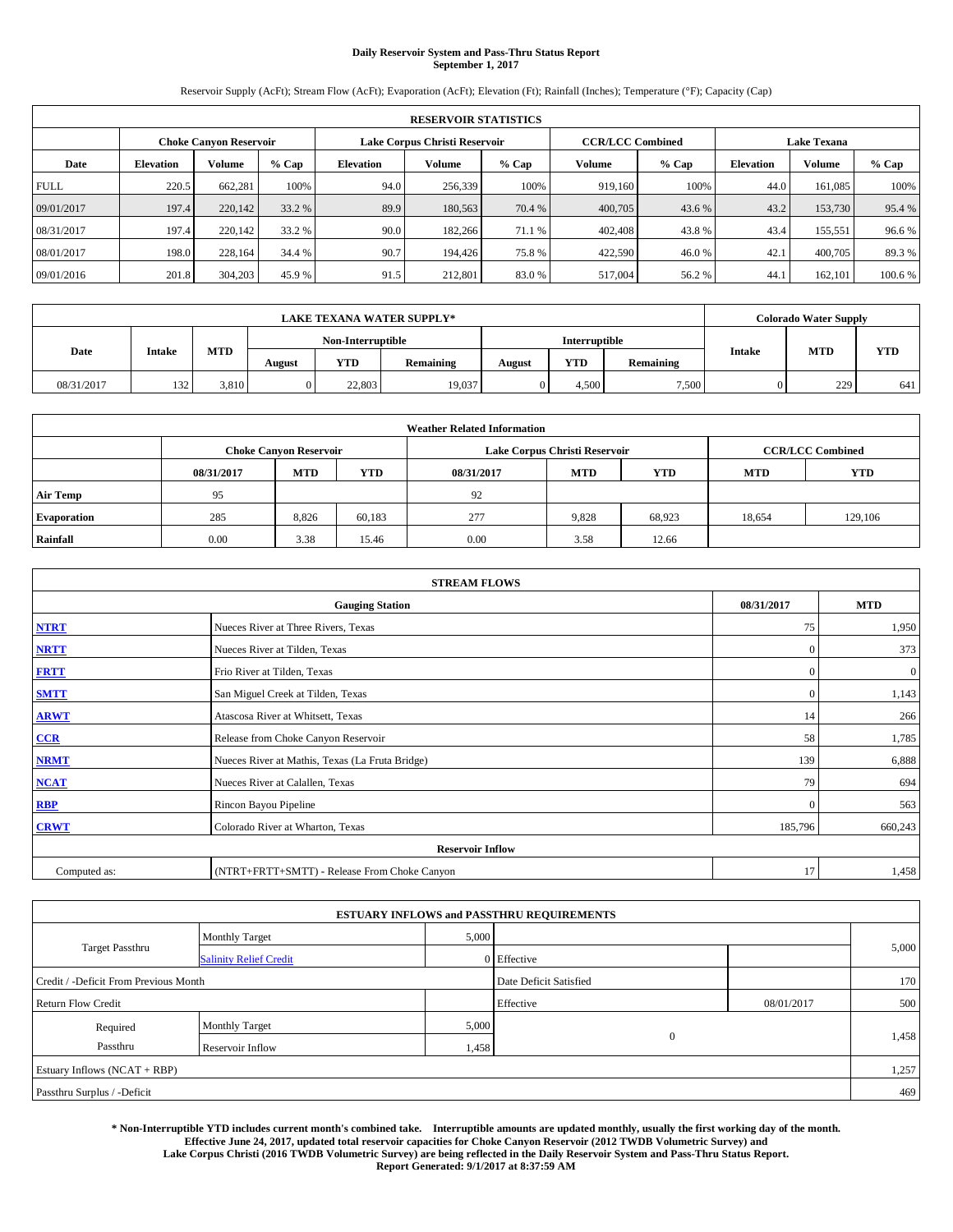# **Daily Reservoir System and Pass-Thru Status Report September 1, 2017**

Reservoir Supply (AcFt); Stream Flow (AcFt); Evaporation (AcFt); Elevation (Ft); Rainfall (Inches); Temperature (°F); Capacity (Cap)

|             | <b>RESERVOIR STATISTICS</b> |         |         |                            |                                                          |         |         |         |                    |               |         |
|-------------|-----------------------------|---------|---------|----------------------------|----------------------------------------------------------|---------|---------|---------|--------------------|---------------|---------|
|             | Choke Canvon Reservoir      |         |         |                            | <b>CCR/LCC Combined</b><br>Lake Corpus Christi Reservoir |         |         |         | <b>Lake Texana</b> |               |         |
| Date        | <b>Elevation</b>            | Volume  | $%$ Cap | Volume<br><b>Elevation</b> |                                                          | $%$ Cap | Volume  | $%$ Cap | <b>Elevation</b>   | <b>Volume</b> | % Cap   |
| <b>FULL</b> | 220.5                       | 662,281 | 100%    | 94.0                       | 256,339                                                  | 100%    | 919.160 | 100%    | 44.0               | 161.085       | 100%    |
| 09/01/2017  | 197.4                       | 220,142 | 33.2 %  | 89.9                       | 180,563                                                  | 70.4 %  | 400,705 | 43.6 %  | 43.2               | 153,730       | 95.4 %  |
| 08/31/2017  | 197.4                       | 220,142 | 33.2 %  | 90.0                       | 182,266                                                  | 71.1 %  | 402,408 | 43.8%   | 43.4               | 155,551       | 96.6%   |
| 08/01/2017  | 198.0                       | 228.164 | 34.4 %  | 90.7                       | 194.426                                                  | 75.8%   | 422,590 | 46.0%   | 42.1               | 400,705       | 89.3%   |
| 09/01/2016  | 201.8                       | 304,203 | 45.9 %  | 91.5                       | 212,801                                                  | 83.0%   | 517,004 | 56.2%   | 44.                | 162,101       | 100.6 % |

|            | <b>LAKE TEXANA WATER SUPPLY*</b> |       |        |                   |           |               |            |           |               | <b>Colorado Water Supply</b> |            |  |
|------------|----------------------------------|-------|--------|-------------------|-----------|---------------|------------|-----------|---------------|------------------------------|------------|--|
|            |                                  |       |        | Non-Interruptible |           | Interruptible |            |           |               |                              |            |  |
| Date       | <b>Intake</b>                    | MTD   | August | YTD               | Remaining | August        | <b>YTD</b> | Remaining | <b>Intake</b> | <b>MTD</b>                   | <b>YTD</b> |  |
| 08/31/2017 | 132                              | 3.810 |        | 22,803            | 19,037    |               | 4.500      | 7,500     |               | 229                          | 641        |  |

| <b>Weather Related Information</b> |                               |            |            |            |                               |                         |        |         |  |  |
|------------------------------------|-------------------------------|------------|------------|------------|-------------------------------|-------------------------|--------|---------|--|--|
|                                    | <b>Choke Canyon Reservoir</b> |            |            |            | Lake Corpus Christi Reservoir | <b>CCR/LCC Combined</b> |        |         |  |  |
|                                    | 08/31/2017                    | <b>MTD</b> | <b>YTD</b> | <b>YTD</b> |                               |                         |        |         |  |  |
| <b>Air Temp</b>                    | 95                            |            |            | 92         |                               |                         |        |         |  |  |
| <b>Evaporation</b>                 | 285                           | 8.826      | 60,183     | 277        | 9,828                         | 68.923                  | 18,654 | 129,106 |  |  |
| Rainfall                           | 0.00                          | 3.38       | 15.46      | 0.00       | 3.58                          | 12.66                   |        |         |  |  |

| <b>STREAM FLOWS</b> |                                                 |              |                  |  |  |  |  |  |  |
|---------------------|-------------------------------------------------|--------------|------------------|--|--|--|--|--|--|
|                     | <b>Gauging Station</b>                          | 08/31/2017   | <b>MTD</b>       |  |  |  |  |  |  |
| <b>NTRT</b>         | Nueces River at Three Rivers, Texas             | 75           | 1,950            |  |  |  |  |  |  |
| <b>NRTT</b>         | Nueces River at Tilden, Texas                   | $\Omega$     | 373              |  |  |  |  |  |  |
| <b>FRTT</b>         | Frio River at Tilden, Texas                     | $\mathbf{0}$ | $\boldsymbol{0}$ |  |  |  |  |  |  |
| <b>SMTT</b>         | San Miguel Creek at Tilden, Texas               | $\mathbf{0}$ | 1,143            |  |  |  |  |  |  |
| <b>ARWT</b>         | Atascosa River at Whitsett, Texas               | 14           | 266              |  |  |  |  |  |  |
| $CCR$               | Release from Choke Canyon Reservoir             | 58           | 1,785            |  |  |  |  |  |  |
| <b>NRMT</b>         | Nueces River at Mathis, Texas (La Fruta Bridge) | 139          | 6,888            |  |  |  |  |  |  |
| <b>NCAT</b>         | Nueces River at Calallen, Texas                 | 79           | 694              |  |  |  |  |  |  |
| <b>RBP</b>          | Rincon Bayou Pipeline                           | $\mathbf{0}$ | 563              |  |  |  |  |  |  |
| <b>CRWT</b>         | Colorado River at Wharton, Texas                | 185,796      | 660,243          |  |  |  |  |  |  |
|                     | <b>Reservoir Inflow</b>                         |              |                  |  |  |  |  |  |  |
| Computed as:        | (NTRT+FRTT+SMTT) - Release From Choke Canyon    |              |                  |  |  |  |  |  |  |

|                                       |                               |       | <b>ESTUARY INFLOWS and PASSTHRU REQUIREMENTS</b> |            |       |
|---------------------------------------|-------------------------------|-------|--------------------------------------------------|------------|-------|
|                                       | <b>Monthly Target</b>         | 5,000 |                                                  |            |       |
| <b>Target Passthru</b>                | <b>Salinity Relief Credit</b> |       | $0$ Effective                                    |            | 5,000 |
| Credit / -Deficit From Previous Month |                               |       | Date Deficit Satisfied                           |            | 170   |
| <b>Return Flow Credit</b>             |                               |       | Effective                                        | 08/01/2017 | 500   |
| Required                              | <b>Monthly Target</b>         | 5,000 |                                                  |            |       |
| Passthru<br>Reservoir Inflow          |                               | 1,458 | $\theta$                                         |            | 1,458 |
| Estuary Inflows (NCAT + RBP)          |                               |       |                                                  |            | 1,257 |
| Passthru Surplus / -Deficit           |                               |       |                                                  |            | 469   |

**\* Non-Interruptible YTD includes current month's combined take. Interruptible amounts are updated monthly, usually the first working day of the month. Effective June 24, 2017, updated total reservoir capacities for Choke Canyon Reservoir (2012 TWDB Volumetric Survey) and Lake Corpus Christi (2016 TWDB Volumetric Survey) are being reflected in the Daily Reservoir System and Pass-Thru Status Report. Report Generated: 9/1/2017 at 8:37:59 AM**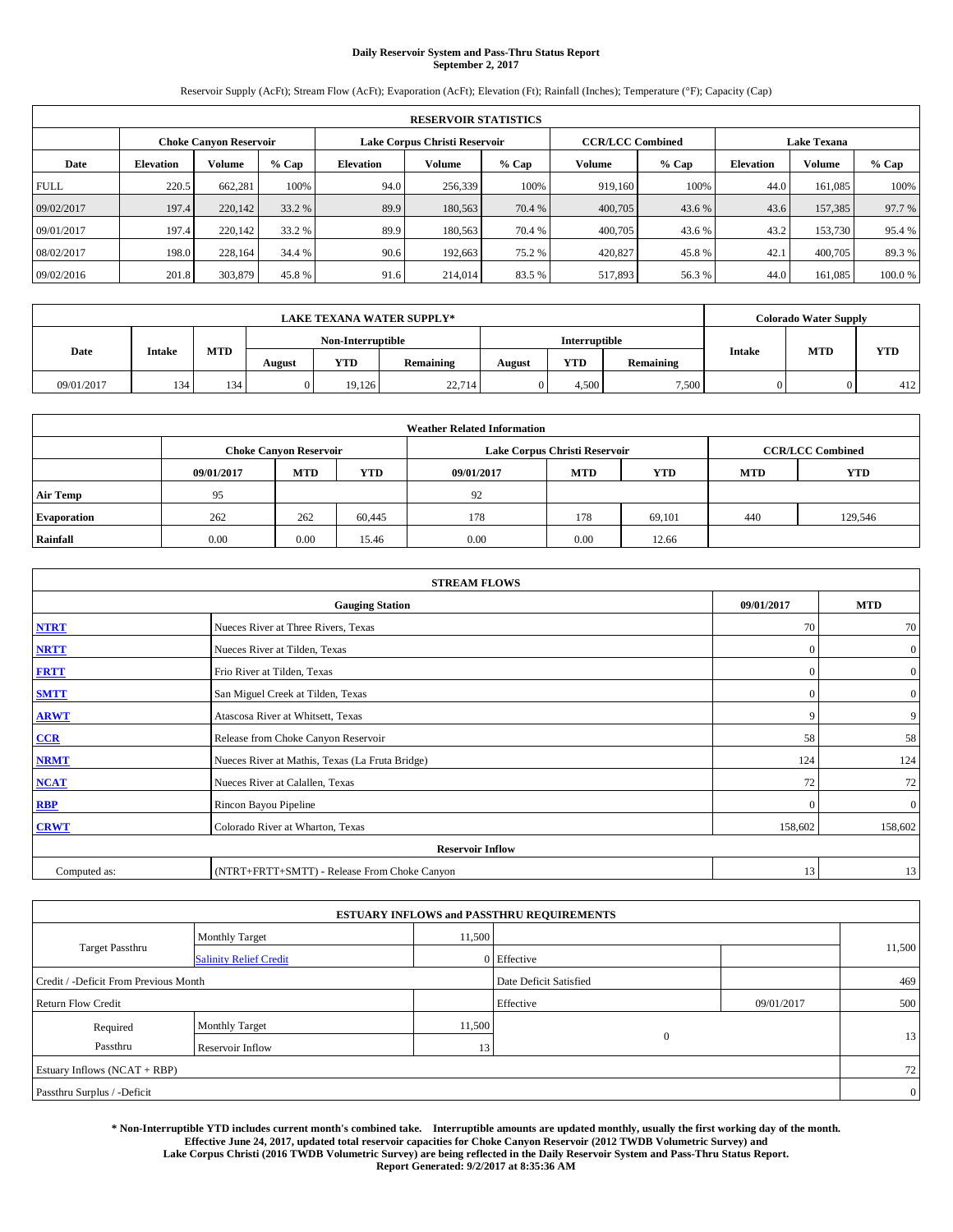# **Daily Reservoir System and Pass-Thru Status Report September 2, 2017**

Reservoir Supply (AcFt); Stream Flow (AcFt); Evaporation (AcFt); Elevation (Ft); Rainfall (Inches); Temperature (°F); Capacity (Cap)

|             | <b>RESERVOIR STATISTICS</b> |         |         |                                                          |                                        |        |                  |               |                    |         |        |
|-------------|-----------------------------|---------|---------|----------------------------------------------------------|----------------------------------------|--------|------------------|---------------|--------------------|---------|--------|
|             | Choke Canvon Reservoir      |         |         | <b>CCR/LCC Combined</b><br>Lake Corpus Christi Reservoir |                                        |        |                  |               | <b>Lake Texana</b> |         |        |
| Date        | <b>Elevation</b>            | Volume  | $%$ Cap | <b>Elevation</b>                                         | Volume<br>Volume<br>$%$ Cap<br>$%$ Cap |        | <b>Elevation</b> | <b>Volume</b> | % Cap              |         |        |
| <b>FULL</b> | 220.5                       | 662,281 | 100%    | 94.0                                                     | 256,339                                | 100%   | 919.160          | 100%          | 44.0               | 161.085 | 100%   |
| 09/02/2017  | 197.4                       | 220,142 | 33.2 %  | 89.9                                                     | 180,563                                | 70.4 % | 400,705          | 43.6 %        | 43.6               | 157,385 | 97.7 % |
| 09/01/2017  | 197.4                       | 220,142 | 33.2 %  | 89.9                                                     | 180,563                                | 70.4 % | 400,705          | 43.6 %        | 43.2               | 153,730 | 95.4 % |
| 08/02/2017  | 198.0                       | 228.164 | 34.4 %  | 90.6                                                     | 192.663                                | 75.2 % | 420,827          | 45.8%         | 42.1               | 400,705 | 89.3%  |
| 09/02/2016  | 201.8                       | 303,879 | 45.8%   | 91.6                                                     | 214,014                                | 83.5 % | 517,893          | 56.3%         | 44.0               | 161.085 | 100.0% |

|            | <b>LAKE TEXANA WATER SUPPLY*</b> |     |        |                   |           |        |                      |           |               | <b>Colorado Water Supply</b> |            |  |
|------------|----------------------------------|-----|--------|-------------------|-----------|--------|----------------------|-----------|---------------|------------------------------|------------|--|
|            |                                  |     |        | Non-Interruptible |           |        | <b>Interruptible</b> |           |               |                              |            |  |
| Date       | <b>Intake</b>                    | MTD | August | YTD               | Remaining | August | <b>YTD</b>           | Remaining | <b>Intake</b> | <b>MTD</b>                   | <b>YTD</b> |  |
| 09/01/2017 | 134                              | 134 |        | 19.126            | 22,714    |        | 4.500                | 7,500     |               |                              | 412        |  |

| <b>Weather Related Information</b> |                               |            |            |            |                               |                         |                          |         |  |  |  |
|------------------------------------|-------------------------------|------------|------------|------------|-------------------------------|-------------------------|--------------------------|---------|--|--|--|
|                                    | <b>Choke Canyon Reservoir</b> |            |            |            | Lake Corpus Christi Reservoir | <b>CCR/LCC Combined</b> |                          |         |  |  |  |
|                                    | 09/01/2017                    | <b>MTD</b> | <b>YTD</b> | 09/01/2017 | <b>MTD</b>                    | YTD.                    | <b>YTD</b><br><b>MTD</b> |         |  |  |  |
| <b>Air Temp</b>                    | 95                            |            |            | 92         |                               |                         |                          |         |  |  |  |
| <b>Evaporation</b>                 | 262                           | 262        | 60,445     | 178        | 178                           | 69,101                  | 440                      | 129.546 |  |  |  |
| Rainfall                           | 0.00                          | 0.00       | 15.46      | 0.00       | 0.00                          | 12.66                   |                          |         |  |  |  |

| <b>STREAM FLOWS</b> |                                                 |              |                  |  |  |  |  |  |  |
|---------------------|-------------------------------------------------|--------------|------------------|--|--|--|--|--|--|
|                     | <b>Gauging Station</b>                          | 09/01/2017   | <b>MTD</b>       |  |  |  |  |  |  |
| <b>NTRT</b>         | Nueces River at Three Rivers, Texas             | 70           | 70               |  |  |  |  |  |  |
| <b>NRTT</b>         | Nueces River at Tilden, Texas                   | $\mathbf{0}$ | $\boldsymbol{0}$ |  |  |  |  |  |  |
| <b>FRTT</b>         | Frio River at Tilden, Texas                     | $\mathbf{0}$ | $\boldsymbol{0}$ |  |  |  |  |  |  |
| <b>SMTT</b>         | San Miguel Creek at Tilden, Texas               | $\mathbf{0}$ | $\overline{0}$   |  |  |  |  |  |  |
| <b>ARWT</b>         | Atascosa River at Whitsett, Texas               | 9            | 9                |  |  |  |  |  |  |
| $CCR$               | Release from Choke Canyon Reservoir             | 58           | 58               |  |  |  |  |  |  |
| <b>NRMT</b>         | Nueces River at Mathis, Texas (La Fruta Bridge) | 124          | 124              |  |  |  |  |  |  |
| <b>NCAT</b>         | Nueces River at Calallen, Texas                 | 72           | 72               |  |  |  |  |  |  |
| RBP                 | Rincon Bayou Pipeline                           | $\Omega$     | $\mathbf{0}$     |  |  |  |  |  |  |
| <b>CRWT</b>         | Colorado River at Wharton, Texas                | 158,602      | 158,602          |  |  |  |  |  |  |
|                     | <b>Reservoir Inflow</b>                         |              |                  |  |  |  |  |  |  |
| Computed as:        | (NTRT+FRTT+SMTT) - Release From Choke Canyon    | 13           | 13               |  |  |  |  |  |  |

|                                       |                               |        | <b>ESTUARY INFLOWS and PASSTHRU REQUIREMENTS</b> |              |        |  |  |
|---------------------------------------|-------------------------------|--------|--------------------------------------------------|--------------|--------|--|--|
|                                       | <b>Monthly Target</b>         | 11,500 |                                                  |              |        |  |  |
| Target Passthru                       | <b>Salinity Relief Credit</b> |        | 0 Effective                                      |              | 11,500 |  |  |
| Credit / -Deficit From Previous Month |                               |        | Date Deficit Satisfied                           | 469          |        |  |  |
| <b>Return Flow Credit</b>             |                               |        | Effective                                        | 09/01/2017   | 500    |  |  |
| Required                              | <b>Monthly Target</b>         | 11,500 |                                                  | $\mathbf{0}$ |        |  |  |
| Passthru                              | Reservoir Inflow              | 13     |                                                  | 13           |        |  |  |
| Estuary Inflows (NCAT + RBP)          |                               |        |                                                  |              | 72     |  |  |
| Passthru Surplus / -Deficit           |                               |        |                                                  |              |        |  |  |

**\* Non-Interruptible YTD includes current month's combined take. Interruptible amounts are updated monthly, usually the first working day of the month. Effective June 24, 2017, updated total reservoir capacities for Choke Canyon Reservoir (2012 TWDB Volumetric Survey) and Lake Corpus Christi (2016 TWDB Volumetric Survey) are being reflected in the Daily Reservoir System and Pass-Thru Status Report. Report Generated: 9/2/2017 at 8:35:36 AM**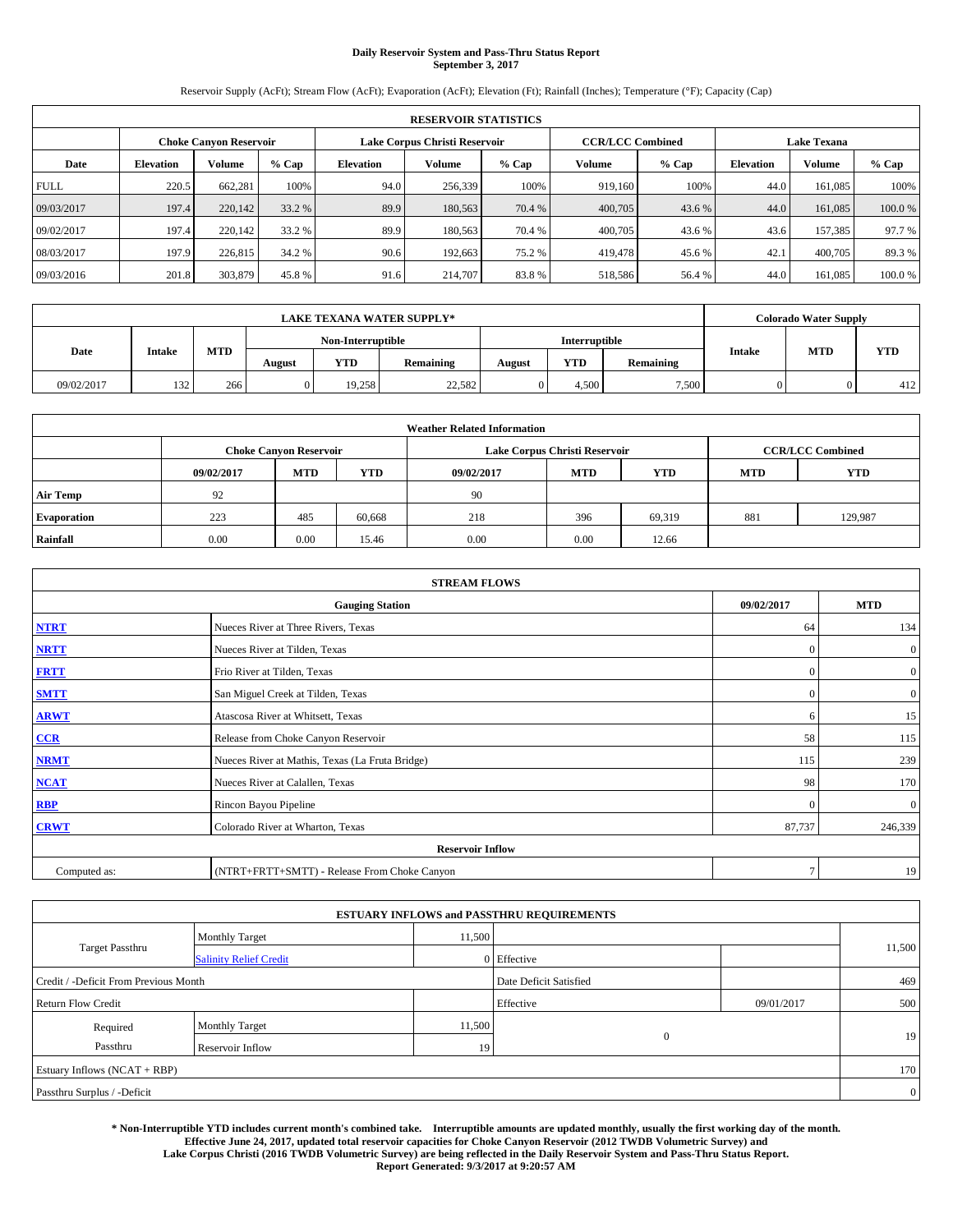# **Daily Reservoir System and Pass-Thru Status Report September 3, 2017**

Reservoir Supply (AcFt); Stream Flow (AcFt); Evaporation (AcFt); Elevation (Ft); Rainfall (Inches); Temperature (°F); Capacity (Cap)

|             | <b>RESERVOIR STATISTICS</b> |         |         |                  |                                        |        |                         |               |                    |         |        |
|-------------|-----------------------------|---------|---------|------------------|----------------------------------------|--------|-------------------------|---------------|--------------------|---------|--------|
|             | Choke Canvon Reservoir      |         |         |                  | Lake Corpus Christi Reservoir          |        | <b>CCR/LCC Combined</b> |               | <b>Lake Texana</b> |         |        |
| Date        | <b>Elevation</b>            | Volume  | $%$ Cap | <b>Elevation</b> | Volume<br>Volume<br>$%$ Cap<br>$%$ Cap |        | <b>Elevation</b>        | <b>Volume</b> | % Cap              |         |        |
| <b>FULL</b> | 220.5                       | 662,281 | 100%    | 94.0             | 256,339                                | 100%   | 919.160                 | 100%          | 44.0               | 161.085 | 100%   |
| 09/03/2017  | 197.4                       | 220,142 | 33.2 %  | 89.9             | 180,563                                | 70.4 % | 400,705                 | 43.6 %        | 44.0               | 161,085 | 100.0% |
| 09/02/2017  | 197.4                       | 220,142 | 33.2 %  | 89.9             | 180,563                                | 70.4 % | 400,705                 | 43.6 %        | 43.6               | 157,385 | 97.7 % |
| 08/03/2017  | 197.9                       | 226,815 | 34.2 %  | 90.6             | 192.663                                | 75.2 % | 419,478                 | 45.6 %        | 42.1               | 400,705 | 89.3%  |
| 09/03/2016  | 201.8                       | 303,879 | 45.8%   | 91.6             | 214,707                                | 83.8%  | 518,586                 | 56.4 %        | 44.0               | 161.085 | 100.0% |

|            | <b>LAKE TEXANA WATER SUPPLY*</b> |            |        |                   |           |        |               |           |               | <b>Colorado Water Supply</b> |            |
|------------|----------------------------------|------------|--------|-------------------|-----------|--------|---------------|-----------|---------------|------------------------------|------------|
| Date       |                                  |            |        | Non-Interruptible |           |        | Interruptible |           |               |                              |            |
|            | <b>Intake</b>                    | <b>MTD</b> | August | <b>YTD</b>        | Remaining | August | <b>YTD</b>    | Remaining | <b>Intake</b> | <b>MTD</b>                   | <b>YTD</b> |
| 09/02/2017 | 132                              | 266        |        | 19.258            | 22,582    |        | 4.500         | 7.500     |               |                              | 412        |

| <b>Weather Related Information</b> |            |                               |            |            |                                                |                         |     |         |  |  |  |
|------------------------------------|------------|-------------------------------|------------|------------|------------------------------------------------|-------------------------|-----|---------|--|--|--|
|                                    |            | <b>Choke Canyon Reservoir</b> |            |            | Lake Corpus Christi Reservoir                  | <b>CCR/LCC Combined</b> |     |         |  |  |  |
|                                    | 09/02/2017 | <b>MTD</b>                    | <b>YTD</b> | 09/02/2017 | <b>YTD</b><br><b>MTD</b><br>YTD.<br><b>MTD</b> |                         |     |         |  |  |  |
| <b>Air Temp</b>                    | 92         |                               |            | 90         |                                                |                         |     |         |  |  |  |
| <b>Evaporation</b>                 | 223        | 485                           | 60.668     | 218        | 396                                            | 69,319                  | 881 | 129,987 |  |  |  |
| Rainfall                           | 0.00       | 0.00                          | 15.46      | 0.00       | 0.00                                           | 12.66                   |     |         |  |  |  |

| <b>STREAM FLOWS</b> |                                                 |              |                  |  |  |  |  |  |
|---------------------|-------------------------------------------------|--------------|------------------|--|--|--|--|--|
|                     | 09/02/2017                                      | <b>MTD</b>   |                  |  |  |  |  |  |
| <b>NTRT</b>         | Nueces River at Three Rivers, Texas             | 64           | 134              |  |  |  |  |  |
| <b>NRTT</b>         | Nueces River at Tilden, Texas                   | $\mathbf{0}$ | $\boldsymbol{0}$ |  |  |  |  |  |
| <b>FRTT</b>         | Frio River at Tilden, Texas                     | $\mathbf{0}$ | $\boldsymbol{0}$ |  |  |  |  |  |
| <b>SMTT</b>         | San Miguel Creek at Tilden, Texas               | $\mathbf{0}$ | $\overline{0}$   |  |  |  |  |  |
| <b>ARWT</b>         | Atascosa River at Whitsett, Texas               | 6            | 15               |  |  |  |  |  |
| $CCR$               | Release from Choke Canyon Reservoir             | 58           | 115              |  |  |  |  |  |
| <b>NRMT</b>         | Nueces River at Mathis, Texas (La Fruta Bridge) | 115          | 239              |  |  |  |  |  |
| <b>NCAT</b>         | Nueces River at Calallen, Texas                 | 98           | 170              |  |  |  |  |  |
| RBP                 | Rincon Bayou Pipeline                           | $\Omega$     | $\mathbf{0}$     |  |  |  |  |  |
| <b>CRWT</b>         | Colorado River at Wharton, Texas                | 87,737       | 246,339          |  |  |  |  |  |
|                     |                                                 |              |                  |  |  |  |  |  |
| Computed as:        | $\mathcal{I}$                                   | 19           |                  |  |  |  |  |  |

|                                       |                               |        | <b>ESTUARY INFLOWS and PASSTHRU REQUIREMENTS</b> |            |                 |
|---------------------------------------|-------------------------------|--------|--------------------------------------------------|------------|-----------------|
|                                       | <b>Monthly Target</b>         | 11,500 |                                                  |            |                 |
| <b>Target Passthru</b>                | <b>Salinity Relief Credit</b> |        | 0 Effective                                      |            | 11,500          |
| Credit / -Deficit From Previous Month |                               |        | Date Deficit Satisfied                           |            | 469             |
| <b>Return Flow Credit</b>             |                               |        | Effective                                        | 09/01/2017 | 500             |
| Required                              | <b>Monthly Target</b>         | 11,500 |                                                  |            |                 |
| Passthru                              | <b>Reservoir Inflow</b>       | 19     | $\mathbf{0}$                                     |            | 19 <sub>1</sub> |
| Estuary Inflows $(NCAT + RBP)$        |                               |        |                                                  |            | 170             |
| Passthru Surplus / -Deficit           |                               |        |                                                  |            | $\overline{0}$  |

**\* Non-Interruptible YTD includes current month's combined take. Interruptible amounts are updated monthly, usually the first working day of the month. Effective June 24, 2017, updated total reservoir capacities for Choke Canyon Reservoir (2012 TWDB Volumetric Survey) and Lake Corpus Christi (2016 TWDB Volumetric Survey) are being reflected in the Daily Reservoir System and Pass-Thru Status Report. Report Generated: 9/3/2017 at 9:20:57 AM**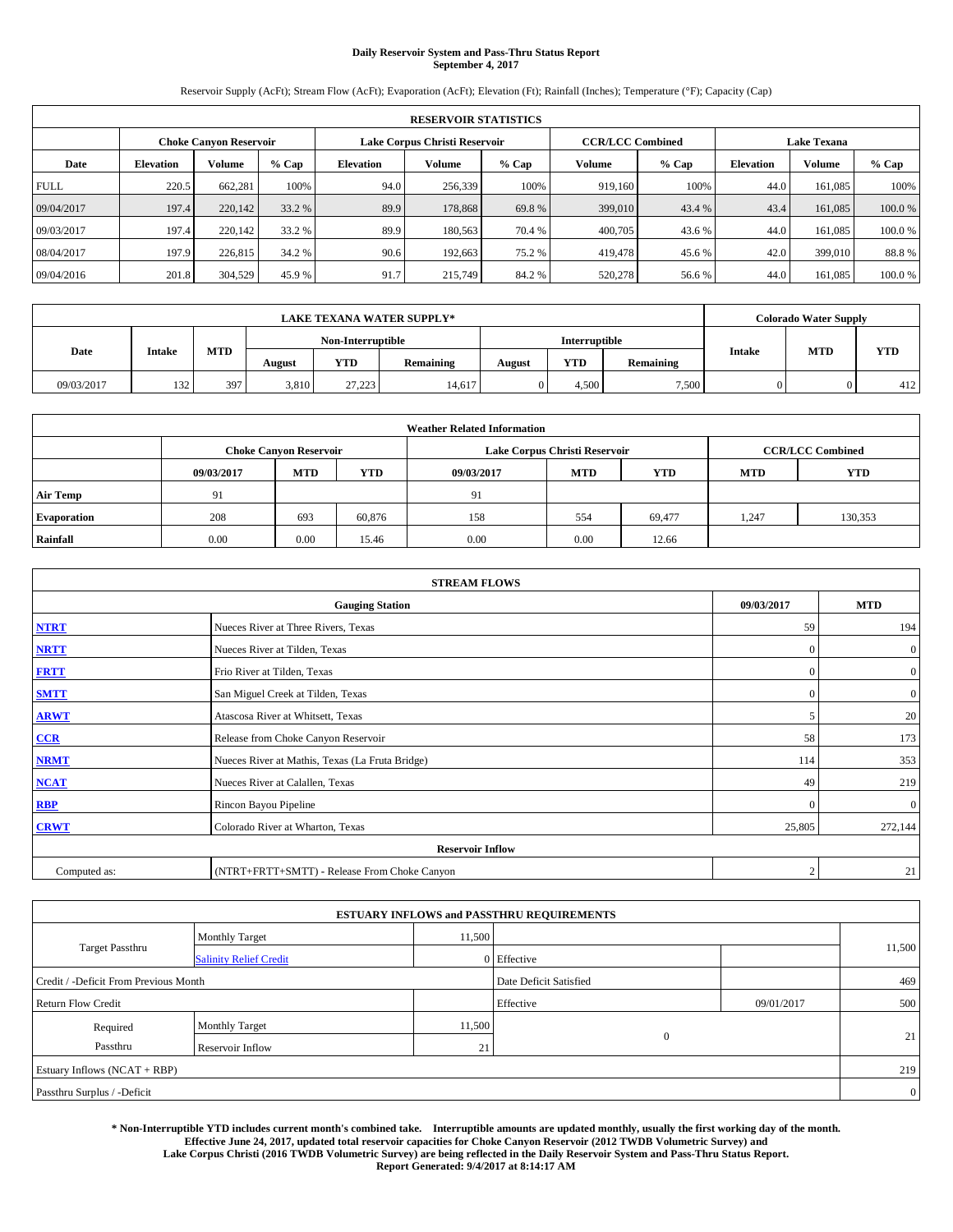# **Daily Reservoir System and Pass-Thru Status Report September 4, 2017**

Reservoir Supply (AcFt); Stream Flow (AcFt); Evaporation (AcFt); Elevation (Ft); Rainfall (Inches); Temperature (°F); Capacity (Cap)

|             | <b>RESERVOIR STATISTICS</b> |                        |         |                  |                               |         |                         |         |                  |                    |        |  |
|-------------|-----------------------------|------------------------|---------|------------------|-------------------------------|---------|-------------------------|---------|------------------|--------------------|--------|--|
|             |                             | Choke Canvon Reservoir |         |                  | Lake Corpus Christi Reservoir |         | <b>CCR/LCC Combined</b> |         |                  | <b>Lake Texana</b> |        |  |
| Date        | <b>Elevation</b>            | Volume                 | $%$ Cap | <b>Elevation</b> | Volume                        | $%$ Cap | Volume                  | $%$ Cap | <b>Elevation</b> | <b>Volume</b>      | % Cap  |  |
| <b>FULL</b> | 220.5                       | 662,281                | 100%    | 94.0             | 256,339                       | 100%    | 919.160                 | 100%    | 44.0             | 161.085            | 100%   |  |
| 09/04/2017  | 197.4                       | 220,142                | 33.2 %  | 89.9             | 178,868                       | 69.8%   | 399,010                 | 43.4 %  | 43.4             | 161,085            | 100.0% |  |
| 09/03/2017  | 197.4                       | 220,142                | 33.2 %  | 89.9             | 180,563                       | 70.4 %  | 400,705                 | 43.6 %  | 44.0             | 161.085            | 100.0% |  |
| 08/04/2017  | 197.9                       | 226,815                | 34.2 %  | 90.6             | 192.663                       | 75.2 %  | 419,478                 | 45.6 %  | 42.0             | 399,010            | 88.8%  |  |
| 09/04/2016  | 201.8                       | 304,529                | 45.9 %  | 91.7             | 215,749                       | 84.2%   | 520,278                 | 56.6%   | 44.0             | 161.085            | 100.0% |  |

| <b>LAKE TEXANA WATER SUPPLY*</b> |               |     |        |                   |           |        |               |           |               | <b>Colorado Water Supply</b> |            |
|----------------------------------|---------------|-----|--------|-------------------|-----------|--------|---------------|-----------|---------------|------------------------------|------------|
|                                  |               |     |        | Non-Interruptible |           |        | Interruptible |           |               |                              |            |
| Date                             | <b>Intake</b> | MTD | August | YTD               | Remaining | August | <b>YTD</b>    | Remaining | <b>Intake</b> | <b>MTD</b>                   | <b>YTD</b> |
| 09/03/2017                       | 132           | 397 | 3,810  | 27.223            | 14.617    |        | 4.500         | 7,500     |               |                              | 412        |

| <b>Weather Related Information</b> |            |                               |            |            |                                                      |                         |       |         |  |  |
|------------------------------------|------------|-------------------------------|------------|------------|------------------------------------------------------|-------------------------|-------|---------|--|--|
|                                    |            | <b>Choke Canyon Reservoir</b> |            |            | Lake Corpus Christi Reservoir                        | <b>CCR/LCC Combined</b> |       |         |  |  |
|                                    | 09/03/2017 | <b>MTD</b>                    | <b>YTD</b> | 09/03/2017 | <b>YTD</b><br><b>MTD</b><br><b>YTD</b><br><b>MTD</b> |                         |       |         |  |  |
| <b>Air Temp</b>                    | 91         |                               |            | 91         |                                                      |                         |       |         |  |  |
| <b>Evaporation</b>                 | 208        | 693                           | 60,876     | 158        | 554                                                  | 69,477                  | 1.247 | 130,353 |  |  |
| Rainfall                           | 0.00       | 0.00                          | 15.46      | 0.00       | 0.00                                                 | 12.66                   |       |         |  |  |

| <b>STREAM FLOWS</b> |                                                 |                |                  |  |  |  |  |  |
|---------------------|-------------------------------------------------|----------------|------------------|--|--|--|--|--|
|                     | 09/03/2017                                      | <b>MTD</b>     |                  |  |  |  |  |  |
| <b>NTRT</b>         | Nueces River at Three Rivers, Texas             | 59             | 194              |  |  |  |  |  |
| <b>NRTT</b>         | Nueces River at Tilden, Texas                   | $\mathbf{0}$   | $\boldsymbol{0}$ |  |  |  |  |  |
| <b>FRTT</b>         | Frio River at Tilden, Texas                     | $\mathbf{0}$   | $\boldsymbol{0}$ |  |  |  |  |  |
| <b>SMTT</b>         | San Miguel Creek at Tilden, Texas               | $\mathbf{0}$   | $\overline{0}$   |  |  |  |  |  |
| <b>ARWT</b>         | Atascosa River at Whitsett, Texas               | 5              | 20               |  |  |  |  |  |
| $CCR$               | Release from Choke Canyon Reservoir             | 58             | 173              |  |  |  |  |  |
| <b>NRMT</b>         | Nueces River at Mathis, Texas (La Fruta Bridge) | 114            | 353              |  |  |  |  |  |
| <b>NCAT</b>         | Nueces River at Calallen, Texas                 | 49             | 219              |  |  |  |  |  |
| RBP                 | Rincon Bayou Pipeline                           | $\Omega$       | $\mathbf{0}$     |  |  |  |  |  |
| <b>CRWT</b>         | Colorado River at Wharton, Texas                | 25,805         | 272,144          |  |  |  |  |  |
|                     | <b>Reservoir Inflow</b>                         |                |                  |  |  |  |  |  |
| Computed as:        | (NTRT+FRTT+SMTT) - Release From Choke Canyon    | $\overline{2}$ | 21               |  |  |  |  |  |

|                                       |                               |        | <b>ESTUARY INFLOWS and PASSTHRU REQUIREMENTS</b> |            |                |
|---------------------------------------|-------------------------------|--------|--------------------------------------------------|------------|----------------|
|                                       | <b>Monthly Target</b>         | 11,500 |                                                  |            |                |
| <b>Target Passthru</b>                | <b>Salinity Relief Credit</b> |        | 0 Effective                                      |            | 11,500         |
| Credit / -Deficit From Previous Month |                               |        | Date Deficit Satisfied                           |            | 469            |
| <b>Return Flow Credit</b>             |                               |        | Effective                                        | 09/01/2017 | 500            |
| Required                              | <b>Monthly Target</b>         | 11,500 |                                                  |            |                |
| Passthru                              | Reservoir Inflow              | 21     | $\mathbf{0}$                                     |            | 21             |
| Estuary Inflows (NCAT + RBP)          |                               |        |                                                  |            | 219            |
| Passthru Surplus / -Deficit           |                               |        |                                                  |            | $\overline{0}$ |

**\* Non-Interruptible YTD includes current month's combined take. Interruptible amounts are updated monthly, usually the first working day of the month. Effective June 24, 2017, updated total reservoir capacities for Choke Canyon Reservoir (2012 TWDB Volumetric Survey) and Lake Corpus Christi (2016 TWDB Volumetric Survey) are being reflected in the Daily Reservoir System and Pass-Thru Status Report. Report Generated: 9/4/2017 at 8:14:17 AM**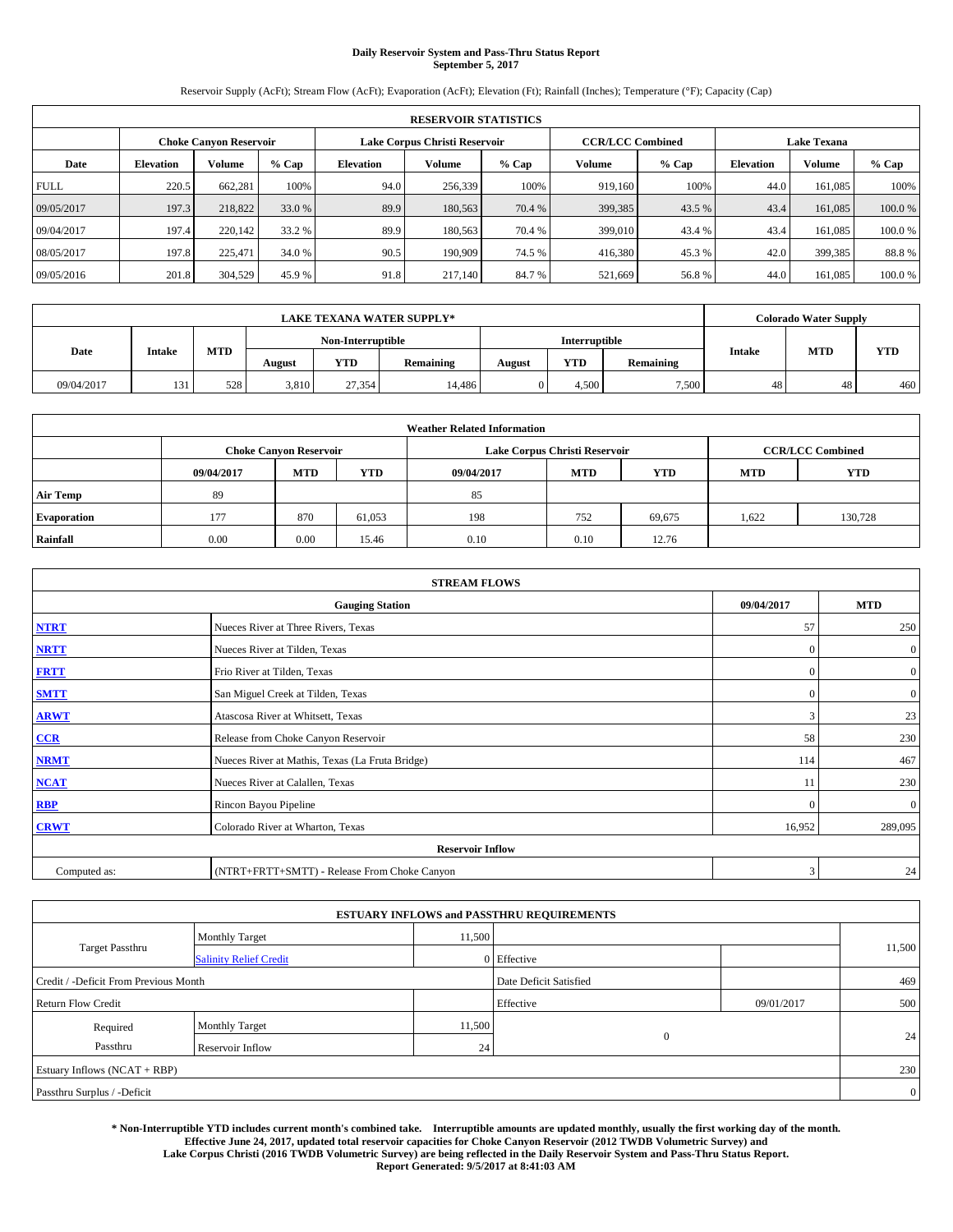# **Daily Reservoir System and Pass-Thru Status Report September 5, 2017**

Reservoir Supply (AcFt); Stream Flow (AcFt); Evaporation (AcFt); Elevation (Ft); Rainfall (Inches); Temperature (°F); Capacity (Cap)

|             | <b>RESERVOIR STATISTICS</b> |                        |         |                  |                               |         |                         |         |                  |                    |        |  |
|-------------|-----------------------------|------------------------|---------|------------------|-------------------------------|---------|-------------------------|---------|------------------|--------------------|--------|--|
|             |                             | Choke Canvon Reservoir |         |                  | Lake Corpus Christi Reservoir |         | <b>CCR/LCC Combined</b> |         |                  | <b>Lake Texana</b> |        |  |
| Date        | <b>Elevation</b>            | Volume                 | $%$ Cap | <b>Elevation</b> | Volume                        | $%$ Cap | Volume                  | $%$ Cap | <b>Elevation</b> | <b>Volume</b>      | % Cap  |  |
| <b>FULL</b> | 220.5                       | 662,281                | 100%    | 94.0             | 256,339                       | 100%    | 919.160                 | 100%    | 44.0             | 161.085            | 100%   |  |
| 09/05/2017  | 197.3                       | 218,822                | 33.0 %  | 89.9             | 180,563                       | 70.4 %  | 399,385                 | 43.5 %  | 43.4             | 161,085            | 100.0% |  |
| 09/04/2017  | 197.4                       | 220,142                | 33.2 %  | 89.9             | 180,563                       | 70.4 %  | 399,010                 | 43.4 %  | 43.4             | 161.085            | 100.0% |  |
| 08/05/2017  | 197.8                       | 225,471                | 34.0 %  | 90.5             | 190,909                       | 74.5 %  | 416,380                 | 45.3 %  | 42.0             | 399.385            | 88.8%  |  |
| 09/05/2016  | 201.8                       | 304,529                | 45.9 %  | 91.8             | 217,140                       | 84.7%   | 521,669                 | 56.8%   | 44.0             | 161.085            | 100.0% |  |

| <b>LAKE TEXANA WATER SUPPLY*</b> |               |     |        |                   |           |        |                      |           |               | <b>Colorado Water Supply</b> |            |
|----------------------------------|---------------|-----|--------|-------------------|-----------|--------|----------------------|-----------|---------------|------------------------------|------------|
|                                  |               |     |        | Non-Interruptible |           |        | <b>Interruptible</b> |           |               |                              |            |
| Date                             | <b>Intake</b> | MTD | August | YTD               | Remaining | August | <b>YTD</b>           | Remaining | <b>Intake</b> | <b>MTD</b>                   | <b>YTD</b> |
| 09/04/2017                       | 131           | 528 | 3,810  | 27.354            | 14.486    |        | 4.500                | 7,500     | 48            | 48                           | 460        |

| <b>Weather Related Information</b> |            |                               |            |            |                               |                         |            |         |  |
|------------------------------------|------------|-------------------------------|------------|------------|-------------------------------|-------------------------|------------|---------|--|
|                                    |            | <b>Choke Canyon Reservoir</b> |            |            | Lake Corpus Christi Reservoir | <b>CCR/LCC Combined</b> |            |         |  |
|                                    | 09/04/2017 | <b>MTD</b>                    | <b>YTD</b> | 09/04/2017 | <b>MTD</b>                    | <b>MTD</b>              | <b>YTD</b> |         |  |
| <b>Air Temp</b>                    | 89         |                               |            | 85         |                               |                         |            |         |  |
| <b>Evaporation</b>                 | 177        | 870                           | 61.053     | 198        | 752                           | 69,675                  | 1,622      | 130,728 |  |
| Rainfall                           | 0.00       | 0.00                          | 15.46      | 0.10       | 0.10                          | 12.76                   |            |         |  |

| <b>STREAM FLOWS</b> |                                                 |              |                  |  |  |  |  |  |
|---------------------|-------------------------------------------------|--------------|------------------|--|--|--|--|--|
|                     | 09/04/2017                                      | <b>MTD</b>   |                  |  |  |  |  |  |
| <b>NTRT</b>         | Nueces River at Three Rivers, Texas             | 57           | 250              |  |  |  |  |  |
| <b>NRTT</b>         | Nueces River at Tilden, Texas                   | $\mathbf{0}$ | $\mathbf{0}$     |  |  |  |  |  |
| <b>FRTT</b>         | Frio River at Tilden, Texas                     | $\mathbf{0}$ | $\boldsymbol{0}$ |  |  |  |  |  |
| <b>SMTT</b>         | San Miguel Creek at Tilden, Texas               | $\mathbf{0}$ | $\boldsymbol{0}$ |  |  |  |  |  |
| <b>ARWT</b>         | Atascosa River at Whitsett, Texas               | 3            | 23               |  |  |  |  |  |
| $CCR$               | Release from Choke Canyon Reservoir             | 58           | 230              |  |  |  |  |  |
| <b>NRMT</b>         | Nueces River at Mathis, Texas (La Fruta Bridge) | 114          | 467              |  |  |  |  |  |
| <b>NCAT</b>         | Nueces River at Calallen, Texas                 | 11           | 230              |  |  |  |  |  |
| RBP                 | Rincon Bayou Pipeline                           | $\Omega$     | $\mathbf{0}$     |  |  |  |  |  |
| <b>CRWT</b>         | Colorado River at Wharton, Texas                | 16,952       | 289,095          |  |  |  |  |  |
|                     | <b>Reservoir Inflow</b>                         |              |                  |  |  |  |  |  |
| Computed as:        | (NTRT+FRTT+SMTT) - Release From Choke Canyon    | 3            | 24               |  |  |  |  |  |

| <b>ESTUARY INFLOWS and PASSTHRU REQUIREMENTS</b> |                               |        |                        |            |        |  |  |  |  |  |
|--------------------------------------------------|-------------------------------|--------|------------------------|------------|--------|--|--|--|--|--|
|                                                  | <b>Monthly Target</b>         | 11,500 |                        |            |        |  |  |  |  |  |
| <b>Target Passthru</b>                           | <b>Salinity Relief Credit</b> |        | 0 Effective            |            | 11,500 |  |  |  |  |  |
| Credit / -Deficit From Previous Month            |                               |        | Date Deficit Satisfied |            | 469    |  |  |  |  |  |
| <b>Return Flow Credit</b>                        |                               |        | Effective              | 09/01/2017 | 500    |  |  |  |  |  |
| Required                                         | <b>Monthly Target</b>         | 11,500 |                        |            |        |  |  |  |  |  |
| Passthru                                         | <b>Reservoir Inflow</b>       | 24     | $\mathbf{0}$           |            | 24     |  |  |  |  |  |
| Estuary Inflows $(NCAT + RBP)$                   |                               |        |                        |            |        |  |  |  |  |  |
| Passthru Surplus / -Deficit                      |                               |        |                        |            |        |  |  |  |  |  |

**\* Non-Interruptible YTD includes current month's combined take. Interruptible amounts are updated monthly, usually the first working day of the month. Effective June 24, 2017, updated total reservoir capacities for Choke Canyon Reservoir (2012 TWDB Volumetric Survey) and Lake Corpus Christi (2016 TWDB Volumetric Survey) are being reflected in the Daily Reservoir System and Pass-Thru Status Report. Report Generated: 9/5/2017 at 8:41:03 AM**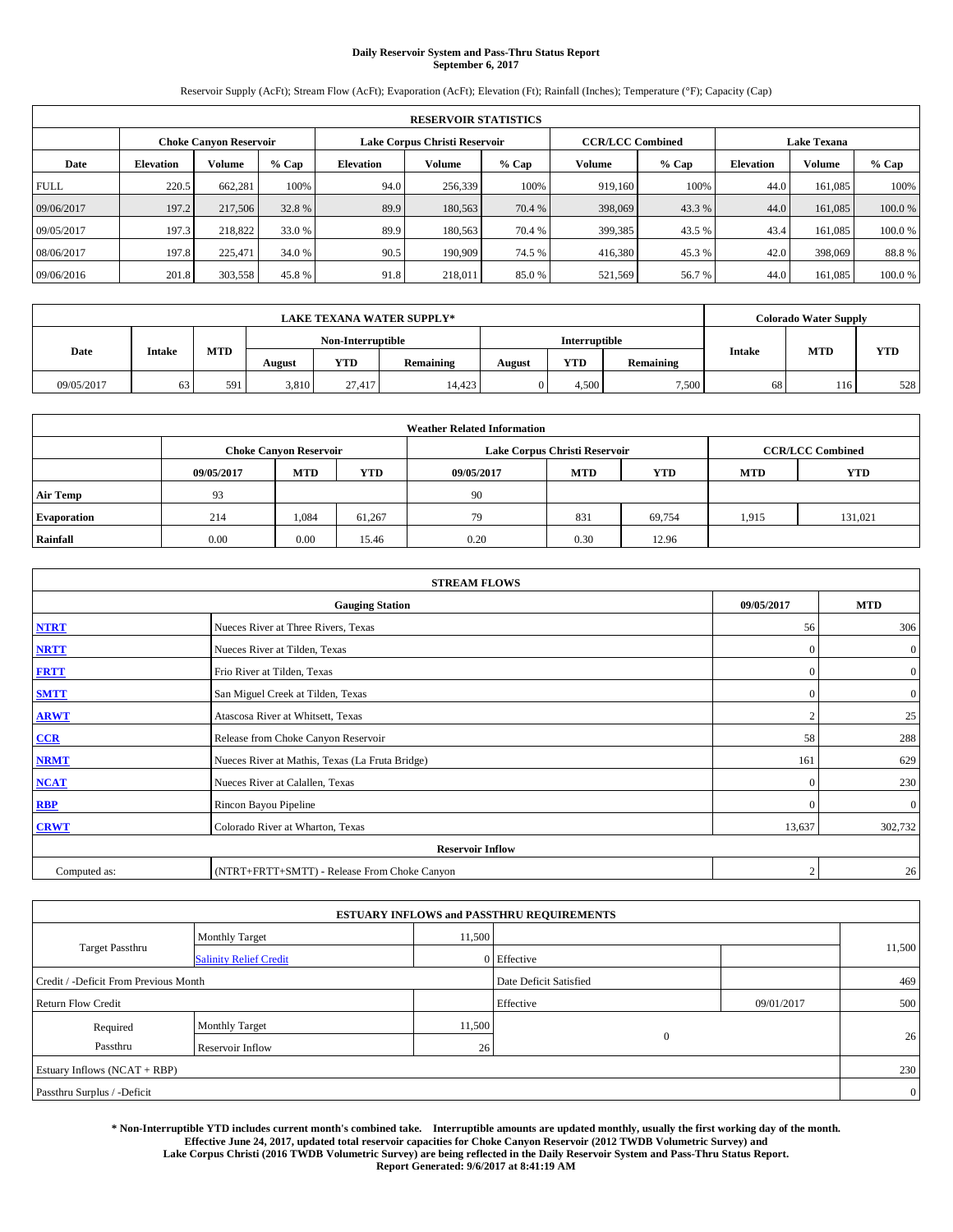# **Daily Reservoir System and Pass-Thru Status Report September 6, 2017**

Reservoir Supply (AcFt); Stream Flow (AcFt); Evaporation (AcFt); Elevation (Ft); Rainfall (Inches); Temperature (°F); Capacity (Cap)

|                                                                | <b>RESERVOIR STATISTICS</b> |         |         |                  |               |         |                         |         |                  |                    |        |
|----------------------------------------------------------------|-----------------------------|---------|---------|------------------|---------------|---------|-------------------------|---------|------------------|--------------------|--------|
| Lake Corpus Christi Reservoir<br><b>Choke Canvon Reservoir</b> |                             |         |         |                  |               |         | <b>CCR/LCC Combined</b> |         |                  | <b>Lake Texana</b> |        |
| Date                                                           | <b>Elevation</b>            | Volume  | $%$ Cap | <b>Elevation</b> | <b>Volume</b> | $%$ Cap | Volume                  | $%$ Cap | <b>Elevation</b> | Volume             | % Cap  |
| <b>FULL</b>                                                    | 220.5                       | 662,281 | 100%    | 94.0             | 256,339       | 100%    | 919,160                 | 100%    | 44.0             | 161,085            | 100%   |
| 09/06/2017                                                     | 197.2                       | 217,506 | 32.8%   | 89.9             | 180,563       | 70.4 %  | 398,069                 | 43.3 %  | 44.0             | 161,085            | 100.0% |
| 09/05/2017                                                     | 197.3                       | 218,822 | 33.0 %  | 89.9             | 180,563       | 70.4 %  | 399,385                 | 43.5 %  | 43.4             | 161,085            | 100.0% |
| 08/06/2017                                                     | 197.8                       | 225,471 | 34.0 %  | 90.5             | 190,909       | 74.5 %  | 416,380                 | 45.3 %  | 42.0             | 398,069            | 88.8%  |
| 09/06/2016                                                     | 201.8                       | 303,558 | 45.8%   | 91.8             | 218,011       | 85.0%   | 521,569                 | 56.7%   | 44.0             | 161,085            | 100.0% |

|            |               |            |        |                   | <b>LAKE TEXANA WATER SUPPLY*</b> |               |            |           |               | <b>Colorado Water Supply</b> |            |
|------------|---------------|------------|--------|-------------------|----------------------------------|---------------|------------|-----------|---------------|------------------------------|------------|
|            |               |            |        | Non-Interruptible |                                  | Interruptible |            |           |               |                              |            |
| Date       | <b>Intake</b> | <b>MTD</b> | August | <b>YTD</b>        | Remaining                        | August        | <b>YTD</b> | Remaining | <b>Intake</b> | <b>MTD</b>                   | <b>YTD</b> |
| 09/05/2017 | 63            | 591        | 3,810  | 27,417            | 14.423                           |               | 4.500      | 7.500     | 68            | 116                          | 528        |

| <b>Weather Related Information</b> |            |                                                                            |        |      |                               |        |       |                         |  |  |
|------------------------------------|------------|----------------------------------------------------------------------------|--------|------|-------------------------------|--------|-------|-------------------------|--|--|
|                                    |            | <b>Choke Canyon Reservoir</b>                                              |        |      | Lake Corpus Christi Reservoir |        |       | <b>CCR/LCC Combined</b> |  |  |
|                                    | 09/05/2017 | <b>YTD</b><br><b>MTD</b><br><b>MTD</b><br>09/05/2017<br>YTD.<br><b>MTD</b> |        |      |                               |        |       |                         |  |  |
| <b>Air Temp</b>                    | 93         |                                                                            |        | 90   |                               |        |       |                         |  |  |
| <b>Evaporation</b>                 | 214        | 1.084                                                                      | 61.267 | 79   | 831                           | 69,754 | 1.915 | 131,021                 |  |  |
| Rainfall                           | 0.00       | 0.00                                                                       | 15.46  | 0.20 | 0.30                          | 12.96  |       |                         |  |  |

|              | <b>STREAM FLOWS</b>                             |                |                  |  |  |  |  |  |  |  |
|--------------|-------------------------------------------------|----------------|------------------|--|--|--|--|--|--|--|
|              | <b>Gauging Station</b>                          | 09/05/2017     | <b>MTD</b>       |  |  |  |  |  |  |  |
| <b>NTRT</b>  | Nueces River at Three Rivers, Texas             | 56             | 306              |  |  |  |  |  |  |  |
| <b>NRTT</b>  | Nueces River at Tilden, Texas                   | $\mathbf{0}$   | $\mathbf{0}$     |  |  |  |  |  |  |  |
| <b>FRTT</b>  | Frio River at Tilden, Texas                     | $\mathbf{0}$   | $\boldsymbol{0}$ |  |  |  |  |  |  |  |
| <b>SMTT</b>  | San Miguel Creek at Tilden, Texas               | $\mathbf{0}$   | $\overline{0}$   |  |  |  |  |  |  |  |
| <b>ARWT</b>  | Atascosa River at Whitsett, Texas               | $\overline{2}$ | 25               |  |  |  |  |  |  |  |
| CCR          | Release from Choke Canyon Reservoir             | 58             | 288              |  |  |  |  |  |  |  |
| <b>NRMT</b>  | Nueces River at Mathis, Texas (La Fruta Bridge) | 161            | 629              |  |  |  |  |  |  |  |
| <b>NCAT</b>  | Nueces River at Calallen, Texas                 | $\mathbf{0}$   | 230              |  |  |  |  |  |  |  |
| <b>RBP</b>   | Rincon Bayou Pipeline                           | $\Omega$       | $\mathbf{0}$     |  |  |  |  |  |  |  |
| <b>CRWT</b>  | Colorado River at Wharton, Texas                | 13,637         | 302,732          |  |  |  |  |  |  |  |
|              | <b>Reservoir Inflow</b>                         |                |                  |  |  |  |  |  |  |  |
| Computed as: | (NTRT+FRTT+SMTT) - Release From Choke Canyon    | $\overline{2}$ | 26               |  |  |  |  |  |  |  |

| <b>ESTUARY INFLOWS and PASSTHRU REQUIREMENTS</b> |                               |                 |                        |     |        |  |  |  |  |  |
|--------------------------------------------------|-------------------------------|-----------------|------------------------|-----|--------|--|--|--|--|--|
|                                                  | <b>Monthly Target</b>         | 11,500          |                        |     |        |  |  |  |  |  |
| Target Passthru                                  | <b>Salinity Relief Credit</b> |                 | 0 Effective            |     | 11,500 |  |  |  |  |  |
| Credit / -Deficit From Previous Month            |                               |                 | Date Deficit Satisfied |     | 469    |  |  |  |  |  |
| <b>Return Flow Credit</b>                        |                               | Effective       | 09/01/2017             | 500 |        |  |  |  |  |  |
| Required                                         | <b>Monthly Target</b>         | 11,500          |                        |     |        |  |  |  |  |  |
| Passthru                                         | <b>Reservoir Inflow</b>       | 26 <sub>1</sub> | $\Omega$               |     | 26     |  |  |  |  |  |
| Estuary Inflows (NCAT + RBP)                     |                               |                 |                        |     |        |  |  |  |  |  |
| Passthru Surplus / -Deficit                      |                               |                 |                        |     |        |  |  |  |  |  |

**\* Non-Interruptible YTD includes current month's combined take. Interruptible amounts are updated monthly, usually the first working day of the month. Effective June 24, 2017, updated total reservoir capacities for Choke Canyon Reservoir (2012 TWDB Volumetric Survey) and Lake Corpus Christi (2016 TWDB Volumetric Survey) are being reflected in the Daily Reservoir System and Pass-Thru Status Report. Report Generated: 9/6/2017 at 8:41:19 AM**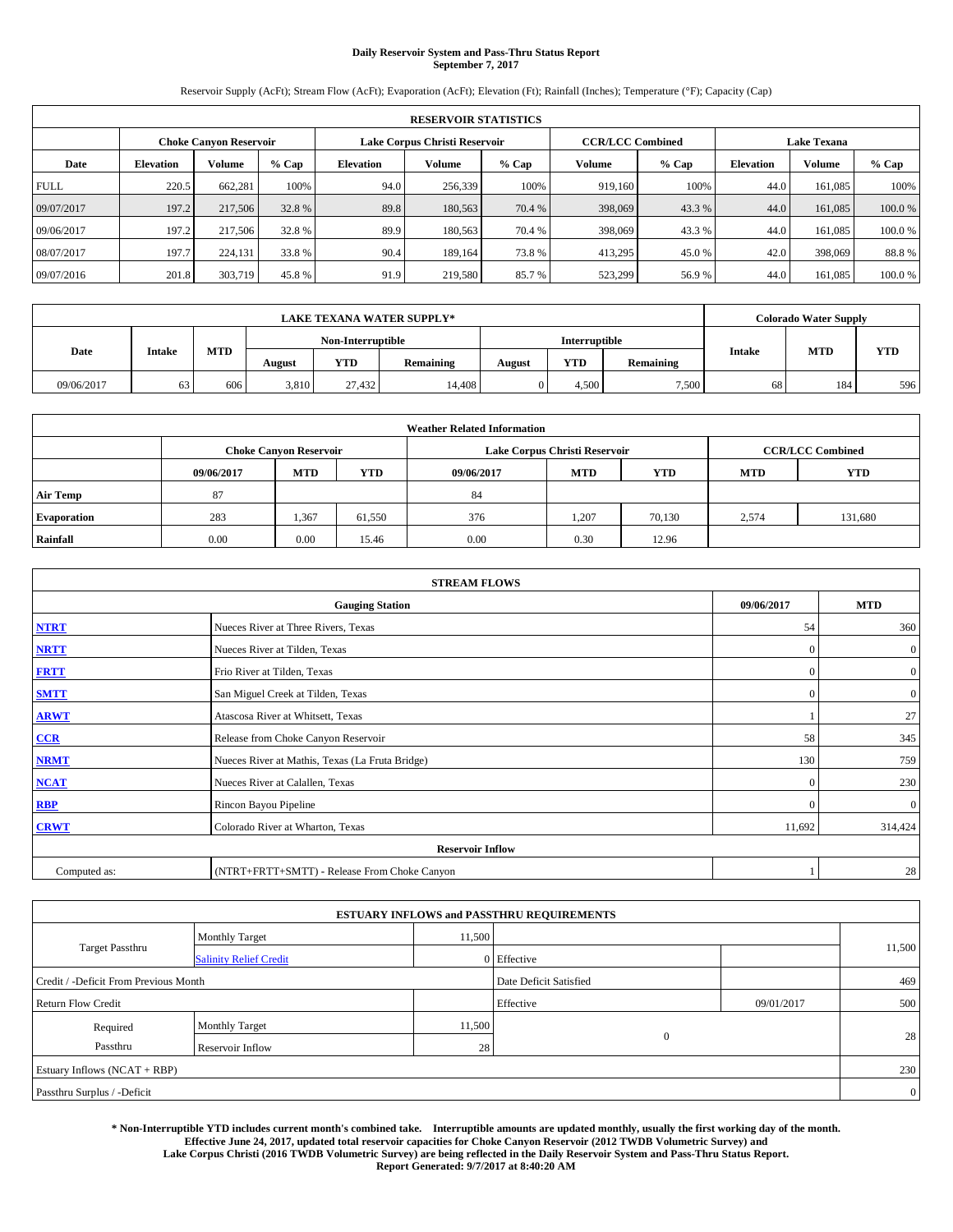# **Daily Reservoir System and Pass-Thru Status Report September 7, 2017**

Reservoir Supply (AcFt); Stream Flow (AcFt); Evaporation (AcFt); Elevation (Ft); Rainfall (Inches); Temperature (°F); Capacity (Cap)

|                                                                | <b>RESERVOIR STATISTICS</b> |         |         |                  |               |         |                         |         |                  |                    |        |
|----------------------------------------------------------------|-----------------------------|---------|---------|------------------|---------------|---------|-------------------------|---------|------------------|--------------------|--------|
| Lake Corpus Christi Reservoir<br><b>Choke Canvon Reservoir</b> |                             |         |         |                  |               |         | <b>CCR/LCC Combined</b> |         |                  | <b>Lake Texana</b> |        |
| Date                                                           | <b>Elevation</b>            | Volume  | $%$ Cap | <b>Elevation</b> | <b>Volume</b> | $%$ Cap | Volume                  | $%$ Cap | <b>Elevation</b> | Volume             | % Cap  |
| <b>FULL</b>                                                    | 220.5                       | 662,281 | 100%    | 94.0             | 256,339       | 100%    | 919,160                 | 100%    | 44.0             | 161,085            | 100%   |
| 09/07/2017                                                     | 197.2                       | 217,506 | 32.8%   | 89.8             | 180,563       | 70.4 %  | 398,069                 | 43.3 %  | 44.0             | 161,085            | 100.0% |
| 09/06/2017                                                     | 197.2                       | 217,506 | 32.8 %  | 89.9             | 180,563       | 70.4 %  | 398,069                 | 43.3 %  | 44.0             | 161,085            | 100.0% |
| 08/07/2017                                                     | 197.7                       | 224,131 | 33.8 %  | 90.4             | 189.164       | 73.8%   | 413,295                 | 45.0 %  | 42.0             | 398,069            | 88.8%  |
| 09/07/2016                                                     | 201.8                       | 303,719 | 45.8%   | 91.9             | 219,580       | 85.7 %  | 523,299                 | 56.9%   | 44.0             | 161,085            | 100.0% |

|            |               |     |                   |        | <b>LAKE TEXANA WATER SUPPLY*</b> |        |            |           |               | <b>Colorado Water Supply</b> |            |
|------------|---------------|-----|-------------------|--------|----------------------------------|--------|------------|-----------|---------------|------------------------------|------------|
|            |               |     | Non-Interruptible |        | <b>Interruptible</b>             |        |            |           |               |                              |            |
| Date       | <b>Intake</b> | MTD | August            | YTD    | Remaining                        | August | <b>YTD</b> | Remaining | <b>Intake</b> | <b>MTD</b>                   | <b>YTD</b> |
| 09/06/2017 | 63            | 606 | 3,810             | 27.432 | 14.408                           |        | 4.500      | 7,500     | 68            | 184                          | 596        |

| <b>Weather Related Information</b> |            |                                                                                  |        |      |                               |        |       |                         |  |  |
|------------------------------------|------------|----------------------------------------------------------------------------------|--------|------|-------------------------------|--------|-------|-------------------------|--|--|
|                                    |            | <b>Choke Canyon Reservoir</b>                                                    |        |      | Lake Corpus Christi Reservoir |        |       | <b>CCR/LCC Combined</b> |  |  |
|                                    | 09/06/2017 | <b>YTD</b><br><b>MTD</b><br><b>MTD</b><br><b>YTD</b><br>09/06/2017<br><b>MTD</b> |        |      |                               |        |       |                         |  |  |
| <b>Air Temp</b>                    | 87         |                                                                                  |        | 84   |                               |        |       |                         |  |  |
| <b>Evaporation</b>                 | 283        | 1,367                                                                            | 61,550 | 376  | 1,207                         | 70,130 | 2,574 | 131,680                 |  |  |
| Rainfall                           | 0.00       | 0.00                                                                             | 15.46  | 0.00 | 0.30                          | 12.96  |       |                         |  |  |

|              | <b>STREAM FLOWS</b>                             |              |                  |  |  |  |  |  |  |  |
|--------------|-------------------------------------------------|--------------|------------------|--|--|--|--|--|--|--|
|              | <b>Gauging Station</b>                          | 09/06/2017   | <b>MTD</b>       |  |  |  |  |  |  |  |
| <b>NTRT</b>  | Nueces River at Three Rivers, Texas             | 54           | 360              |  |  |  |  |  |  |  |
| <b>NRTT</b>  | Nueces River at Tilden, Texas                   | $\mathbf{0}$ | $\boldsymbol{0}$ |  |  |  |  |  |  |  |
| <b>FRTT</b>  | Frio River at Tilden, Texas                     | $\mathbf{0}$ | $\boldsymbol{0}$ |  |  |  |  |  |  |  |
| <b>SMTT</b>  | San Miguel Creek at Tilden, Texas               | $\mathbf{0}$ | $\overline{0}$   |  |  |  |  |  |  |  |
| <b>ARWT</b>  | Atascosa River at Whitsett, Texas               |              | 27               |  |  |  |  |  |  |  |
| CCR          | Release from Choke Canyon Reservoir             | 58           | 345              |  |  |  |  |  |  |  |
| <b>NRMT</b>  | Nueces River at Mathis, Texas (La Fruta Bridge) | 130          | 759              |  |  |  |  |  |  |  |
| <b>NCAT</b>  | Nueces River at Calallen, Texas                 | $\Omega$     | 230              |  |  |  |  |  |  |  |
| RBP          | Rincon Bayou Pipeline                           | $\Omega$     | $\mathbf{0}$     |  |  |  |  |  |  |  |
| <b>CRWT</b>  | Colorado River at Wharton, Texas                | 11,692       | 314,424          |  |  |  |  |  |  |  |
|              | <b>Reservoir Inflow</b>                         |              |                  |  |  |  |  |  |  |  |
| Computed as: | (NTRT+FRTT+SMTT) - Release From Choke Canyon    |              | 28               |  |  |  |  |  |  |  |

| <b>ESTUARY INFLOWS and PASSTHRU REQUIREMENTS</b> |                               |           |                        |     |        |  |  |  |  |  |
|--------------------------------------------------|-------------------------------|-----------|------------------------|-----|--------|--|--|--|--|--|
|                                                  | <b>Monthly Target</b>         | 11,500    |                        |     |        |  |  |  |  |  |
| Target Passthru                                  | <b>Salinity Relief Credit</b> |           | 0 Effective            |     | 11,500 |  |  |  |  |  |
| Credit / -Deficit From Previous Month            |                               |           | Date Deficit Satisfied |     | 469    |  |  |  |  |  |
| <b>Return Flow Credit</b>                        |                               | Effective | 09/01/2017             | 500 |        |  |  |  |  |  |
| Required                                         | <b>Monthly Target</b>         | 11,500    |                        |     |        |  |  |  |  |  |
| Passthru                                         | <b>Reservoir Inflow</b>       | 28        | $\Omega$               |     | 28     |  |  |  |  |  |
| Estuary Inflows (NCAT + RBP)                     |                               |           |                        |     |        |  |  |  |  |  |
| Passthru Surplus / -Deficit                      |                               |           |                        |     |        |  |  |  |  |  |

**\* Non-Interruptible YTD includes current month's combined take. Interruptible amounts are updated monthly, usually the first working day of the month. Effective June 24, 2017, updated total reservoir capacities for Choke Canyon Reservoir (2012 TWDB Volumetric Survey) and Lake Corpus Christi (2016 TWDB Volumetric Survey) are being reflected in the Daily Reservoir System and Pass-Thru Status Report. Report Generated: 9/7/2017 at 8:40:20 AM**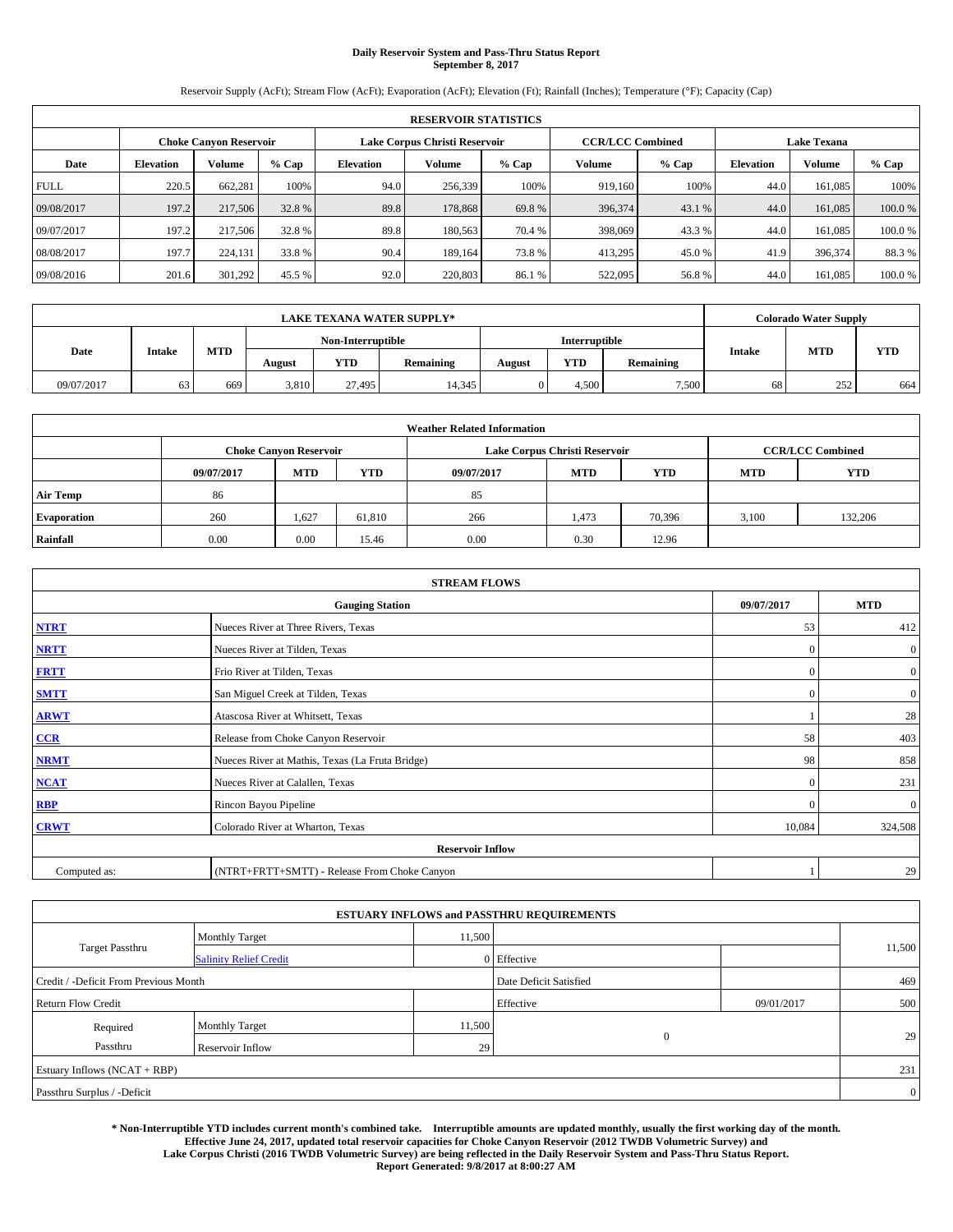# **Daily Reservoir System and Pass-Thru Status Report September 8, 2017**

Reservoir Supply (AcFt); Stream Flow (AcFt); Evaporation (AcFt); Elevation (Ft); Rainfall (Inches); Temperature (°F); Capacity (Cap)

|                                                                | <b>RESERVOIR STATISTICS</b> |         |         |                  |         |         |                         |         |                  |                    |        |
|----------------------------------------------------------------|-----------------------------|---------|---------|------------------|---------|---------|-------------------------|---------|------------------|--------------------|--------|
| Lake Corpus Christi Reservoir<br><b>Choke Canvon Reservoir</b> |                             |         |         |                  |         |         | <b>CCR/LCC Combined</b> |         |                  | <b>Lake Texana</b> |        |
| Date                                                           | <b>Elevation</b>            | Volume  | $%$ Cap | <b>Elevation</b> | Volume  | $%$ Cap | Volume                  | $%$ Cap | <b>Elevation</b> | Volume             | % Cap  |
| <b>FULL</b>                                                    | 220.5                       | 662,281 | 100%    | 94.0             | 256,339 | 100%    | 919,160                 | 100%    | 44.0             | 161,085            | 100%   |
| 09/08/2017                                                     | 197.2                       | 217,506 | 32.8%   | 89.8             | 178,868 | 69.8%   | 396,374                 | 43.1 %  | 44.0             | 161,085            | 100.0% |
| 09/07/2017                                                     | 197.2                       | 217,506 | 32.8 %  | 89.8             | 180,563 | 70.4 %  | 398,069                 | 43.3 %  | 44.0             | 161,085            | 100.0% |
| 08/08/2017                                                     | 197.7                       | 224,131 | 33.8 %  | 90.4             | 189.164 | 73.8%   | 413,295                 | 45.0 %  | 41.9             | 396,374            | 88.3 % |
| 09/08/2016                                                     | 201.6                       | 301,292 | 45.5 %  | 92.0             | 220,803 | 86.1 %  | 522,095                 | 56.8%   | 44.0             | 161,085            | 100.0% |

|            | <b>LAKE TEXANA WATER SUPPLY*</b><br>Interruptible |     |                   |        |           |        |            |           |    | <b>Colorado Water Supply</b> |            |
|------------|---------------------------------------------------|-----|-------------------|--------|-----------|--------|------------|-----------|----|------------------------------|------------|
|            |                                                   |     | Non-Interruptible |        |           |        |            |           |    |                              |            |
| Date       | <b>Intake</b>                                     | MTD | August            | YTD    | Remaining | August | <b>YTD</b> | Remaining |    | <b>MTD</b><br><b>Intake</b>  | <b>YTD</b> |
| 09/07/2017 | 63                                                | 669 | 3,810             | 27,495 | 14.345    |        | 4.500      | 7,500     | 68 | 252                          | 664        |

|                    | <b>Weather Related Information</b> |                                                                                          |        |      |                               |                         |       |         |  |  |  |  |
|--------------------|------------------------------------|------------------------------------------------------------------------------------------|--------|------|-------------------------------|-------------------------|-------|---------|--|--|--|--|
|                    |                                    | <b>Choke Canyon Reservoir</b>                                                            |        |      | Lake Corpus Christi Reservoir | <b>CCR/LCC Combined</b> |       |         |  |  |  |  |
|                    | 09/07/2017                         | <b>YTD</b><br><b>YTD</b><br><b>MTD</b><br><b>MTD</b><br>09/07/2017<br>YTD.<br><b>MTD</b> |        |      |                               |                         |       |         |  |  |  |  |
| <b>Air Temp</b>    | 86                                 |                                                                                          |        | 85   |                               |                         |       |         |  |  |  |  |
| <b>Evaporation</b> | 260                                | 1,627                                                                                    | 61,810 | 266  | 1.473                         | 70,396                  | 3,100 | 132,206 |  |  |  |  |
| Rainfall           | 0.00                               | 0.00                                                                                     | 15.46  | 0.00 | 0.30                          | 12.96                   |       |         |  |  |  |  |

| <b>STREAM FLOWS</b> |                                                 |              |                  |  |  |  |  |  |
|---------------------|-------------------------------------------------|--------------|------------------|--|--|--|--|--|
|                     | <b>Gauging Station</b>                          | 09/07/2017   | <b>MTD</b>       |  |  |  |  |  |
| <b>NTRT</b>         | Nueces River at Three Rivers, Texas             | 53           | 412              |  |  |  |  |  |
| <b>NRTT</b>         | Nueces River at Tilden, Texas                   | $\mathbf{0}$ | $\boldsymbol{0}$ |  |  |  |  |  |
| <b>FRTT</b>         | Frio River at Tilden, Texas                     | $\mathbf{0}$ | $\boldsymbol{0}$ |  |  |  |  |  |
| <b>SMTT</b>         | San Miguel Creek at Tilden, Texas               | $\mathbf{0}$ | $\overline{0}$   |  |  |  |  |  |
| <b>ARWT</b>         | Atascosa River at Whitsett, Texas               |              | 28               |  |  |  |  |  |
| $CCR$               | Release from Choke Canyon Reservoir             | 58           | 403              |  |  |  |  |  |
| <b>NRMT</b>         | Nueces River at Mathis, Texas (La Fruta Bridge) | 98           | 858              |  |  |  |  |  |
| <b>NCAT</b>         | Nueces River at Calallen, Texas                 | $\mathbf{0}$ | 231              |  |  |  |  |  |
| RBP                 | Rincon Bayou Pipeline                           | $\Omega$     | $\mathbf{0}$     |  |  |  |  |  |
| <b>CRWT</b>         | Colorado River at Wharton, Texas                | 10,084       | 324,508          |  |  |  |  |  |
|                     | <b>Reservoir Inflow</b>                         |              |                  |  |  |  |  |  |
| Computed as:        | (NTRT+FRTT+SMTT) - Release From Choke Canyon    |              | 29               |  |  |  |  |  |

|                                       |                               |        | <b>ESTUARY INFLOWS and PASSTHRU REQUIREMENTS</b> |            |                |
|---------------------------------------|-------------------------------|--------|--------------------------------------------------|------------|----------------|
|                                       | <b>Monthly Target</b>         | 11,500 |                                                  |            |                |
| Target Passthru                       | <b>Salinity Relief Credit</b> |        | 0 Effective                                      |            | 11,500         |
| Credit / -Deficit From Previous Month |                               |        | Date Deficit Satisfied                           |            | 469            |
| <b>Return Flow Credit</b>             |                               |        | Effective                                        | 09/01/2017 | 500            |
| Required                              | <b>Monthly Target</b>         | 11,500 |                                                  |            |                |
| Passthru                              | <b>Reservoir Inflow</b>       | 29     | $\Omega$                                         |            | 29             |
| Estuary Inflows (NCAT + RBP)          |                               |        |                                                  |            | 231            |
| Passthru Surplus / -Deficit           |                               |        |                                                  |            | $\overline{0}$ |

**\* Non-Interruptible YTD includes current month's combined take. Interruptible amounts are updated monthly, usually the first working day of the month. Effective June 24, 2017, updated total reservoir capacities for Choke Canyon Reservoir (2012 TWDB Volumetric Survey) and Lake Corpus Christi (2016 TWDB Volumetric Survey) are being reflected in the Daily Reservoir System and Pass-Thru Status Report. Report Generated: 9/8/2017 at 8:00:27 AM**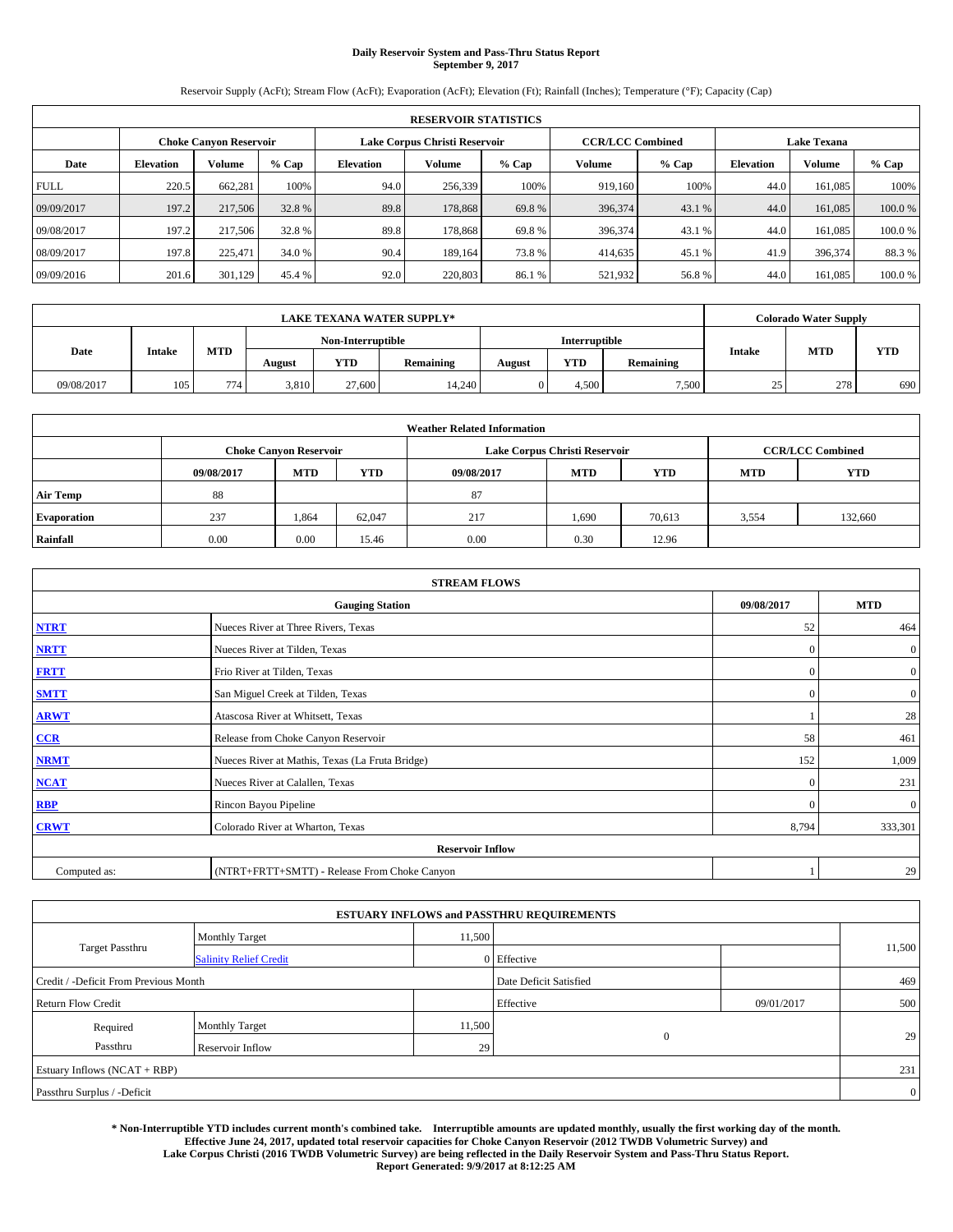# **Daily Reservoir System and Pass-Thru Status Report September 9, 2017**

Reservoir Supply (AcFt); Stream Flow (AcFt); Evaporation (AcFt); Elevation (Ft); Rainfall (Inches); Temperature (°F); Capacity (Cap)

|             | <b>RESERVOIR STATISTICS</b> |                               |         |                                                                                |         |        |                         |        |                    |         |        |  |  |
|-------------|-----------------------------|-------------------------------|---------|--------------------------------------------------------------------------------|---------|--------|-------------------------|--------|--------------------|---------|--------|--|--|
|             |                             | <b>Choke Canvon Reservoir</b> |         | Lake Corpus Christi Reservoir                                                  |         |        | <b>CCR/LCC Combined</b> |        | <b>Lake Texana</b> |         |        |  |  |
| Date        | <b>Elevation</b>            | Volume                        | $%$ Cap | Volume<br>$%$ Cap<br>Volume<br><b>Elevation</b><br><b>Elevation</b><br>$%$ Cap |         |        |                         | Volume | % Cap              |         |        |  |  |
| <b>FULL</b> | 220.5                       | 662,281                       | 100%    | 94.0                                                                           | 256,339 | 100%   | 919,160                 | 100%   | 44.0               | 161,085 | 100%   |  |  |
| 09/09/2017  | 197.2                       | 217,506                       | 32.8%   | 89.8                                                                           | 178,868 | 69.8%  | 396,374                 | 43.1 % | 44.0               | 161,085 | 100.0% |  |  |
| 09/08/2017  | 197.2                       | 217,506                       | 32.8 %  | 89.8                                                                           | 178.868 | 69.8%  | 396,374                 | 43.1 % | 44.0               | 161,085 | 100.0% |  |  |
| 08/09/2017  | 197.8                       | 225,471                       | 34.0 %  | 90.4                                                                           | 189.164 | 73.8%  | 414,635                 | 45.1 % | 41.9               | 396,374 | 88.3 % |  |  |
| 09/09/2016  | 201.6                       | 301,129                       | 45.4 %  | 92.0                                                                           | 220,803 | 86.1 % | 521,932                 | 56.8%  | 44.0               | 161,085 | 100.0% |  |  |

|            | <b>LAKE TEXANA WATER SUPPLY*</b><br><b>Interruptible</b><br>Non-Interruptible |                  |        |        |           |        |            |           |           | <b>Colorado Water Supply</b> |            |
|------------|-------------------------------------------------------------------------------|------------------|--------|--------|-----------|--------|------------|-----------|-----------|------------------------------|------------|
|            |                                                                               |                  |        |        |           |        |            |           |           | <b>MTD</b><br><b>Intake</b>  |            |
| Date       | <b>Intake</b>                                                                 | MTD              | August | YTD    | Remaining | August | <b>YTD</b> | Remaining |           |                              | <b>YTD</b> |
| 09/08/2017 | 105                                                                           | 774 <sub>1</sub> | 3,810  | 27,600 | 14.240    |        | 4.500      | 7,500     | 25<br>ر ے | 278                          | 690        |

|                    | <b>Weather Related Information</b> |                                                                                  |        |      |                               |                         |       |         |  |  |  |  |
|--------------------|------------------------------------|----------------------------------------------------------------------------------|--------|------|-------------------------------|-------------------------|-------|---------|--|--|--|--|
|                    |                                    | <b>Choke Canyon Reservoir</b>                                                    |        |      | Lake Corpus Christi Reservoir | <b>CCR/LCC Combined</b> |       |         |  |  |  |  |
|                    | 09/08/2017                         | <b>YTD</b><br><b>MTD</b><br><b>MTD</b><br>09/08/2017<br><b>YTD</b><br><b>MTD</b> |        |      |                               |                         |       |         |  |  |  |  |
| <b>Air Temp</b>    | 88                                 |                                                                                  |        | 87   |                               |                         |       |         |  |  |  |  |
| <b>Evaporation</b> | 237                                | 1,864                                                                            | 62,047 | 217  | 1,690                         | 70,613                  | 3,554 | 132,660 |  |  |  |  |
| Rainfall           | 0.00                               | 0.00                                                                             | 15.46  | 0.00 | 0.30                          | 12.96                   |       |         |  |  |  |  |

| <b>STREAM FLOWS</b> |                                                 |              |                  |  |  |  |  |  |
|---------------------|-------------------------------------------------|--------------|------------------|--|--|--|--|--|
|                     | <b>Gauging Station</b>                          | 09/08/2017   | <b>MTD</b>       |  |  |  |  |  |
| <b>NTRT</b>         | Nueces River at Three Rivers, Texas             | 52           | 464              |  |  |  |  |  |
| <b>NRTT</b>         | Nueces River at Tilden, Texas                   | $\mathbf{0}$ | $\mathbf{0}$     |  |  |  |  |  |
| <b>FRTT</b>         | Frio River at Tilden, Texas                     | $\mathbf{0}$ | $\boldsymbol{0}$ |  |  |  |  |  |
| <b>SMTT</b>         | San Miguel Creek at Tilden, Texas               | $\mathbf{0}$ | $\overline{0}$   |  |  |  |  |  |
| <b>ARWT</b>         | Atascosa River at Whitsett, Texas               |              | 28               |  |  |  |  |  |
| $CCR$               | Release from Choke Canyon Reservoir             | 58           | 461              |  |  |  |  |  |
| <b>NRMT</b>         | Nueces River at Mathis, Texas (La Fruta Bridge) | 152          | 1,009            |  |  |  |  |  |
| <b>NCAT</b>         | Nueces River at Calallen, Texas                 | $\mathbf{0}$ | 231              |  |  |  |  |  |
| RBP                 | Rincon Bayou Pipeline                           | $\Omega$     | $\mathbf{0}$     |  |  |  |  |  |
| <b>CRWT</b>         | Colorado River at Wharton, Texas                | 8,794        | 333,301          |  |  |  |  |  |
|                     | <b>Reservoir Inflow</b>                         |              |                  |  |  |  |  |  |
| Computed as:        | (NTRT+FRTT+SMTT) - Release From Choke Canyon    |              | 29               |  |  |  |  |  |

|                                       |                               |        | <b>ESTUARY INFLOWS and PASSTHRU REQUIREMENTS</b> |              |                |
|---------------------------------------|-------------------------------|--------|--------------------------------------------------|--------------|----------------|
|                                       | <b>Monthly Target</b>         | 11,500 |                                                  |              |                |
| <b>Target Passthru</b>                | <b>Salinity Relief Credit</b> |        | 0 Effective                                      |              | 11,500         |
| Credit / -Deficit From Previous Month |                               |        | Date Deficit Satisfied                           |              | 469            |
| <b>Return Flow Credit</b>             |                               |        | Effective                                        | 09/01/2017   | 500            |
| Required                              | <b>Monthly Target</b>         | 11,500 |                                                  |              |                |
| Passthru                              | <b>Reservoir Inflow</b>       | 29     |                                                  | $\mathbf{0}$ | 29             |
| Estuary Inflows $(NCAT + RBP)$        |                               |        |                                                  |              | 231            |
| Passthru Surplus / -Deficit           |                               |        |                                                  |              | $\overline{0}$ |

**\* Non-Interruptible YTD includes current month's combined take. Interruptible amounts are updated monthly, usually the first working day of the month. Effective June 24, 2017, updated total reservoir capacities for Choke Canyon Reservoir (2012 TWDB Volumetric Survey) and Lake Corpus Christi (2016 TWDB Volumetric Survey) are being reflected in the Daily Reservoir System and Pass-Thru Status Report. Report Generated: 9/9/2017 at 8:12:25 AM**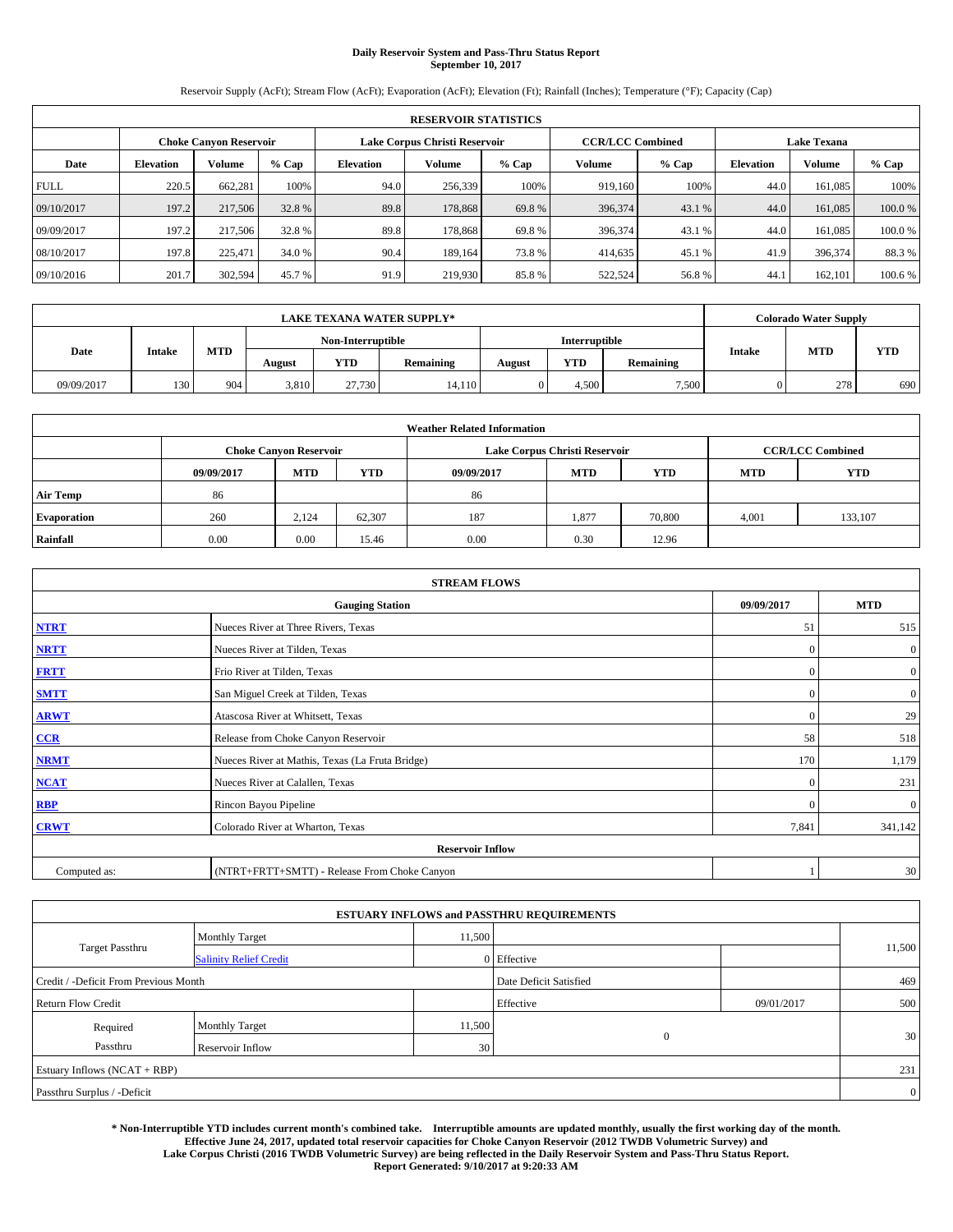# **Daily Reservoir System and Pass-Thru Status Report September 10, 2017**

Reservoir Supply (AcFt); Stream Flow (AcFt); Evaporation (AcFt); Elevation (Ft); Rainfall (Inches); Temperature (°F); Capacity (Cap)

|             | <b>RESERVOIR STATISTICS</b> |                        |         |                  |                               |         |         |                         |                    |               |         |  |  |
|-------------|-----------------------------|------------------------|---------|------------------|-------------------------------|---------|---------|-------------------------|--------------------|---------------|---------|--|--|
|             |                             | Choke Canvon Reservoir |         |                  | Lake Corpus Christi Reservoir |         |         | <b>CCR/LCC Combined</b> | <b>Lake Texana</b> |               |         |  |  |
| Date        | <b>Elevation</b>            | Volume                 | $%$ Cap | <b>Elevation</b> | Volume                        | $%$ Cap | Volume  | $%$ Cap                 | <b>Elevation</b>   | <b>Volume</b> | % Cap   |  |  |
| <b>FULL</b> | 220.5                       | 662,281                | 100%    | 94.0             | 256,339                       | 100%    | 919.160 | 100%                    | 44.0               | 161.085       | 100%    |  |  |
| 09/10/2017  | 197.2                       | 217,506                | 32.8%   | 89.8             | 178,868                       | 69.8%   | 396,374 | 43.1 %                  | 44.0               | 161,085       | 100.0%  |  |  |
| 09/09/2017  | 197.2                       | 217,506                | 32.8 %  | 89.8             | 178,868                       | 69.8%   | 396,374 | 43.1 %                  | 44.0               | 161.085       | 100.0%  |  |  |
| 08/10/2017  | 197.8                       | 225,471                | 34.0 %  | 90.4             | 189.164                       | 73.8%   | 414,635 | 45.1 %                  | 41.9               | 396,374       | 88.3%   |  |  |
| 09/10/2016  | 201.7                       | 302,594                | 45.7 %  | 91.9             | 219,930                       | 85.8%   | 522,524 | 56.8%                   | 44.                | 162,101       | 100.6 % |  |  |

|            |               |                   |        |            | <b>LAKE TEXANA WATER SUPPLY*</b> |        |            |                  |               | <b>Colorado Water Supply</b> |            |
|------------|---------------|-------------------|--------|------------|----------------------------------|--------|------------|------------------|---------------|------------------------------|------------|
|            |               | Non-Interruptible |        |            | Interruptible                    |        |            |                  |               |                              |            |
| Date       | <b>Intake</b> | <b>MTD</b>        | August | <b>YTD</b> | Remaining                        | August | <b>YTD</b> | <b>Remaining</b> | <b>Intake</b> | <b>MTD</b>                   | <b>YTD</b> |
| 09/09/2017 | 130           | 904               | 3,810  | 27,730     | 14,110                           |        | 4.500      | 7.500            |               | 278                          | 690        |

|                    | <b>Weather Related Information</b> |                                                                                                |        |      |                               |                         |       |         |  |  |  |  |
|--------------------|------------------------------------|------------------------------------------------------------------------------------------------|--------|------|-------------------------------|-------------------------|-------|---------|--|--|--|--|
|                    |                                    | <b>Choke Canyon Reservoir</b>                                                                  |        |      | Lake Corpus Christi Reservoir | <b>CCR/LCC Combined</b> |       |         |  |  |  |  |
|                    | 09/09/2017                         | <b>YTD</b><br><b>YTD</b><br><b>MTD</b><br><b>MTD</b><br>09/09/2017<br><b>YTD</b><br><b>MTD</b> |        |      |                               |                         |       |         |  |  |  |  |
| <b>Air Temp</b>    | 86                                 |                                                                                                |        | 86   |                               |                         |       |         |  |  |  |  |
| <b>Evaporation</b> | 260                                | 2.124                                                                                          | 62,307 | 187  | 1,877                         | 70,800                  | 4,001 | 133,107 |  |  |  |  |
| Rainfall           | 0.00                               | 0.00                                                                                           | 15.46  | 0.00 | 0.30                          | 12.96                   |       |         |  |  |  |  |

| <b>STREAM FLOWS</b> |                                                 |              |                  |  |  |  |  |  |  |
|---------------------|-------------------------------------------------|--------------|------------------|--|--|--|--|--|--|
|                     | <b>Gauging Station</b>                          |              |                  |  |  |  |  |  |  |
| <b>NTRT</b>         | Nueces River at Three Rivers, Texas             |              |                  |  |  |  |  |  |  |
| <b>NRTT</b>         | Nueces River at Tilden, Texas                   | $\mathbf{0}$ | $\boldsymbol{0}$ |  |  |  |  |  |  |
| <b>FRTT</b>         | Frio River at Tilden, Texas                     | $\mathbf{0}$ | $\boldsymbol{0}$ |  |  |  |  |  |  |
| <b>SMTT</b>         | San Miguel Creek at Tilden, Texas               | $\mathbf{0}$ | $\overline{0}$   |  |  |  |  |  |  |
| <b>ARWT</b>         | $\mathbf{0}$                                    | 29           |                  |  |  |  |  |  |  |
| $CCR$               | Release from Choke Canyon Reservoir             |              |                  |  |  |  |  |  |  |
| <b>NRMT</b>         | Nueces River at Mathis, Texas (La Fruta Bridge) | 170          | 1,179            |  |  |  |  |  |  |
| <b>NCAT</b>         | Nueces River at Calallen, Texas                 | $\mathbf{0}$ | 231              |  |  |  |  |  |  |
| RBP                 | Rincon Bayou Pipeline                           | $\Omega$     | $\mathbf{0}$     |  |  |  |  |  |  |
| <b>CRWT</b>         | Colorado River at Wharton, Texas                | 7,841        | 341,142          |  |  |  |  |  |  |
|                     | <b>Reservoir Inflow</b>                         |              |                  |  |  |  |  |  |  |
| Computed as:        | (NTRT+FRTT+SMTT) - Release From Choke Canyon    |              | 30               |  |  |  |  |  |  |

| <b>ESTUARY INFLOWS and PASSTHRU REQUIREMENTS</b> |                               |        |                        |            |                |  |  |  |  |  |  |
|--------------------------------------------------|-------------------------------|--------|------------------------|------------|----------------|--|--|--|--|--|--|
|                                                  | <b>Monthly Target</b>         | 11,500 |                        |            |                |  |  |  |  |  |  |
| <b>Target Passthru</b>                           | <b>Salinity Relief Credit</b> |        | 0 Effective            |            | 11,500         |  |  |  |  |  |  |
| Credit / -Deficit From Previous Month            |                               |        | Date Deficit Satisfied |            | 469            |  |  |  |  |  |  |
| <b>Return Flow Credit</b>                        |                               |        | Effective              | 09/01/2017 | 500            |  |  |  |  |  |  |
| Required                                         | <b>Monthly Target</b>         | 11,500 |                        |            |                |  |  |  |  |  |  |
| Passthru                                         | <b>Reservoir Inflow</b>       | 30     | $\mathbf{0}$           |            | 30             |  |  |  |  |  |  |
| Estuary Inflows $(NCAT + RBP)$                   |                               |        |                        |            |                |  |  |  |  |  |  |
| Passthru Surplus / -Deficit                      |                               |        |                        |            | $\overline{0}$ |  |  |  |  |  |  |

**\* Non-Interruptible YTD includes current month's combined take. Interruptible amounts are updated monthly, usually the first working day of the month. Effective June 24, 2017, updated total reservoir capacities for Choke Canyon Reservoir (2012 TWDB Volumetric Survey) and Lake Corpus Christi (2016 TWDB Volumetric Survey) are being reflected in the Daily Reservoir System and Pass-Thru Status Report. Report Generated: 9/10/2017 at 9:20:33 AM**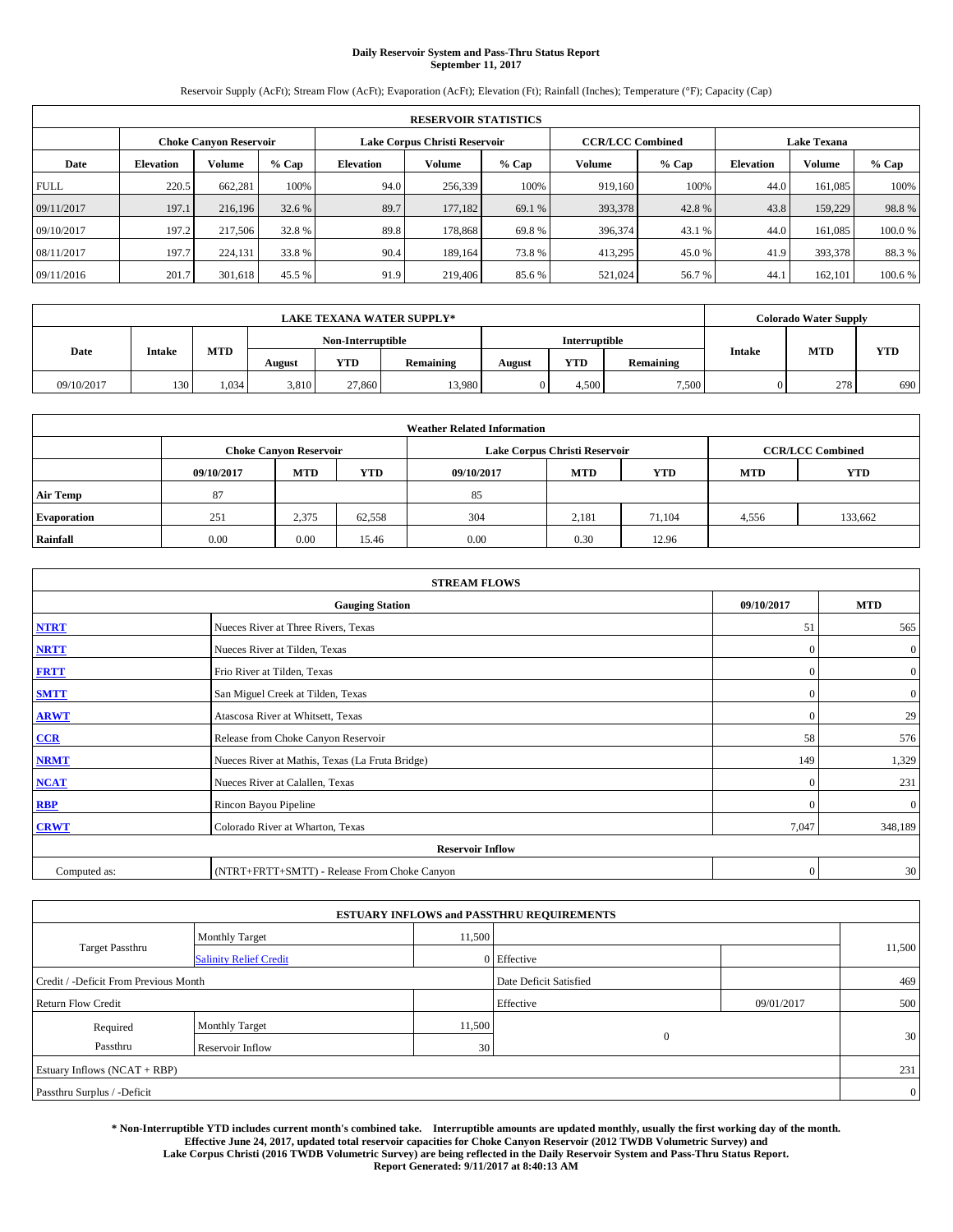# **Daily Reservoir System and Pass-Thru Status Report September 11, 2017**

Reservoir Supply (AcFt); Stream Flow (AcFt); Evaporation (AcFt); Elevation (Ft); Rainfall (Inches); Temperature (°F); Capacity (Cap)

| <b>RESERVOIR STATISTICS</b> |                  |                        |         |                  |                               |         |                         |         |                  |                    |         |  |
|-----------------------------|------------------|------------------------|---------|------------------|-------------------------------|---------|-------------------------|---------|------------------|--------------------|---------|--|
|                             |                  | Choke Canvon Reservoir |         |                  | Lake Corpus Christi Reservoir |         | <b>CCR/LCC Combined</b> |         |                  | <b>Lake Texana</b> |         |  |
| Date                        | <b>Elevation</b> | Volume                 | $%$ Cap | <b>Elevation</b> | Volume                        | $%$ Cap | Volume                  | $%$ Cap | <b>Elevation</b> | <b>Volume</b>      | % Cap   |  |
| <b>FULL</b>                 | 220.5            | 662,281                | 100%    | 94.0             | 256,339                       | 100%    | 919.160                 | 100%    | 44.0             | 161.085            | 100%    |  |
| 09/11/2017                  | 197.1            | 216,196                | 32.6 %  | 89.7             | 177,182                       | 69.1 %  | 393,378                 | 42.8%   | 43.8             | 159,229            | 98.8%   |  |
| 09/10/2017                  | 197.2            | 217,506                | 32.8 %  | 89.8             | 178,868                       | 69.8%   | 396,374                 | 43.1 %  | 44.0             | 161.085            | 100.0%  |  |
| 08/11/2017                  | 197.7            | 224,131                | 33.8 %  | 90.4             | 189.164                       | 73.8%   | 413,295                 | 45.0 %  | 41.9             | 393,378            | 88.3%   |  |
| 09/11/2016                  | 201.7            | 301,618                | 45.5 %  | 91.9             | 219,406                       | 85.6%   | 521,024                 | 56.7%   | 44.              | 162,101            | 100.6 % |  |

| <b>LAKE TEXANA WATER SUPPLY*</b> |               |       |                   |        |           |               |            | <b>Colorado Water Supply</b> |               |            |            |
|----------------------------------|---------------|-------|-------------------|--------|-----------|---------------|------------|------------------------------|---------------|------------|------------|
|                                  |               |       | Non-Interruptible |        |           | Interruptible |            |                              |               |            |            |
| Date                             | <b>Intake</b> | MTD   | August            | YTD    | Remaining | August        | <b>YTD</b> | Remaining                    | <b>Intake</b> | <b>MTD</b> | <b>YTD</b> |
| 09/10/2017                       | 130           | 1.034 | 3.810             | 27,860 | 13,980    |               | 4.500      | 7,500                        |               | 278        | 690        |

| <b>Weather Related Information</b> |            |                               |            |            |                               |                         |            |            |  |  |  |
|------------------------------------|------------|-------------------------------|------------|------------|-------------------------------|-------------------------|------------|------------|--|--|--|
|                                    |            | <b>Choke Canyon Reservoir</b> |            |            | Lake Corpus Christi Reservoir | <b>CCR/LCC Combined</b> |            |            |  |  |  |
|                                    | 09/10/2017 | <b>MTD</b>                    | <b>YTD</b> | 09/10/2017 | <b>MTD</b>                    | <b>YTD</b>              | <b>MTD</b> | <b>YTD</b> |  |  |  |
| <b>Air Temp</b>                    | 87         |                               |            | 85         |                               |                         |            |            |  |  |  |
| <b>Evaporation</b>                 | 251        | 2,375                         | 62,558     | 304        | 2.181                         | 71.104                  | 4,556      | 133,662    |  |  |  |
| Rainfall                           | 0.00       | 0.00                          | 15.46      | 0.00       | 0.30                          | 12.96                   |            |            |  |  |  |

| <b>STREAM FLOWS</b> |                                                 |              |                  |  |  |  |  |  |  |
|---------------------|-------------------------------------------------|--------------|------------------|--|--|--|--|--|--|
|                     | <b>Gauging Station</b>                          |              |                  |  |  |  |  |  |  |
| <b>NTRT</b>         | Nueces River at Three Rivers, Texas             |              |                  |  |  |  |  |  |  |
| <b>NRTT</b>         | Nueces River at Tilden, Texas                   | $\Omega$     | $\boldsymbol{0}$ |  |  |  |  |  |  |
| <b>FRTT</b>         | Frio River at Tilden, Texas                     | $\mathbf{0}$ | $\mathbf{0}$     |  |  |  |  |  |  |
| <b>SMTT</b>         | San Miguel Creek at Tilden, Texas               | $\mathbf{0}$ | $\mathbf{0}$     |  |  |  |  |  |  |
| <b>ARWT</b>         | $\Omega$                                        | 29           |                  |  |  |  |  |  |  |
| CCR                 | Release from Choke Canyon Reservoir             |              |                  |  |  |  |  |  |  |
| <b>NRMT</b>         | Nueces River at Mathis, Texas (La Fruta Bridge) | 149          | 1,329            |  |  |  |  |  |  |
| <b>NCAT</b>         | Nueces River at Calallen, Texas                 | $\Omega$     | 231              |  |  |  |  |  |  |
| <b>RBP</b>          | Rincon Bayou Pipeline                           | $\Omega$     | $\mathbf{0}$     |  |  |  |  |  |  |
| <b>CRWT</b>         | Colorado River at Wharton, Texas                | 7,047        | 348,189          |  |  |  |  |  |  |
|                     | <b>Reservoir Inflow</b>                         |              |                  |  |  |  |  |  |  |
| Computed as:        | (NTRT+FRTT+SMTT) - Release From Choke Canyon    |              |                  |  |  |  |  |  |  |

| <b>ESTUARY INFLOWS and PASSTHRU REQUIREMENTS</b> |                               |        |                        |            |                |  |  |  |  |  |  |
|--------------------------------------------------|-------------------------------|--------|------------------------|------------|----------------|--|--|--|--|--|--|
|                                                  | <b>Monthly Target</b>         | 11,500 |                        |            |                |  |  |  |  |  |  |
| <b>Target Passthru</b>                           | <b>Salinity Relief Credit</b> |        | 0 Effective            |            | 11,500         |  |  |  |  |  |  |
| Credit / -Deficit From Previous Month            |                               |        | Date Deficit Satisfied |            | 469            |  |  |  |  |  |  |
| <b>Return Flow Credit</b>                        |                               |        | Effective              | 09/01/2017 | 500            |  |  |  |  |  |  |
| Required                                         | <b>Monthly Target</b>         | 11,500 |                        |            |                |  |  |  |  |  |  |
| Passthru                                         | <b>Reservoir Inflow</b>       | 30     | $\mathbf{0}$           |            | 30             |  |  |  |  |  |  |
| Estuary Inflows $(NCAT + RBP)$                   |                               |        |                        |            |                |  |  |  |  |  |  |
| Passthru Surplus / -Deficit                      |                               |        |                        |            | $\overline{0}$ |  |  |  |  |  |  |

**\* Non-Interruptible YTD includes current month's combined take. Interruptible amounts are updated monthly, usually the first working day of the month. Effective June 24, 2017, updated total reservoir capacities for Choke Canyon Reservoir (2012 TWDB Volumetric Survey) and Lake Corpus Christi (2016 TWDB Volumetric Survey) are being reflected in the Daily Reservoir System and Pass-Thru Status Report. Report Generated: 9/11/2017 at 8:40:13 AM**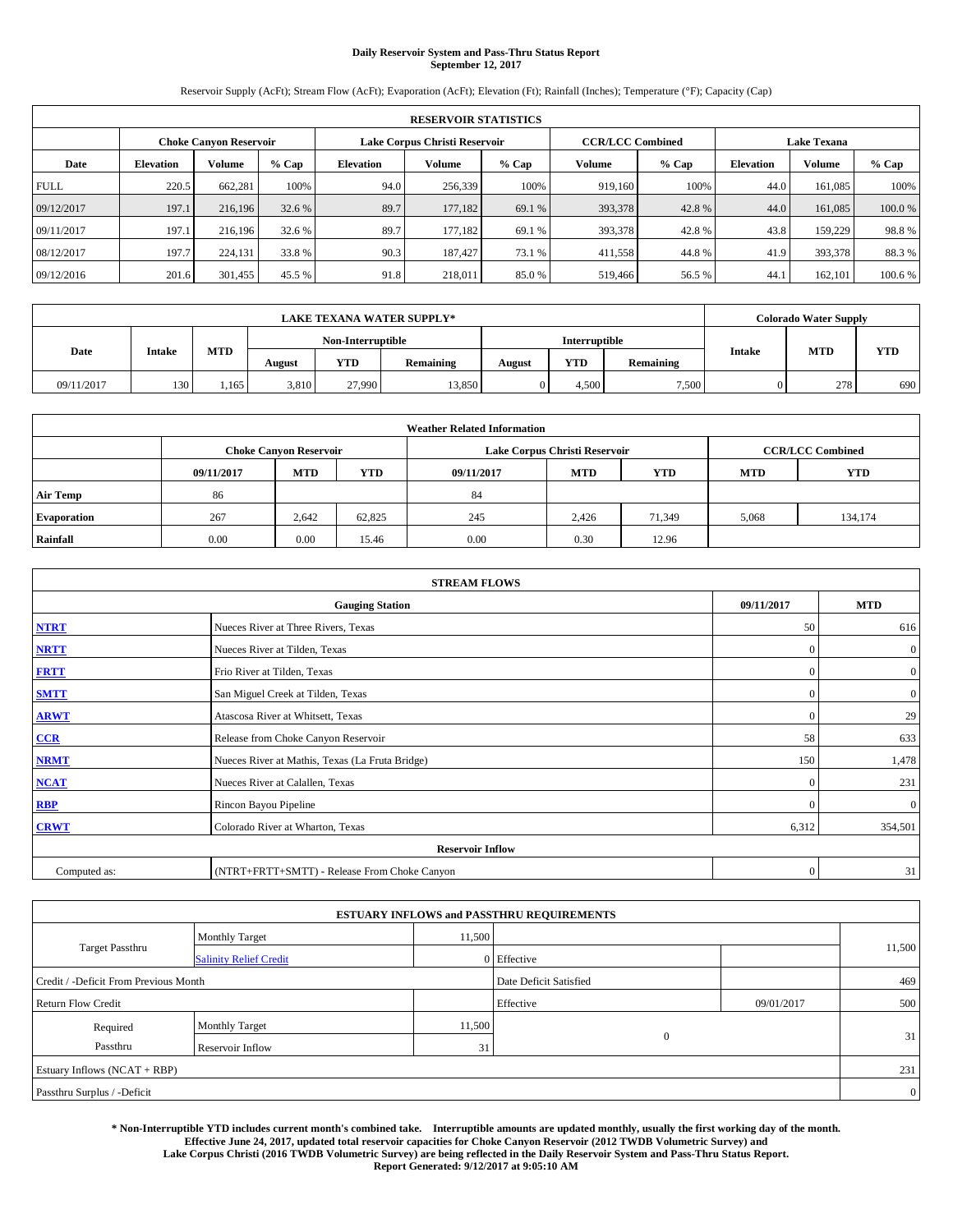# **Daily Reservoir System and Pass-Thru Status Report September 12, 2017**

Reservoir Supply (AcFt); Stream Flow (AcFt); Evaporation (AcFt); Elevation (Ft); Rainfall (Inches); Temperature (°F); Capacity (Cap)

| <b>RESERVOIR STATISTICS</b> |                  |                        |         |                  |                               |         |                         |         |                    |               |         |  |
|-----------------------------|------------------|------------------------|---------|------------------|-------------------------------|---------|-------------------------|---------|--------------------|---------------|---------|--|
|                             |                  | Choke Canvon Reservoir |         |                  | Lake Corpus Christi Reservoir |         | <b>CCR/LCC Combined</b> |         | <b>Lake Texana</b> |               |         |  |
| Date                        | <b>Elevation</b> | Volume                 | $%$ Cap | <b>Elevation</b> | Volume                        | $%$ Cap | Volume                  | $%$ Cap | <b>Elevation</b>   | <b>Volume</b> | % Cap   |  |
| <b>FULL</b>                 | 220.5            | 662,281                | 100%    | 94.0             | 256,339                       | 100%    | 919.160                 | 100%    | 44.0               | 161.085       | 100%    |  |
| 09/12/2017                  | 197.1            | 216,196                | 32.6 %  | 89.7             | 177,182                       | 69.1 %  | 393,378                 | 42.8%   | 44.0               | 161,085       | 100.0%  |  |
| 09/11/2017                  | 197.1            | 216.196                | 32.6 %  | 89.7             | 177.182                       | 69.1 %  | 393,378                 | 42.8%   | 43.8               | 159,229       | 98.8%   |  |
| 08/12/2017                  | 197.7            | 224,131                | 33.8 %  | 90.3             | 187.427                       | 73.1 %  | 411,558                 | 44.8%   | 41.9               | 393,378       | 88.3%   |  |
| 09/12/2016                  | 201.6            | 301,455                | 45.5 %  | 91.8             | 218,011                       | 85.0%   | 519,466                 | 56.5 %  | 44.                | 162,101       | 100.6 % |  |

| <b>LAKE TEXANA WATER SUPPLY*</b> |               |       |                   |        |           |               |            | <b>Colorado Water Supply</b> |               |            |            |
|----------------------------------|---------------|-------|-------------------|--------|-----------|---------------|------------|------------------------------|---------------|------------|------------|
|                                  |               |       | Non-Interruptible |        |           | Interruptible |            |                              |               |            |            |
| Date                             | <b>Intake</b> | MTD   | August            | YTD    | Remaining | August        | <b>YTD</b> | Remaining                    | <b>Intake</b> | <b>MTD</b> | <b>YTD</b> |
| 09/11/2017                       | 130           | 1.165 | 3.810             | 27,990 | 13,850    |               | 4.500      | 7,500                        |               | 278        | 690        |

| <b>Weather Related Information</b> |            |                               |            |            |                               |                         |            |            |  |  |
|------------------------------------|------------|-------------------------------|------------|------------|-------------------------------|-------------------------|------------|------------|--|--|
|                                    |            | <b>Choke Canyon Reservoir</b> |            |            | Lake Corpus Christi Reservoir | <b>CCR/LCC Combined</b> |            |            |  |  |
|                                    | 09/11/2017 | <b>MTD</b>                    | <b>YTD</b> | 09/11/2017 | <b>MTD</b>                    | YTD.                    | <b>MTD</b> | <b>YTD</b> |  |  |
| <b>Air Temp</b>                    | 86         |                               |            | 84         |                               |                         |            |            |  |  |
| <b>Evaporation</b>                 | 267        | 2.642                         | 62,825     | 245        | 2.426                         | 71.349                  | 5,068      | 134,174    |  |  |
| Rainfall                           | 0.00       | 0.00                          | 15.46      | 0.00       | 0.30                          | 12.96                   |            |            |  |  |

| <b>STREAM FLOWS</b> |                                                 |              |                  |  |  |  |  |  |  |
|---------------------|-------------------------------------------------|--------------|------------------|--|--|--|--|--|--|
|                     | <b>Gauging Station</b>                          |              |                  |  |  |  |  |  |  |
| <b>NTRT</b>         | Nueces River at Three Rivers, Texas             |              |                  |  |  |  |  |  |  |
| <b>NRTT</b>         | Nueces River at Tilden, Texas                   | $\mathbf{0}$ | $\boldsymbol{0}$ |  |  |  |  |  |  |
| <b>FRTT</b>         | Frio River at Tilden, Texas                     | $\mathbf{0}$ | $\boldsymbol{0}$ |  |  |  |  |  |  |
| <b>SMTT</b>         | San Miguel Creek at Tilden, Texas               |              |                  |  |  |  |  |  |  |
| <b>ARWT</b>         | $\mathbf{0}$                                    | 29           |                  |  |  |  |  |  |  |
| $CCR$               | Release from Choke Canyon Reservoir             |              |                  |  |  |  |  |  |  |
| <b>NRMT</b>         | Nueces River at Mathis, Texas (La Fruta Bridge) | 150          | 1,478            |  |  |  |  |  |  |
| <b>NCAT</b>         | Nueces River at Calallen, Texas                 | $\mathbf{0}$ | 231              |  |  |  |  |  |  |
| RBP                 | Rincon Bayou Pipeline                           | $\Omega$     | $\mathbf{0}$     |  |  |  |  |  |  |
| <b>CRWT</b>         | Colorado River at Wharton, Texas                |              |                  |  |  |  |  |  |  |
|                     |                                                 |              |                  |  |  |  |  |  |  |
| Computed as:        | (NTRT+FRTT+SMTT) - Release From Choke Canyon    |              |                  |  |  |  |  |  |  |

| <b>ESTUARY INFLOWS and PASSTHRU REQUIREMENTS</b> |                               |        |                        |            |                |  |  |  |  |  |
|--------------------------------------------------|-------------------------------|--------|------------------------|------------|----------------|--|--|--|--|--|
|                                                  | <b>Monthly Target</b>         | 11,500 |                        |            |                |  |  |  |  |  |
| <b>Target Passthru</b>                           | <b>Salinity Relief Credit</b> |        | 0 Effective            |            | 11,500         |  |  |  |  |  |
| Credit / -Deficit From Previous Month            |                               |        | Date Deficit Satisfied |            | 469            |  |  |  |  |  |
| <b>Return Flow Credit</b>                        |                               |        | Effective              | 09/01/2017 | 500            |  |  |  |  |  |
| Required                                         | <b>Monthly Target</b>         | 11,500 |                        |            |                |  |  |  |  |  |
| Passthru                                         | <b>Reservoir Inflow</b>       | 31     | $\mathbf{0}$           |            | 31             |  |  |  |  |  |
| Estuary Inflows $(NCAT + RBP)$                   |                               |        |                        |            | 231            |  |  |  |  |  |
| Passthru Surplus / -Deficit                      |                               |        |                        |            | $\overline{0}$ |  |  |  |  |  |

**\* Non-Interruptible YTD includes current month's combined take. Interruptible amounts are updated monthly, usually the first working day of the month. Effective June 24, 2017, updated total reservoir capacities for Choke Canyon Reservoir (2012 TWDB Volumetric Survey) and Lake Corpus Christi (2016 TWDB Volumetric Survey) are being reflected in the Daily Reservoir System and Pass-Thru Status Report. Report Generated: 9/12/2017 at 9:05:10 AM**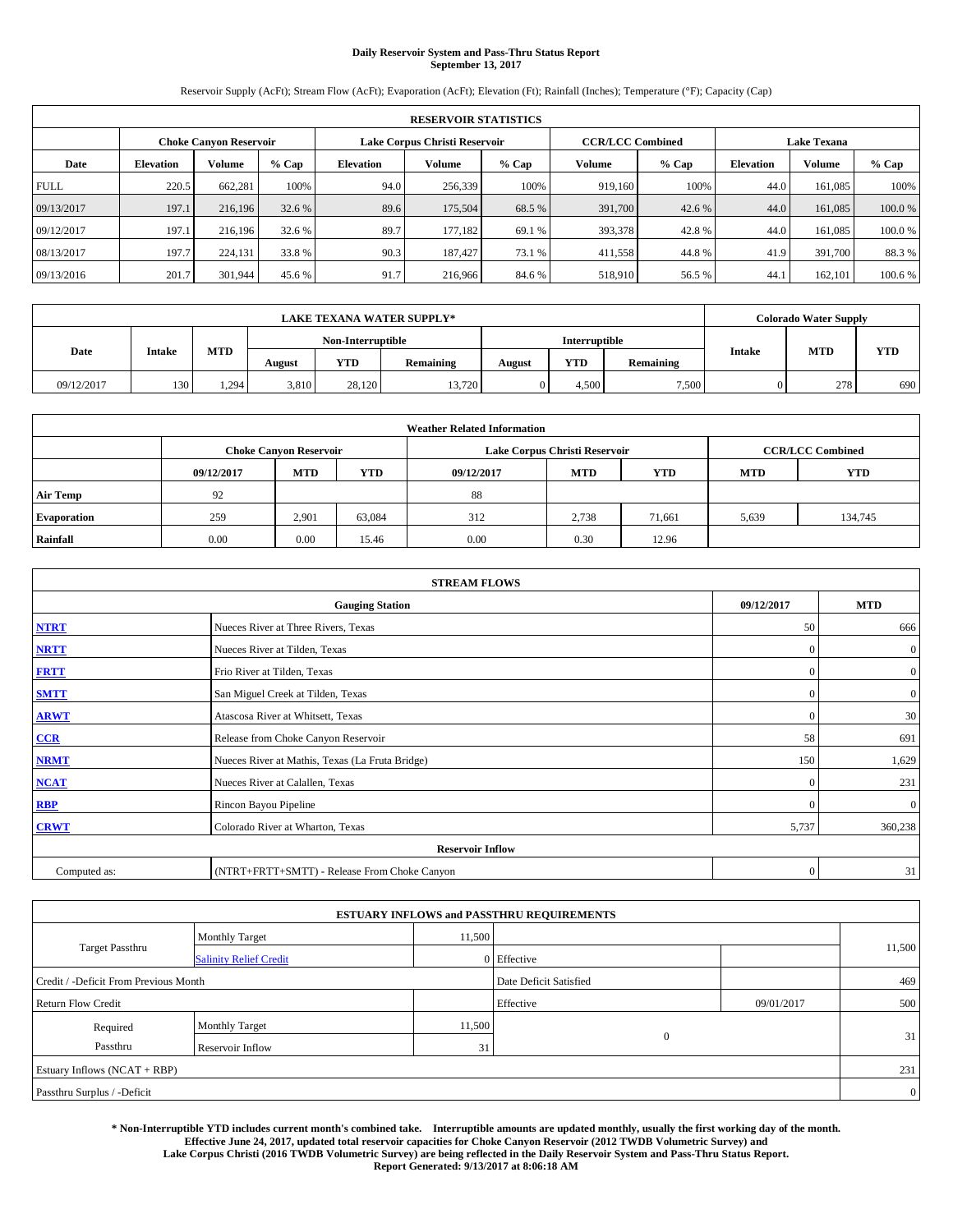# **Daily Reservoir System and Pass-Thru Status Report September 13, 2017**

Reservoir Supply (AcFt); Stream Flow (AcFt); Evaporation (AcFt); Elevation (Ft); Rainfall (Inches); Temperature (°F); Capacity (Cap)

|             | <b>RESERVOIR STATISTICS</b> |                        |         |                  |                               |         |                         |         |                    |               |         |
|-------------|-----------------------------|------------------------|---------|------------------|-------------------------------|---------|-------------------------|---------|--------------------|---------------|---------|
|             |                             | Choke Canvon Reservoir |         |                  | Lake Corpus Christi Reservoir |         | <b>CCR/LCC Combined</b> |         | <b>Lake Texana</b> |               |         |
| Date        | <b>Elevation</b>            | Volume                 | $%$ Cap | <b>Elevation</b> | Volume                        | $%$ Cap | Volume                  | $%$ Cap | <b>Elevation</b>   | <b>Volume</b> | % Cap   |
| <b>FULL</b> | 220.5                       | 662,281                | 100%    | 94.0             | 256,339                       | 100%    | 919.160                 | 100%    | 44.0               | 161.085       | 100%    |
| 09/13/2017  | 197.1                       | 216,196                | 32.6 %  | 89.6             | 175,504                       | 68.5 %  | 391,700                 | 42.6 %  | 44.0               | 161,085       | 100.0%  |
| 09/12/2017  | 197.1                       | 216.196                | 32.6 %  | 89.7             | 177.182                       | 69.1 %  | 393,378                 | 42.8%   | 44.0               | 161.085       | 100.0%  |
| 08/13/2017  | 197.7                       | 224,131                | 33.8 %  | 90.3             | 187.427                       | 73.1 %  | 411,558                 | 44.8%   | 41.9               | 391,700       | 88.3%   |
| 09/13/2016  | 201.7                       | 301,944                | 45.6 %  | 91.7             | 216,966                       | 84.6 %  | 518,910                 | 56.5 %  | 44.                | 162,101       | 100.6 % |

|            | <b>LAKE TEXANA WATER SUPPLY*</b> |            |        |                   |           |               |            |           |  | <b>Colorado Water Supply</b> |            |  |
|------------|----------------------------------|------------|--------|-------------------|-----------|---------------|------------|-----------|--|------------------------------|------------|--|
|            |                                  |            |        | Non-Interruptible |           | Interruptible |            |           |  |                              |            |  |
| Date       | <b>Intake</b>                    | <b>MTD</b> | August | YTD               | Remaining | August        | <b>YTD</b> | Remaining |  | MTD<br><b>Intake</b>         | <b>YTD</b> |  |
| 09/12/2017 | 130                              | 1,294      | 3,810  | 28.120            | 13.720    |               | 4.500      | 7,500     |  | 278                          | 690        |  |

| <b>Weather Related Information</b> |                                                                                  |                               |        |      |                               |                         |       |            |  |  |
|------------------------------------|----------------------------------------------------------------------------------|-------------------------------|--------|------|-------------------------------|-------------------------|-------|------------|--|--|
|                                    |                                                                                  | <b>Choke Canyon Reservoir</b> |        |      | Lake Corpus Christi Reservoir | <b>CCR/LCC Combined</b> |       |            |  |  |
|                                    | <b>YTD</b><br><b>MTD</b><br><b>MTD</b><br><b>YTD</b><br>09/12/2017<br>09/12/2017 |                               |        |      |                               |                         |       | <b>YTD</b> |  |  |
| <b>Air Temp</b>                    | 92                                                                               |                               |        | 88   |                               |                         |       |            |  |  |
| <b>Evaporation</b>                 | 259                                                                              | 2,901                         | 63,084 | 312  | 2,738                         | 71,661                  | 5,639 | 134,745    |  |  |
| Rainfall                           | 0.00                                                                             | 0.00                          | 15.46  | 0.00 | 0.30                          | 12.96                   |       |            |  |  |

|              | <b>STREAM FLOWS</b>                             |              |                  |  |  |  |  |  |  |  |  |  |
|--------------|-------------------------------------------------|--------------|------------------|--|--|--|--|--|--|--|--|--|
|              | <b>Gauging Station</b>                          | 09/12/2017   | <b>MTD</b>       |  |  |  |  |  |  |  |  |  |
| <b>NTRT</b>  | Nueces River at Three Rivers, Texas             | 50           | 666              |  |  |  |  |  |  |  |  |  |
| <b>NRTT</b>  | Nueces River at Tilden, Texas                   | $\Omega$     | $\boldsymbol{0}$ |  |  |  |  |  |  |  |  |  |
| <b>FRTT</b>  | Frio River at Tilden, Texas                     | $\mathbf{0}$ | $\boldsymbol{0}$ |  |  |  |  |  |  |  |  |  |
| <b>SMTT</b>  | San Miguel Creek at Tilden, Texas               | $\mathbf{0}$ | $\mathbf{0}$     |  |  |  |  |  |  |  |  |  |
| <b>ARWT</b>  | Atascosa River at Whitsett, Texas               | $\Omega$     | 30               |  |  |  |  |  |  |  |  |  |
| CCR          | Release from Choke Canyon Reservoir             | 58           | 691              |  |  |  |  |  |  |  |  |  |
| <b>NRMT</b>  | Nueces River at Mathis, Texas (La Fruta Bridge) | 150          | 1,629            |  |  |  |  |  |  |  |  |  |
| <b>NCAT</b>  | Nueces River at Calallen, Texas                 | $\Omega$     | 231              |  |  |  |  |  |  |  |  |  |
| RBP          | Rincon Bayou Pipeline                           | $\Omega$     | $\mathbf{0}$     |  |  |  |  |  |  |  |  |  |
| <b>CRWT</b>  | Colorado River at Wharton, Texas                | 5,737        | 360,238          |  |  |  |  |  |  |  |  |  |
|              | <b>Reservoir Inflow</b>                         |              |                  |  |  |  |  |  |  |  |  |  |
| Computed as: | (NTRT+FRTT+SMTT) - Release From Choke Canyon    | $\mathbf{0}$ | 31               |  |  |  |  |  |  |  |  |  |

| <b>ESTUARY INFLOWS and PASSTHRU REQUIREMENTS</b> |                               |        |                        |            |        |  |  |  |  |  |
|--------------------------------------------------|-------------------------------|--------|------------------------|------------|--------|--|--|--|--|--|
|                                                  | <b>Monthly Target</b>         | 11,500 |                        |            |        |  |  |  |  |  |
| <b>Target Passthru</b>                           | <b>Salinity Relief Credit</b> |        | 0 Effective            |            | 11,500 |  |  |  |  |  |
| Credit / -Deficit From Previous Month            |                               |        | Date Deficit Satisfied | 469        |        |  |  |  |  |  |
| <b>Return Flow Credit</b>                        |                               |        | Effective              | 09/01/2017 | 500    |  |  |  |  |  |
| Required                                         | <b>Monthly Target</b>         | 11,500 |                        |            |        |  |  |  |  |  |
| Passthru                                         | <b>Reservoir Inflow</b>       | 31     | $\mathbf{0}$           |            | 31     |  |  |  |  |  |
| Estuary Inflows $(NCAT + RBP)$                   |                               |        |                        |            | 231    |  |  |  |  |  |
| Passthru Surplus / -Deficit                      |                               |        |                        |            |        |  |  |  |  |  |

**\* Non-Interruptible YTD includes current month's combined take. Interruptible amounts are updated monthly, usually the first working day of the month. Effective June 24, 2017, updated total reservoir capacities for Choke Canyon Reservoir (2012 TWDB Volumetric Survey) and Lake Corpus Christi (2016 TWDB Volumetric Survey) are being reflected in the Daily Reservoir System and Pass-Thru Status Report. Report Generated: 9/13/2017 at 8:06:18 AM**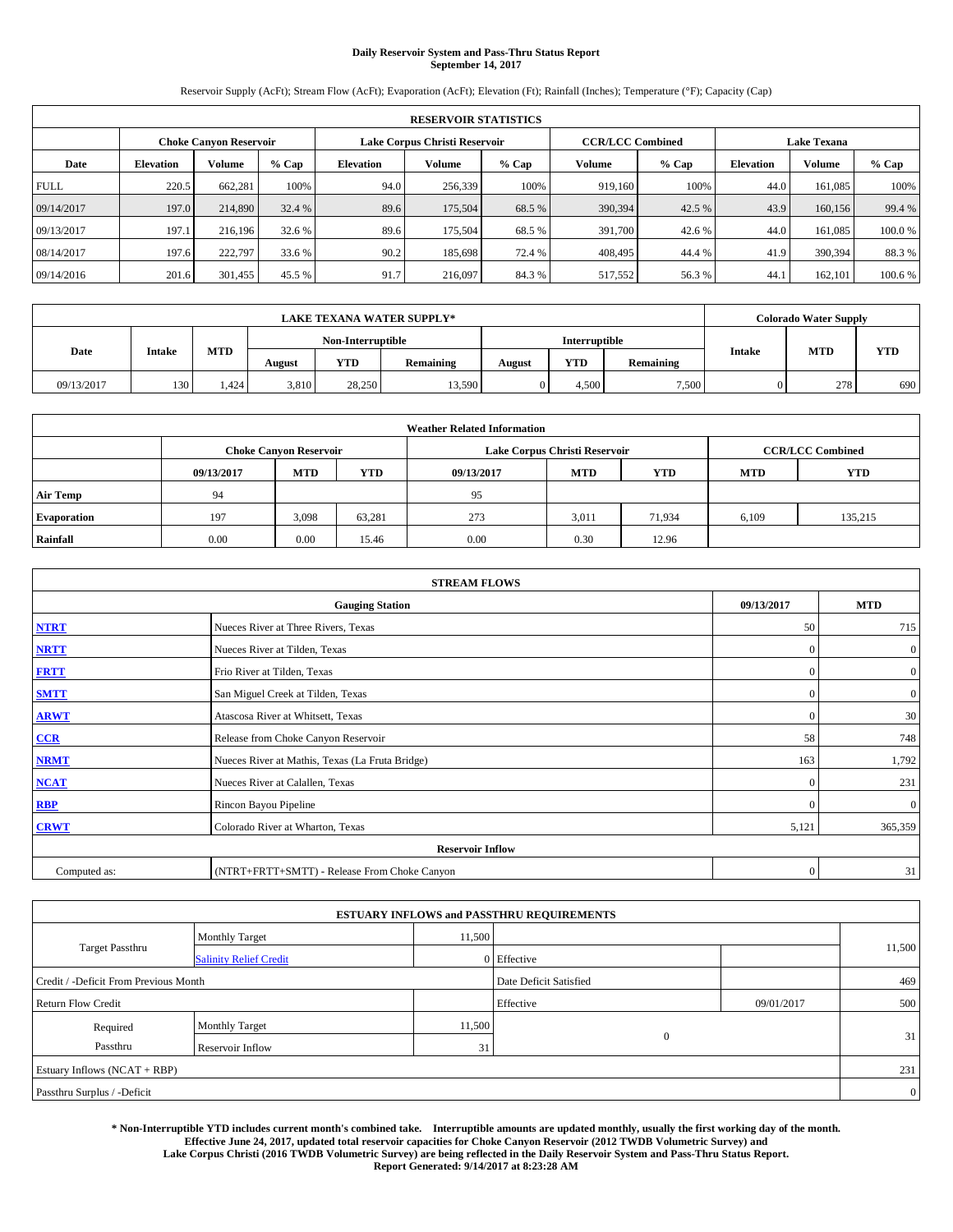# **Daily Reservoir System and Pass-Thru Status Report September 14, 2017**

Reservoir Supply (AcFt); Stream Flow (AcFt); Evaporation (AcFt); Elevation (Ft); Rainfall (Inches); Temperature (°F); Capacity (Cap)

|             | <b>RESERVOIR STATISTICS</b> |                        |         |                  |                               |         |                         |         |                  |                    |         |  |
|-------------|-----------------------------|------------------------|---------|------------------|-------------------------------|---------|-------------------------|---------|------------------|--------------------|---------|--|
|             |                             | Choke Canvon Reservoir |         |                  | Lake Corpus Christi Reservoir |         | <b>CCR/LCC Combined</b> |         |                  | <b>Lake Texana</b> |         |  |
| Date        | <b>Elevation</b>            | Volume                 | $%$ Cap | <b>Elevation</b> | Volume                        | $%$ Cap | Volume                  | $%$ Cap | <b>Elevation</b> | <b>Volume</b>      | % Cap   |  |
| <b>FULL</b> | 220.5                       | 662,281                | 100%    | 94.0             | 256,339                       | 100%    | 919.160                 | 100%    | 44.0             | 161.085            | 100%    |  |
| 09/14/2017  | 197.0                       | 214,890                | 32.4 %  | 89.6             | 175,504                       | 68.5 %  | 390,394                 | 42.5 %  | 43.9             | 160,156            | 99.4 %  |  |
| 09/13/2017  | 197.1                       | 216,196                | 32.6 %  | 89.6             | 175,504                       | 68.5 %  | 391,700                 | 42.6 %  | 44.0             | 161.085            | 100.0%  |  |
| 08/14/2017  | 197.6                       | 222,797                | 33.6 %  | 90.2             | 185.698                       | 72.4 %  | 408,495                 | 44.4 %  | 41.9             | 390,394            | 88.3%   |  |
| 09/14/2016  | 201.6                       | 301,455                | 45.5 %  | 91.7             | 216,097                       | 84.3%   | 517,552                 | 56.3%   | 44.              | 162,101            | 100.6 % |  |

|            | <b>LAKE TEXANA WATER SUPPLY*</b> |       |        |                   |           |        |               |           |               | <b>Colorado Water Supply</b> |            |
|------------|----------------------------------|-------|--------|-------------------|-----------|--------|---------------|-----------|---------------|------------------------------|------------|
|            |                                  |       |        | Non-Interruptible |           |        | Interruptible |           |               |                              |            |
| Date       | <b>Intake</b>                    | MTD   | August | YTD               | Remaining | August | <b>YTD</b>    | Remaining | <b>Intake</b> | <b>MTD</b>                   | <b>YTD</b> |
| 09/13/2017 | 130                              | . 424 | 3,810  | 28.250            | 13,590    |        | 4.500         | 7,500     |               | 278                          | 690        |

| <b>Weather Related Information</b> |            |                                                                                  |        |      |                               |                         |       |            |  |  |
|------------------------------------|------------|----------------------------------------------------------------------------------|--------|------|-------------------------------|-------------------------|-------|------------|--|--|
|                                    |            | <b>Choke Canyon Reservoir</b>                                                    |        |      | Lake Corpus Christi Reservoir | <b>CCR/LCC Combined</b> |       |            |  |  |
|                                    | 09/13/2017 | <b>YTD</b><br><b>MTD</b><br><b>MTD</b><br><b>YTD</b><br>09/13/2017<br><b>MTD</b> |        |      |                               |                         |       | <b>YTD</b> |  |  |
| <b>Air Temp</b>                    | 94         |                                                                                  |        | 95   |                               |                         |       |            |  |  |
| <b>Evaporation</b>                 | 197        | 3,098                                                                            | 63,281 | 273  | 3,011                         | 71.934                  | 6,109 | 135,215    |  |  |
| Rainfall                           | 0.00       | 0.00                                                                             | 15.46  | 0.00 | 0.30                          | 12.96                   |       |            |  |  |

|              | <b>STREAM FLOWS</b>                             |              |                  |  |  |  |  |  |  |  |  |
|--------------|-------------------------------------------------|--------------|------------------|--|--|--|--|--|--|--|--|
|              | <b>Gauging Station</b>                          | 09/13/2017   | <b>MTD</b>       |  |  |  |  |  |  |  |  |
| <b>NTRT</b>  | Nueces River at Three Rivers, Texas             | 50           | 715              |  |  |  |  |  |  |  |  |
| <b>NRTT</b>  | Nueces River at Tilden, Texas                   | $\Omega$     | $\boldsymbol{0}$ |  |  |  |  |  |  |  |  |
| <b>FRTT</b>  | Frio River at Tilden, Texas                     | $\mathbf{0}$ | $\mathbf{0}$     |  |  |  |  |  |  |  |  |
| <b>SMTT</b>  | San Miguel Creek at Tilden, Texas               | $\mathbf{0}$ | $\overline{0}$   |  |  |  |  |  |  |  |  |
| <b>ARWT</b>  | Atascosa River at Whitsett, Texas               | $\Omega$     | 30               |  |  |  |  |  |  |  |  |
| CCR          | Release from Choke Canyon Reservoir             | 58           | 748              |  |  |  |  |  |  |  |  |
| <b>NRMT</b>  | Nueces River at Mathis, Texas (La Fruta Bridge) | 163          | 1,792            |  |  |  |  |  |  |  |  |
| <b>NCAT</b>  | Nueces River at Calallen, Texas                 | $\Omega$     | 231              |  |  |  |  |  |  |  |  |
| <b>RBP</b>   | Rincon Bayou Pipeline                           | $\Omega$     | $\mathbf{0}$     |  |  |  |  |  |  |  |  |
| <b>CRWT</b>  | Colorado River at Wharton, Texas                | 5,121        | 365,359          |  |  |  |  |  |  |  |  |
|              | <b>Reservoir Inflow</b>                         |              |                  |  |  |  |  |  |  |  |  |
| Computed as: | (NTRT+FRTT+SMTT) - Release From Choke Canyon    | $\mathbf{0}$ | 31               |  |  |  |  |  |  |  |  |

| <b>ESTUARY INFLOWS and PASSTHRU REQUIREMENTS</b> |                               |                        |             |     |        |  |  |  |  |  |
|--------------------------------------------------|-------------------------------|------------------------|-------------|-----|--------|--|--|--|--|--|
|                                                  | <b>Monthly Target</b>         | 11,500                 |             |     |        |  |  |  |  |  |
| Target Passthru                                  | <b>Salinity Relief Credit</b> |                        | 0 Effective |     | 11,500 |  |  |  |  |  |
| Credit / -Deficit From Previous Month            |                               | Date Deficit Satisfied |             | 469 |        |  |  |  |  |  |
| <b>Return Flow Credit</b>                        |                               | Effective              | 09/01/2017  | 500 |        |  |  |  |  |  |
| Required                                         | <b>Monthly Target</b>         | 11,500                 |             |     |        |  |  |  |  |  |
| Passthru                                         | <b>Reservoir Inflow</b>       | 31                     | $\Omega$    |     | 31     |  |  |  |  |  |
| Estuary Inflows (NCAT + RBP)                     |                               |                        |             |     |        |  |  |  |  |  |
| Passthru Surplus / -Deficit                      |                               |                        |             |     |        |  |  |  |  |  |

**\* Non-Interruptible YTD includes current month's combined take. Interruptible amounts are updated monthly, usually the first working day of the month. Effective June 24, 2017, updated total reservoir capacities for Choke Canyon Reservoir (2012 TWDB Volumetric Survey) and Lake Corpus Christi (2016 TWDB Volumetric Survey) are being reflected in the Daily Reservoir System and Pass-Thru Status Report. Report Generated: 9/14/2017 at 8:23:28 AM**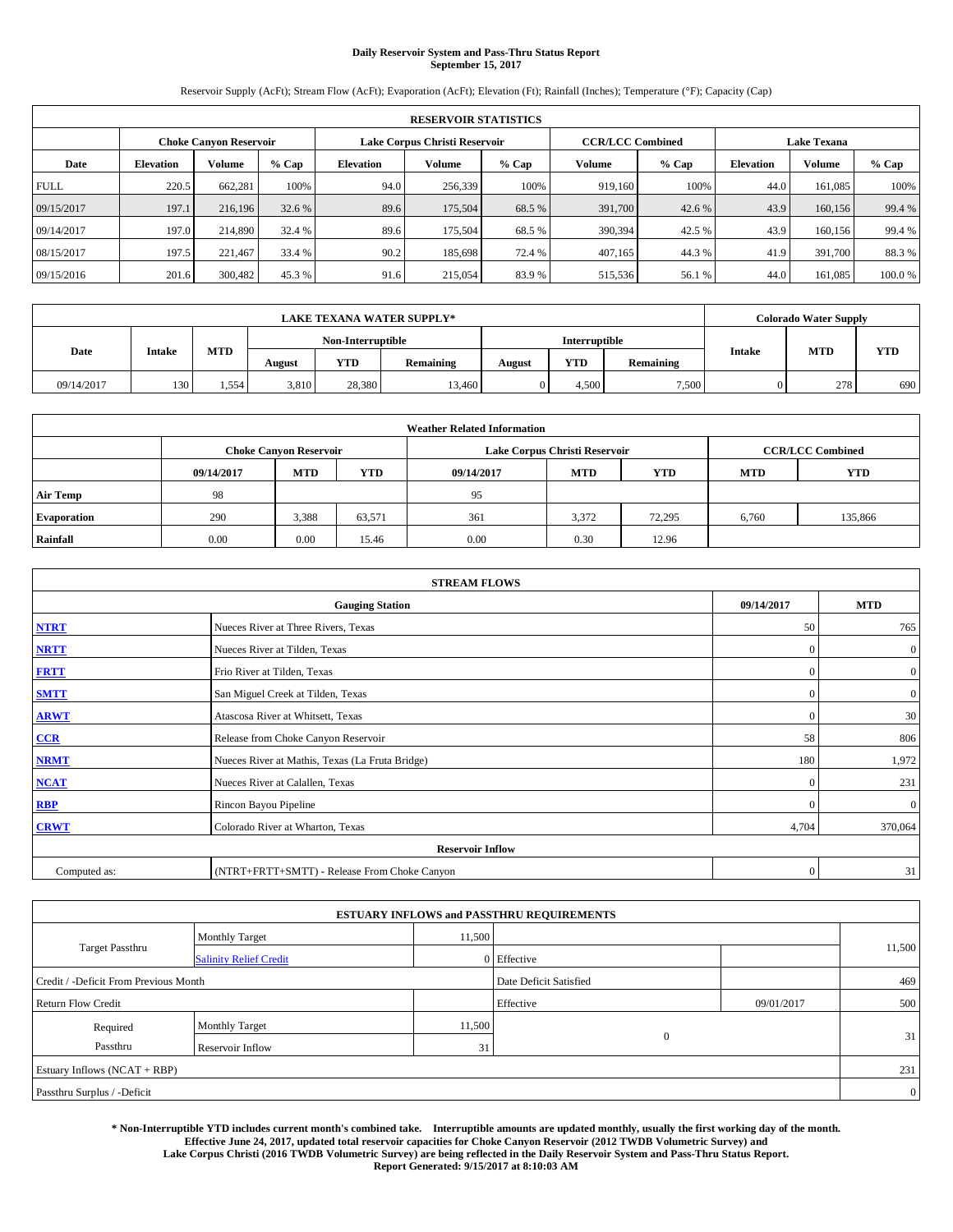# **Daily Reservoir System and Pass-Thru Status Report September 15, 2017**

Reservoir Supply (AcFt); Stream Flow (AcFt); Evaporation (AcFt); Elevation (Ft); Rainfall (Inches); Temperature (°F); Capacity (Cap)

|             | <b>RESERVOIR STATISTICS</b> |         |         |                  |                               |         |                         |         |                  |                    |        |  |
|-------------|-----------------------------|---------|---------|------------------|-------------------------------|---------|-------------------------|---------|------------------|--------------------|--------|--|
|             | Choke Canvon Reservoir      |         |         |                  | Lake Corpus Christi Reservoir |         | <b>CCR/LCC Combined</b> |         |                  | <b>Lake Texana</b> |        |  |
| Date        | <b>Elevation</b>            | Volume  | $%$ Cap | <b>Elevation</b> | Volume                        | $%$ Cap | <b>Volume</b>           | $%$ Cap | <b>Elevation</b> | <b>Volume</b>      | % Cap  |  |
| <b>FULL</b> | 220.5                       | 662,281 | 100%    | 94.0             | 256,339                       | 100%    | 919.160                 | 100%    | 44.0             | 161.085            | 100%   |  |
| 09/15/2017  | 197.1                       | 216,196 | 32.6 %  | 89.6             | 175,504                       | 68.5 %  | 391,700                 | 42.6 %  | 43.9             | 160,156            | 99.4 % |  |
| 09/14/2017  | 197.0                       | 214,890 | 32.4 %  | 89.6             | 175,504                       | 68.5 %  | 390,394                 | 42.5 %  | 43.9             | 160,156            | 99.4 % |  |
| 08/15/2017  | 197.5                       | 221.467 | 33.4 %  | 90.2             | 185.698                       | 72.4 %  | 407.165                 | 44.3 %  | 41.9             | 391,700            | 88.3%  |  |
| 09/15/2016  | 201.6                       | 300,482 | 45.3%   | 91.6             | 215,054                       | 83.9%   | 515,536                 | 56.1 %  | 44.0             | 161.085            | 100.0% |  |

|            | <b>LAKE TEXANA WATER SUPPLY*</b> |       |        |                   |           |               |            |           |               | <b>Colorado Water Supply</b> |            |
|------------|----------------------------------|-------|--------|-------------------|-----------|---------------|------------|-----------|---------------|------------------------------|------------|
|            |                                  |       |        | Non-Interruptible |           | Interruptible |            |           |               |                              |            |
| Date       | <b>Intake</b>                    | MTD   | August | YTD               | Remaining | August        | <b>YTD</b> | Remaining | <b>Intake</b> | <b>MTD</b>                   | <b>YTD</b> |
| 09/14/2017 | 130                              | 1,554 | 3,810  | 28.380            | 13,460    |               | 4.500      | 7,500     |               | 278                          | 690        |

| <b>Weather Related Information</b> |            |                               |            |            |                               |                         |            |            |  |
|------------------------------------|------------|-------------------------------|------------|------------|-------------------------------|-------------------------|------------|------------|--|
|                                    |            | <b>Choke Canyon Reservoir</b> |            |            | Lake Corpus Christi Reservoir | <b>CCR/LCC Combined</b> |            |            |  |
|                                    | 09/14/2017 | <b>MTD</b>                    | <b>YTD</b> | 09/14/2017 | <b>MTD</b>                    | <b>YTD</b>              | <b>MTD</b> | <b>YTD</b> |  |
| <b>Air Temp</b>                    | 98         |                               |            | 95         |                               |                         |            |            |  |
| <b>Evaporation</b>                 | 290        | 3,388                         | 63,571     | 361        | 3,372                         | 72.295                  | 6,760      | 135,866    |  |
| Rainfall                           | 0.00       | 0.00                          | 15.46      | 0.00       | 0.30                          | 12.96                   |            |            |  |

| <b>STREAM FLOWS</b> |                                                 |              |                  |  |  |  |  |  |
|---------------------|-------------------------------------------------|--------------|------------------|--|--|--|--|--|
|                     | 09/14/2017                                      | <b>MTD</b>   |                  |  |  |  |  |  |
| <b>NTRT</b>         | Nueces River at Three Rivers, Texas             | 50           | 765              |  |  |  |  |  |
| <b>NRTT</b>         | Nueces River at Tilden, Texas                   | $\Omega$     | $\boldsymbol{0}$ |  |  |  |  |  |
| <b>FRTT</b>         | Frio River at Tilden, Texas                     | $\mathbf{0}$ | $\mathbf{0}$     |  |  |  |  |  |
| <b>SMTT</b>         | San Miguel Creek at Tilden, Texas               | $\mathbf{0}$ | $\overline{0}$   |  |  |  |  |  |
| <b>ARWT</b>         | Atascosa River at Whitsett, Texas               | $\Omega$     | 30               |  |  |  |  |  |
| CCR                 | Release from Choke Canyon Reservoir             | 58           | 806              |  |  |  |  |  |
| <b>NRMT</b>         | Nueces River at Mathis, Texas (La Fruta Bridge) | 180          | 1,972            |  |  |  |  |  |
| <b>NCAT</b>         | Nueces River at Calallen, Texas                 | $\Omega$     | 231              |  |  |  |  |  |
| RBP                 | Rincon Bayou Pipeline                           | $\Omega$     | $\mathbf{0}$     |  |  |  |  |  |
| <b>CRWT</b>         | Colorado River at Wharton, Texas                | 4,704        | 370,064          |  |  |  |  |  |
|                     |                                                 |              |                  |  |  |  |  |  |
| Computed as:        | (NTRT+FRTT+SMTT) - Release From Choke Canyon    |              |                  |  |  |  |  |  |

|                                       |                               | <b>ESTUARY INFLOWS and PASSTHRU REQUIREMENTS</b> |                        |            |                |
|---------------------------------------|-------------------------------|--------------------------------------------------|------------------------|------------|----------------|
|                                       | <b>Monthly Target</b>         | 11,500                                           |                        |            |                |
| <b>Target Passthru</b>                | <b>Salinity Relief Credit</b> |                                                  | 0 Effective            |            | 11,500         |
| Credit / -Deficit From Previous Month |                               |                                                  | Date Deficit Satisfied |            | 469            |
| <b>Return Flow Credit</b>             |                               |                                                  | Effective              | 09/01/2017 | 500            |
| Required                              | <b>Monthly Target</b>         | 11,500                                           |                        |            |                |
| Passthru                              | <b>Reservoir Inflow</b>       | 31                                               | $\mathbf{0}$           |            | 31             |
| Estuary Inflows $(NCAT + RBP)$        |                               |                                                  |                        |            | 231            |
| Passthru Surplus / -Deficit           |                               |                                                  |                        |            | $\overline{0}$ |

**\* Non-Interruptible YTD includes current month's combined take. Interruptible amounts are updated monthly, usually the first working day of the month. Effective June 24, 2017, updated total reservoir capacities for Choke Canyon Reservoir (2012 TWDB Volumetric Survey) and Lake Corpus Christi (2016 TWDB Volumetric Survey) are being reflected in the Daily Reservoir System and Pass-Thru Status Report. Report Generated: 9/15/2017 at 8:10:03 AM**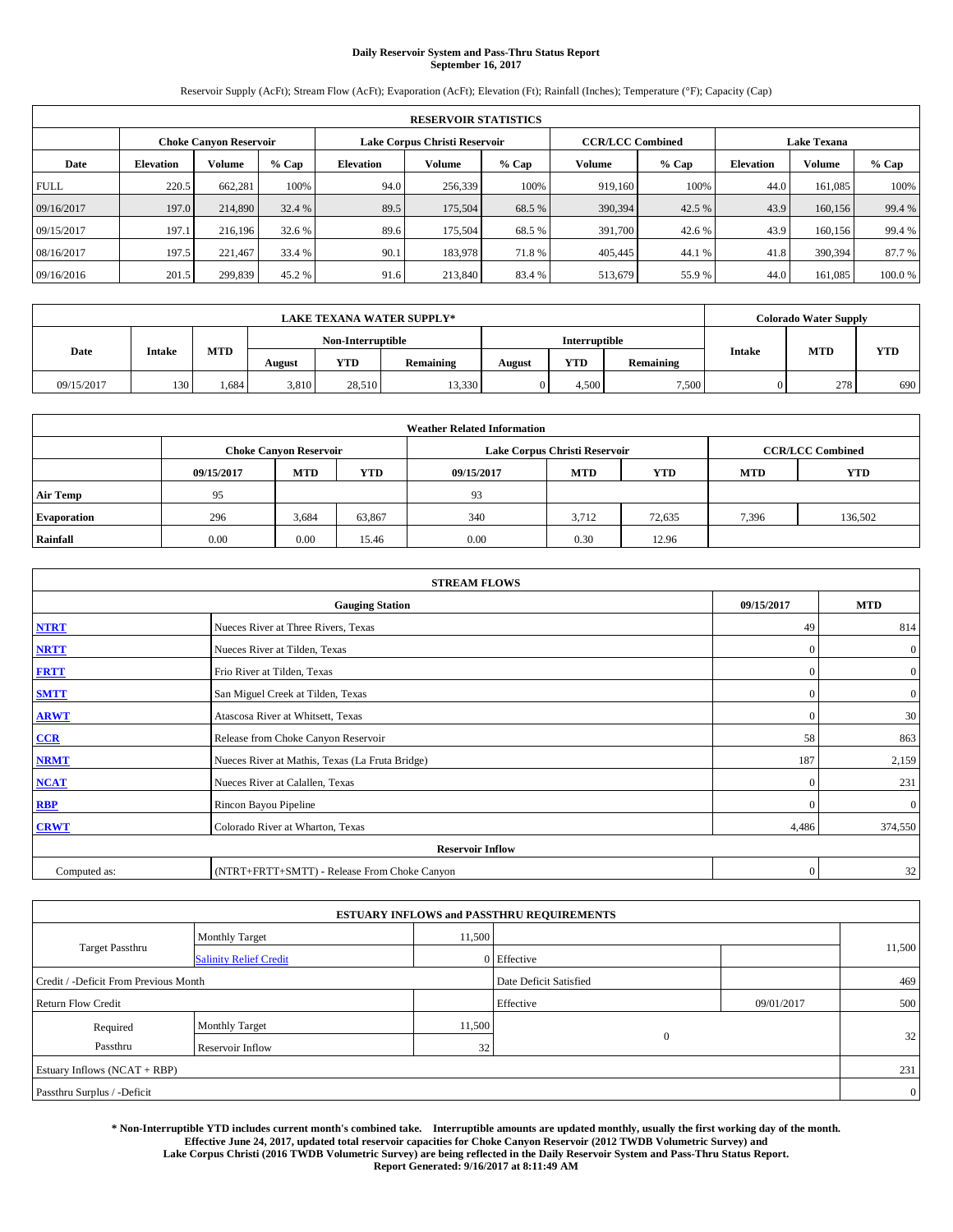# **Daily Reservoir System and Pass-Thru Status Report September 16, 2017**

Reservoir Supply (AcFt); Stream Flow (AcFt); Evaporation (AcFt); Elevation (Ft); Rainfall (Inches); Temperature (°F); Capacity (Cap)

| <b>RESERVOIR STATISTICS</b> |                  |                               |         |                  |                               |         |                         |         |                  |                    |        |
|-----------------------------|------------------|-------------------------------|---------|------------------|-------------------------------|---------|-------------------------|---------|------------------|--------------------|--------|
|                             |                  | <b>Choke Canyon Reservoir</b> |         |                  | Lake Corpus Christi Reservoir |         | <b>CCR/LCC Combined</b> |         |                  | <b>Lake Texana</b> |        |
| Date                        | <b>Elevation</b> | Volume                        | $%$ Cap | <b>Elevation</b> | Volume                        | $%$ Cap | Volume                  | $%$ Cap | <b>Elevation</b> | <b>Volume</b>      | % Cap  |
| <b>FULL</b>                 | 220.5            | 662.281                       | 100%    | 94.0             | 256,339                       | 100%    | 919.160                 | 100%    | 44.0             | 161.085            | 100%   |
| 09/16/2017                  | 197.0            | 214,890                       | 32.4 %  | 89.5             | 175,504                       | 68.5 %  | 390,394                 | 42.5 %  | 43.9             | 160,156            | 99.4 % |
| 09/15/2017                  | 197.1            | 216.196                       | 32.6 %  | 89.6             | 175,504                       | 68.5 %  | 391,700                 | 42.6%   | 43.9             | 160.156            | 99.4 % |
| 08/16/2017                  | 197.5            | 221.467                       | 33.4 %  | 90.1             | 183,978                       | 71.8%   | 405,445                 | 44.1 %  | 41.8             | 390,394            | 87.7 % |
| 09/16/2016                  | 201.5            | 299,839                       | 45.2 %  | 91.6             | 213,840                       | 83.4 %  | 513,679                 | 55.9%   | 44.0             | 161.085            | 100.0% |

| <b>LAKE TEXANA WATER SUPPLY*</b> |               |     |        |                   |           |        |               |           | <b>Colorado Water Supply</b> |            |
|----------------------------------|---------------|-----|--------|-------------------|-----------|--------|---------------|-----------|------------------------------|------------|
|                                  |               |     |        | Non-Interruptible |           |        | Interruptible |           |                              | <b>YTD</b> |
| Date                             | <b>Intake</b> | MTD | August | YTD               | Remaining | August | <b>YTD</b>    | Remaining | <b>MTD</b><br><b>Intake</b>  |            |
| 09/15/2017                       | 130           | 684 | 3.810  | 28.510            | 13,330    |        | 4.500         | 7,500     | 278                          | 690        |

| <b>Weather Related Information</b> |            |                               |            |            |                               |                         |            |            |  |
|------------------------------------|------------|-------------------------------|------------|------------|-------------------------------|-------------------------|------------|------------|--|
|                                    |            | <b>Choke Canyon Reservoir</b> |            |            | Lake Corpus Christi Reservoir | <b>CCR/LCC Combined</b> |            |            |  |
|                                    | 09/15/2017 | <b>MTD</b>                    | <b>YTD</b> | 09/15/2017 | <b>MTD</b>                    | <b>YTD</b>              | <b>MTD</b> | <b>YTD</b> |  |
| <b>Air Temp</b>                    | 95         |                               |            | 93         |                               |                         |            |            |  |
| <b>Evaporation</b>                 | 296        | 3,684                         | 63,867     | 340        | 3.712                         | 72,635                  | 7,396      | 136,502    |  |
| Rainfall                           | 0.00       | 0.00                          | 15.46      | 0.00       | 0.30                          | 12.96                   |            |            |  |

| <b>STREAM FLOWS</b> |                                                 |              |                  |  |  |  |  |  |
|---------------------|-------------------------------------------------|--------------|------------------|--|--|--|--|--|
|                     | 09/15/2017                                      | <b>MTD</b>   |                  |  |  |  |  |  |
| <b>NTRT</b>         | Nueces River at Three Rivers, Texas             | 49           | 814              |  |  |  |  |  |
| <b>NRTT</b>         | Nueces River at Tilden, Texas                   | $\mathbf{0}$ | $\boldsymbol{0}$ |  |  |  |  |  |
| <b>FRTT</b>         | Frio River at Tilden, Texas                     | $\mathbf{0}$ | $\boldsymbol{0}$ |  |  |  |  |  |
| <b>SMTT</b>         | San Miguel Creek at Tilden, Texas               | $\mathbf{0}$ | $\overline{0}$   |  |  |  |  |  |
| <b>ARWT</b>         | Atascosa River at Whitsett, Texas               | $\mathbf{0}$ | 30               |  |  |  |  |  |
| $CCR$               | Release from Choke Canyon Reservoir             | 58           | 863              |  |  |  |  |  |
| <b>NRMT</b>         | Nueces River at Mathis, Texas (La Fruta Bridge) | 187          | 2,159            |  |  |  |  |  |
| <b>NCAT</b>         | Nueces River at Calallen, Texas                 | $\mathbf{0}$ | 231              |  |  |  |  |  |
| RBP                 | Rincon Bayou Pipeline                           | $\Omega$     | $\mathbf{0}$     |  |  |  |  |  |
| <b>CRWT</b>         | Colorado River at Wharton, Texas                | 4,486        | 374,550          |  |  |  |  |  |
|                     | <b>Reservoir Inflow</b>                         |              |                  |  |  |  |  |  |
| Computed as:        | (NTRT+FRTT+SMTT) - Release From Choke Canyon    | $\mathbf{0}$ | 32               |  |  |  |  |  |

|                                       |                               |        | <b>ESTUARY INFLOWS and PASSTHRU REQUIREMENTS</b> |            |                 |  |  |  |
|---------------------------------------|-------------------------------|--------|--------------------------------------------------|------------|-----------------|--|--|--|
|                                       | <b>Monthly Target</b>         | 11,500 |                                                  |            |                 |  |  |  |
| Target Passthru                       | <b>Salinity Relief Credit</b> |        | 0 Effective                                      |            | 11,500          |  |  |  |
| Credit / -Deficit From Previous Month |                               |        | Date Deficit Satisfied                           |            | 469             |  |  |  |
| <b>Return Flow Credit</b>             |                               |        | Effective                                        | 09/01/2017 | 500             |  |  |  |
| Required                              | <b>Monthly Target</b>         | 11,500 |                                                  |            |                 |  |  |  |
| Passthru                              | <b>Reservoir Inflow</b>       | 32     | $\Omega$                                         |            | 32 <sub>1</sub> |  |  |  |
| Estuary Inflows (NCAT + RBP)          |                               |        |                                                  |            |                 |  |  |  |
| Passthru Surplus / -Deficit           |                               |        |                                                  |            | $\overline{0}$  |  |  |  |

**\* Non-Interruptible YTD includes current month's combined take. Interruptible amounts are updated monthly, usually the first working day of the month. Effective June 24, 2017, updated total reservoir capacities for Choke Canyon Reservoir (2012 TWDB Volumetric Survey) and Lake Corpus Christi (2016 TWDB Volumetric Survey) are being reflected in the Daily Reservoir System and Pass-Thru Status Report. Report Generated: 9/16/2017 at 8:11:49 AM**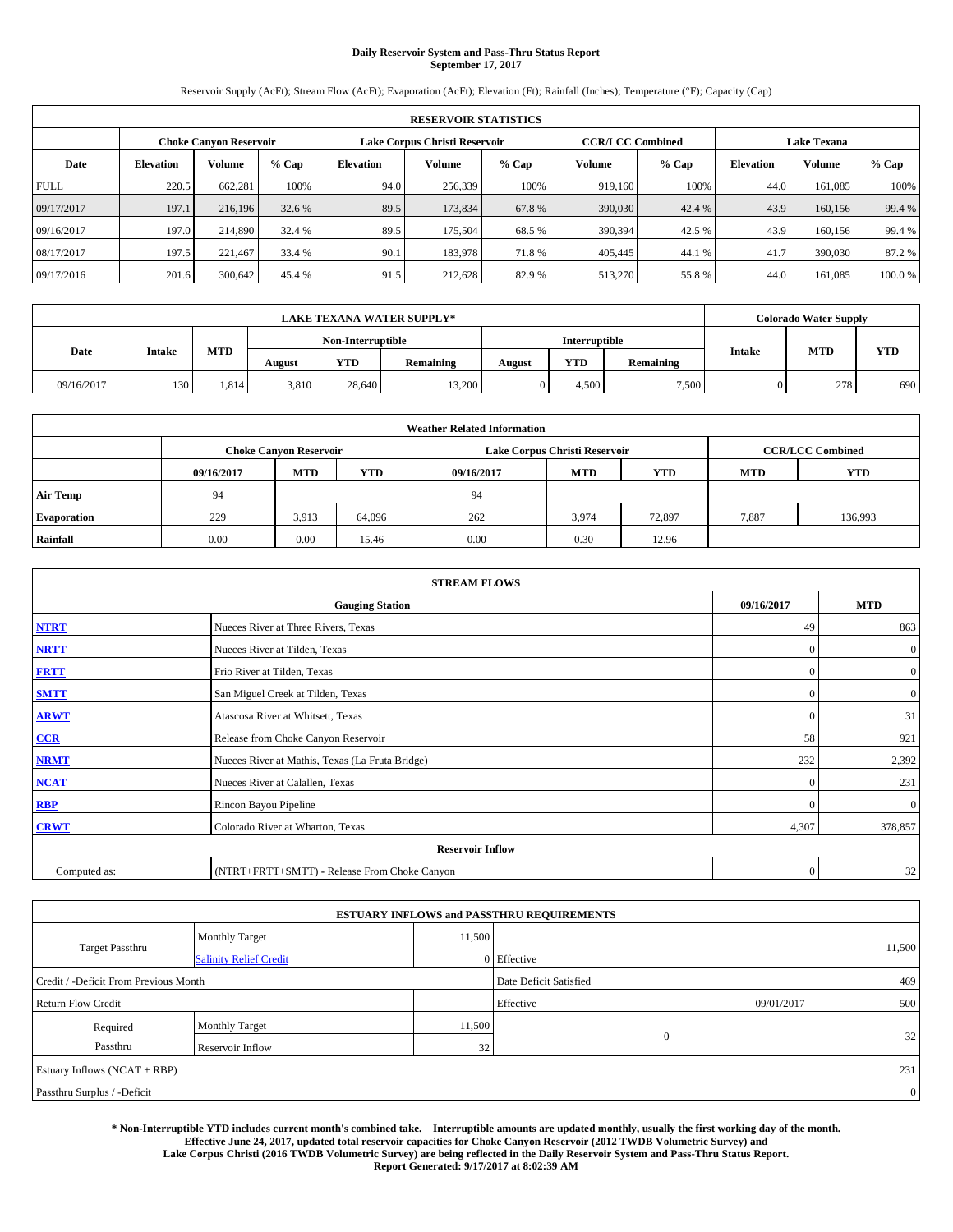# **Daily Reservoir System and Pass-Thru Status Report September 17, 2017**

Reservoir Supply (AcFt); Stream Flow (AcFt); Evaporation (AcFt); Elevation (Ft); Rainfall (Inches); Temperature (°F); Capacity (Cap)

| <b>RESERVOIR STATISTICS</b> |                  |                        |         |                  |                               |         |                         |         |                  |                    |        |  |
|-----------------------------|------------------|------------------------|---------|------------------|-------------------------------|---------|-------------------------|---------|------------------|--------------------|--------|--|
|                             |                  | Choke Canvon Reservoir |         |                  | Lake Corpus Christi Reservoir |         | <b>CCR/LCC Combined</b> |         |                  | <b>Lake Texana</b> |        |  |
| Date                        | <b>Elevation</b> | Volume                 | $%$ Cap | <b>Elevation</b> | Volume                        | $%$ Cap | <b>Volume</b>           | $%$ Cap | <b>Elevation</b> | <b>Volume</b>      | % Cap  |  |
| <b>FULL</b>                 | 220.5            | 662,281                | 100%    | 94.0             | 256,339                       | 100%    | 919.160                 | 100%    | 44.0             | 161.085            | 100%   |  |
| 09/17/2017                  | 197.1            | 216,196                | 32.6 %  | 89.5             | 173,834                       | 67.8%   | 390,030                 | 42.4 %  | 43.9             | 160,156            | 99.4 % |  |
| 09/16/2017                  | 197.0            | 214,890                | 32.4 %  | 89.5             | 175,504                       | 68.5 %  | 390,394                 | 42.5 %  | 43.9             | 160,156            | 99.4 % |  |
| 08/17/2017                  | 197.5            | 221.467                | 33.4 %  | 90.1             | 183,978                       | 71.8%   | 405,445                 | 44.1 %  | 41.7             | 390,030            | 87.2 % |  |
| 09/17/2016                  | 201.6            | 300,642                | 45.4 %  | 91.5             | 212,628                       | 82.9%   | 513,270                 | 55.8%   | 44.0             | 161.085            | 100.0% |  |

| <b>LAKE TEXANA WATER SUPPLY*</b> |               |       |        |                   |           |        |               |           |               | <b>Colorado Water Supply</b> |            |
|----------------------------------|---------------|-------|--------|-------------------|-----------|--------|---------------|-----------|---------------|------------------------------|------------|
|                                  |               |       |        | Non-Interruptible |           |        | Interruptible |           |               |                              |            |
| Date                             | <b>Intake</b> | MTD   | August | YTD               | Remaining | August | <b>YTD</b>    | Remaining | <b>Intake</b> | <b>MTD</b>                   | <b>YTD</b> |
| 09/16/2017                       | 130           | 1.814 | 3.810  | 28,640            | 13,200    |        | 4.500         | 7,500     |               | 278                          | 690        |

| <b>Weather Related Information</b> |            |                               |            |            |                                                      |                         |       |         |  |
|------------------------------------|------------|-------------------------------|------------|------------|------------------------------------------------------|-------------------------|-------|---------|--|
|                                    |            | <b>Choke Canyon Reservoir</b> |            |            | Lake Corpus Christi Reservoir                        | <b>CCR/LCC Combined</b> |       |         |  |
|                                    | 09/16/2017 | <b>MTD</b>                    | <b>YTD</b> | 09/16/2017 | <b>YTD</b><br><b>MTD</b><br><b>YTD</b><br><b>MTD</b> |                         |       |         |  |
| <b>Air Temp</b>                    | 94         |                               |            | 94         |                                                      |                         |       |         |  |
| <b>Evaporation</b>                 | 229        | 3,913                         | 64,096     | 262        | 3,974                                                | 72,897                  | 7,887 | 136,993 |  |
| Rainfall                           | 0.00       | 0.00                          | 15.46      | 0.00       | 0.30                                                 | 12.96                   |       |         |  |

| <b>STREAM FLOWS</b> |                                                 |              |                  |  |  |  |  |  |
|---------------------|-------------------------------------------------|--------------|------------------|--|--|--|--|--|
|                     | 09/16/2017                                      | <b>MTD</b>   |                  |  |  |  |  |  |
| <b>NTRT</b>         | Nueces River at Three Rivers, Texas             | 49           | 863              |  |  |  |  |  |
| <b>NRTT</b>         | Nueces River at Tilden, Texas                   | $\mathbf{0}$ | $\mathbf{0}$     |  |  |  |  |  |
| <b>FRTT</b>         | Frio River at Tilden, Texas                     | $\mathbf{0}$ | $\boldsymbol{0}$ |  |  |  |  |  |
| <b>SMTT</b>         | San Miguel Creek at Tilden, Texas               | $\mathbf{0}$ | $\boldsymbol{0}$ |  |  |  |  |  |
| <b>ARWT</b>         | Atascosa River at Whitsett, Texas               | $\mathbf{0}$ | 31               |  |  |  |  |  |
| $CCR$               | Release from Choke Canyon Reservoir             | 58           | 921              |  |  |  |  |  |
| <b>NRMT</b>         | Nueces River at Mathis, Texas (La Fruta Bridge) | 232          | 2,392            |  |  |  |  |  |
| <b>NCAT</b>         | Nueces River at Calallen, Texas                 | $\mathbf{0}$ | 231              |  |  |  |  |  |
| RBP                 | Rincon Bayou Pipeline                           | $\Omega$     | $\mathbf{0}$     |  |  |  |  |  |
| <b>CRWT</b>         | Colorado River at Wharton, Texas                | 4,307        | 378,857          |  |  |  |  |  |
|                     | <b>Reservoir Inflow</b>                         |              |                  |  |  |  |  |  |
| Computed as:        | (NTRT+FRTT+SMTT) - Release From Choke Canyon    | $\mathbf{0}$ | 32               |  |  |  |  |  |

| <b>ESTUARY INFLOWS and PASSTHRU REQUIREMENTS</b> |                               |           |                        |     |                 |  |  |  |  |  |
|--------------------------------------------------|-------------------------------|-----------|------------------------|-----|-----------------|--|--|--|--|--|
|                                                  | <b>Monthly Target</b>         | 11,500    |                        |     |                 |  |  |  |  |  |
| Target Passthru                                  | <b>Salinity Relief Credit</b> |           | 0 Effective            |     | 11,500          |  |  |  |  |  |
| Credit / -Deficit From Previous Month            |                               |           | Date Deficit Satisfied |     | 469             |  |  |  |  |  |
| <b>Return Flow Credit</b>                        |                               | Effective | 09/01/2017             | 500 |                 |  |  |  |  |  |
| Required                                         | <b>Monthly Target</b>         | 11,500    |                        |     |                 |  |  |  |  |  |
| Passthru                                         | <b>Reservoir Inflow</b>       | 32        | $\Omega$               |     | 32 <sub>1</sub> |  |  |  |  |  |
| Estuary Inflows (NCAT + RBP)                     |                               |           |                        |     |                 |  |  |  |  |  |
| Passthru Surplus / -Deficit                      |                               |           |                        |     |                 |  |  |  |  |  |

**\* Non-Interruptible YTD includes current month's combined take. Interruptible amounts are updated monthly, usually the first working day of the month. Effective June 24, 2017, updated total reservoir capacities for Choke Canyon Reservoir (2012 TWDB Volumetric Survey) and Lake Corpus Christi (2016 TWDB Volumetric Survey) are being reflected in the Daily Reservoir System and Pass-Thru Status Report. Report Generated: 9/17/2017 at 8:02:39 AM**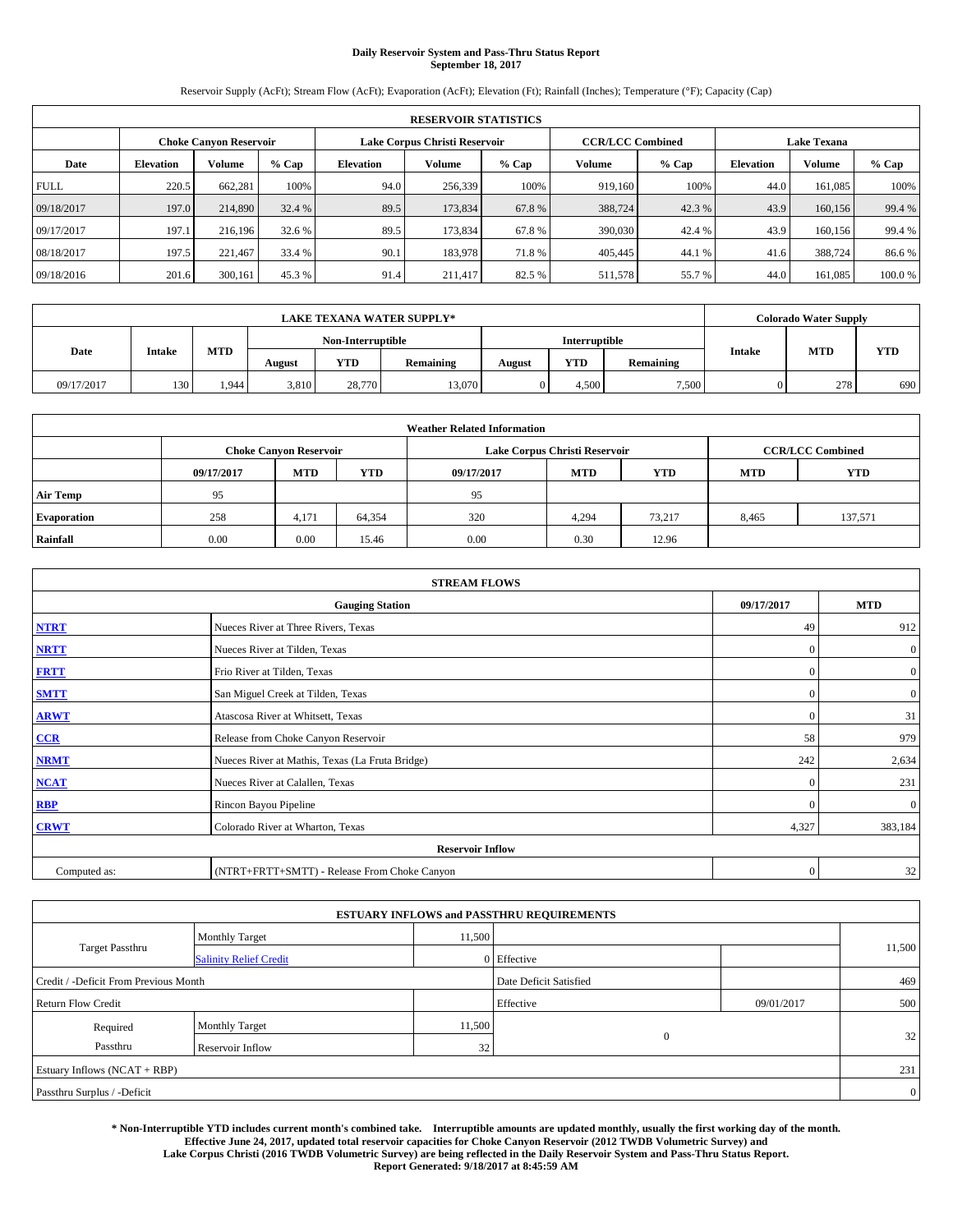# **Daily Reservoir System and Pass-Thru Status Report September 18, 2017**

Reservoir Supply (AcFt); Stream Flow (AcFt); Evaporation (AcFt); Elevation (Ft); Rainfall (Inches); Temperature (°F); Capacity (Cap)

| <b>RESERVOIR STATISTICS</b> |                        |         |                               |                  |                                               |         |               |         |                  |               |        |
|-----------------------------|------------------------|---------|-------------------------------|------------------|-----------------------------------------------|---------|---------------|---------|------------------|---------------|--------|
|                             | Choke Canvon Reservoir |         | Lake Corpus Christi Reservoir |                  | <b>CCR/LCC Combined</b><br><b>Lake Texana</b> |         |               |         |                  |               |        |
| Date                        | <b>Elevation</b>       | Volume  | $%$ Cap                       | <b>Elevation</b> | Volume                                        | $%$ Cap | <b>Volume</b> | $%$ Cap | <b>Elevation</b> | <b>Volume</b> | % Cap  |
| <b>FULL</b>                 | 220.5                  | 662,281 | 100%                          | 94.0             | 256,339                                       | 100%    | 919.160       | 100%    | 44.0             | 161.085       | 100%   |
| 09/18/2017                  | 197.0                  | 214,890 | 32.4 %                        | 89.5             | 173,834                                       | 67.8%   | 388,724       | 42.3 %  | 43.9             | 160,156       | 99.4 % |
| 09/17/2017                  | 197.1                  | 216.196 | 32.6 %                        | 89.5             | 173.834                                       | 67.8%   | 390,030       | 42.4 %  | 43.9             | 160,156       | 99.4 % |
| 08/18/2017                  | 197.5                  | 221.467 | 33.4 %                        | 90.1             | 183,978                                       | 71.8%   | 405,445       | 44.1 %  | 41.6             | 388,724       | 86.6%  |
| 09/18/2016                  | 201.6                  | 300,161 | 45.3%                         | 91.4             | 211,417                                       | 82.5 %  | 511,578       | 55.7%   | 44.0             | 161.085       | 100.0% |

|            | <b>LAKE TEXANA WATER SUPPLY*</b> |      |                   |        |           |               |            |           |               | <b>Colorado Water Supply</b> |            |
|------------|----------------------------------|------|-------------------|--------|-----------|---------------|------------|-----------|---------------|------------------------------|------------|
| Date       |                                  |      | Non-Interruptible |        |           | Interruptible |            |           |               |                              |            |
|            | <b>Intake</b>                    | MTD  | August            | YTD    | Remaining | August        | <b>YTD</b> | Remaining | <b>Intake</b> | <b>MTD</b>                   | <b>YTD</b> |
| 09/17/2017 | 130                              | .944 | 3.810             | 28,770 | 13,070    |               | 4.500      | 7,500     |               | 278                          | 690        |

| <b>Weather Related Information</b> |            |                                                                            |        |      |                               |        |       |                         |  |  |
|------------------------------------|------------|----------------------------------------------------------------------------|--------|------|-------------------------------|--------|-------|-------------------------|--|--|
|                                    |            | <b>Choke Canyon Reservoir</b>                                              |        |      | Lake Corpus Christi Reservoir |        |       | <b>CCR/LCC Combined</b> |  |  |
|                                    | 09/17/2017 | <b>YTD</b><br><b>MTD</b><br><b>MTD</b><br>09/17/2017<br>YTD.<br><b>MTD</b> |        |      |                               |        |       |                         |  |  |
| <b>Air Temp</b>                    | 95         |                                                                            |        | 95   |                               |        |       |                         |  |  |
| <b>Evaporation</b>                 | 258        | 4,171                                                                      | 64,354 | 320  | 4.294                         | 73.217 | 8,465 | 137,571                 |  |  |
| Rainfall                           | 0.00       | 0.00                                                                       | 15.46  | 0.00 | 0.30                          | 12.96  |       |                         |  |  |

| <b>STREAM FLOWS</b> |                                                 |              |                  |  |  |  |  |  |  |
|---------------------|-------------------------------------------------|--------------|------------------|--|--|--|--|--|--|
|                     | <b>Gauging Station</b>                          | 09/17/2017   | <b>MTD</b>       |  |  |  |  |  |  |
| <b>NTRT</b>         | Nueces River at Three Rivers, Texas             | 49           | 912              |  |  |  |  |  |  |
| <b>NRTT</b>         | Nueces River at Tilden, Texas                   | $\mathbf{0}$ | $\boldsymbol{0}$ |  |  |  |  |  |  |
| <b>FRTT</b>         | Frio River at Tilden, Texas                     | $\mathbf{0}$ | $\boldsymbol{0}$ |  |  |  |  |  |  |
| <b>SMTT</b>         | San Miguel Creek at Tilden, Texas               | $\mathbf{0}$ | $\overline{0}$   |  |  |  |  |  |  |
| <b>ARWT</b>         | Atascosa River at Whitsett, Texas               |              |                  |  |  |  |  |  |  |
| $CCR$               | 58                                              | 979          |                  |  |  |  |  |  |  |
| <b>NRMT</b>         | Nueces River at Mathis, Texas (La Fruta Bridge) | 242          | 2,634            |  |  |  |  |  |  |
| <b>NCAT</b>         | Nueces River at Calallen, Texas                 | $\mathbf{0}$ | 231              |  |  |  |  |  |  |
| RBP                 | Rincon Bayou Pipeline                           | $\Omega$     | $\mathbf{0}$     |  |  |  |  |  |  |
| <b>CRWT</b>         | Colorado River at Wharton, Texas                |              |                  |  |  |  |  |  |  |
|                     | <b>Reservoir Inflow</b>                         |              |                  |  |  |  |  |  |  |
| Computed as:        | (NTRT+FRTT+SMTT) - Release From Choke Canyon    |              |                  |  |  |  |  |  |  |

|                                       |                               |        | <b>ESTUARY INFLOWS and PASSTHRU REQUIREMENTS</b> |              |        |  |  |  |
|---------------------------------------|-------------------------------|--------|--------------------------------------------------|--------------|--------|--|--|--|
|                                       | <b>Monthly Target</b>         | 11,500 |                                                  |              |        |  |  |  |
| <b>Target Passthru</b>                | <b>Salinity Relief Credit</b> |        | 0 Effective                                      |              | 11,500 |  |  |  |
| Credit / -Deficit From Previous Month |                               |        | Date Deficit Satisfied                           |              | 469    |  |  |  |
| <b>Return Flow Credit</b>             |                               |        | Effective                                        | 09/01/2017   | 500    |  |  |  |
| Required                              | <b>Monthly Target</b>         | 11,500 |                                                  |              |        |  |  |  |
| Passthru                              | <b>Reservoir Inflow</b>       | 32     |                                                  | $\mathbf{0}$ | 32     |  |  |  |
| Estuary Inflows $(NCAT + RBP)$        |                               |        |                                                  |              |        |  |  |  |
| Passthru Surplus / -Deficit           |                               |        |                                                  |              |        |  |  |  |

**\* Non-Interruptible YTD includes current month's combined take. Interruptible amounts are updated monthly, usually the first working day of the month. Effective June 24, 2017, updated total reservoir capacities for Choke Canyon Reservoir (2012 TWDB Volumetric Survey) and Lake Corpus Christi (2016 TWDB Volumetric Survey) are being reflected in the Daily Reservoir System and Pass-Thru Status Report. Report Generated: 9/18/2017 at 8:45:59 AM**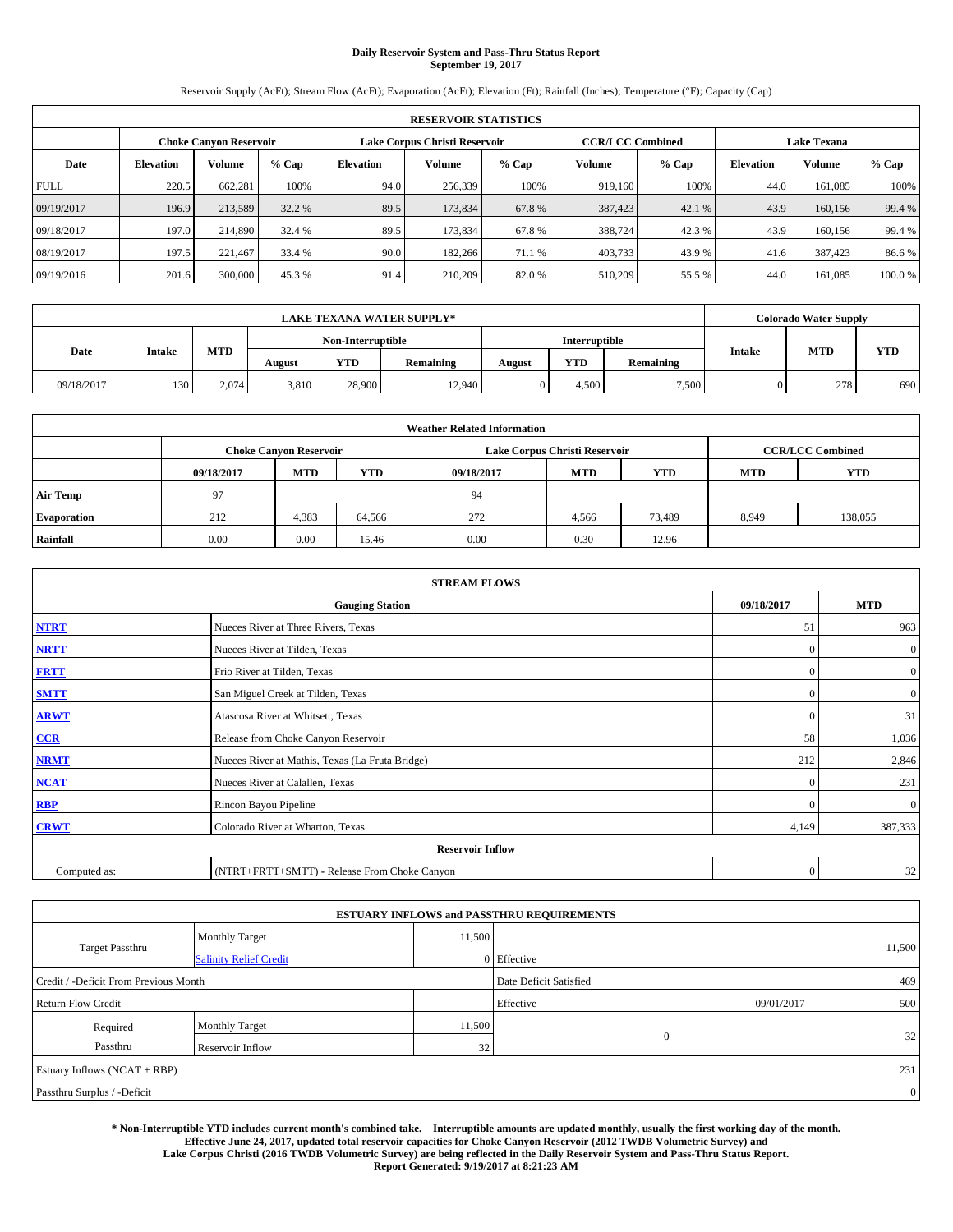# **Daily Reservoir System and Pass-Thru Status Report September 19, 2017**

Reservoir Supply (AcFt); Stream Flow (AcFt); Evaporation (AcFt); Elevation (Ft); Rainfall (Inches); Temperature (°F); Capacity (Cap)

| <b>RESERVOIR STATISTICS</b> |                  |         |         |                  |                               |         |                                               |         |                  |               |        |
|-----------------------------|------------------|---------|---------|------------------|-------------------------------|---------|-----------------------------------------------|---------|------------------|---------------|--------|
| Choke Canvon Reservoir      |                  |         |         |                  | Lake Corpus Christi Reservoir |         | <b>CCR/LCC Combined</b><br><b>Lake Texana</b> |         |                  |               |        |
| Date                        | <b>Elevation</b> | Volume  | $%$ Cap | <b>Elevation</b> | Volume                        | $%$ Cap | <b>Volume</b>                                 | $%$ Cap | <b>Elevation</b> | <b>Volume</b> | % Cap  |
| <b>FULL</b>                 | 220.5            | 662,281 | 100%    | 94.0             | 256,339                       | 100%    | 919.160                                       | 100%    | 44.0             | 161.085       | 100%   |
| 09/19/2017                  | 196.9            | 213,589 | 32.2 %  | 89.5             | 173,834                       | 67.8%   | 387,423                                       | 42.1 %  | 43.9             | 160,156       | 99.4 % |
| 09/18/2017                  | 197.0            | 214,890 | 32.4 %  | 89.5             | 173.834                       | 67.8%   | 388,724                                       | 42.3 %  | 43.9             | 160,156       | 99.4 % |
| 08/19/2017                  | 197.5            | 221.467 | 33.4 %  | 90.0             | 182,266                       | 71.1 %  | 403,733                                       | 43.9 %  | 41.6             | 387,423       | 86.6%  |
| 09/19/2016                  | 201.6            | 300,000 | 45.3%   | 91.4             | 210,209                       | 82.0%   | 510,209                                       | 55.5 %  | 44.0             | 161.085       | 100.0% |

|            | <b>LAKE TEXANA WATER SUPPLY*</b> |       |                   |        |           |               |            |           |               | <b>Colorado Water Supply</b> |     |
|------------|----------------------------------|-------|-------------------|--------|-----------|---------------|------------|-----------|---------------|------------------------------|-----|
| Date       |                                  |       | Non-Interruptible |        |           | Interruptible |            |           |               |                              |     |
|            | <b>Intake</b>                    | MTD   | August            | YTD    | Remaining | August        | <b>YTD</b> | Remaining | <b>Intake</b> | <b>MTD</b><br><b>YTD</b>     |     |
| 09/18/2017 | 130                              | 2.074 | 3,810             | 28,900 | 12,940    |               | 4.500      | 7,500     |               | 278                          | 690 |

| <b>Weather Related Information</b> |            |                                                                                  |        |      |                               |        |       |                         |  |  |
|------------------------------------|------------|----------------------------------------------------------------------------------|--------|------|-------------------------------|--------|-------|-------------------------|--|--|
|                                    |            | <b>Choke Canyon Reservoir</b>                                                    |        |      | Lake Corpus Christi Reservoir |        |       | <b>CCR/LCC Combined</b> |  |  |
|                                    | 09/18/2017 | <b>YTD</b><br><b>MTD</b><br><b>MTD</b><br>09/18/2017<br><b>YTD</b><br><b>MTD</b> |        |      |                               |        |       | <b>YTD</b>              |  |  |
| <b>Air Temp</b>                    | 97         |                                                                                  |        | 94   |                               |        |       |                         |  |  |
| <b>Evaporation</b>                 | 212        | 4,383                                                                            | 64.566 | 272  | 4,566                         | 73,489 | 8,949 | 138,055                 |  |  |
| Rainfall                           | 0.00       | 0.00                                                                             | 15.46  | 0.00 | 0.30                          | 12.96  |       |                         |  |  |

| <b>STREAM FLOWS</b> |                                                 |              |                  |  |  |  |  |  |  |
|---------------------|-------------------------------------------------|--------------|------------------|--|--|--|--|--|--|
|                     | <b>Gauging Station</b>                          | 09/18/2017   | <b>MTD</b>       |  |  |  |  |  |  |
| <b>NTRT</b>         | Nueces River at Three Rivers, Texas             | 51           | 963              |  |  |  |  |  |  |
| <b>NRTT</b>         | Nueces River at Tilden, Texas                   | $\mathbf{0}$ | $\boldsymbol{0}$ |  |  |  |  |  |  |
| <b>FRTT</b>         | Frio River at Tilden, Texas                     | $\mathbf{0}$ | $\boldsymbol{0}$ |  |  |  |  |  |  |
| <b>SMTT</b>         | San Miguel Creek at Tilden, Texas               | $\mathbf{0}$ | $\boldsymbol{0}$ |  |  |  |  |  |  |
| <b>ARWT</b>         | Atascosa River at Whitsett, Texas               |              |                  |  |  |  |  |  |  |
| $CCR$               | 58                                              | 1,036        |                  |  |  |  |  |  |  |
| <b>NRMT</b>         | Nueces River at Mathis, Texas (La Fruta Bridge) | 212          | 2,846            |  |  |  |  |  |  |
| <b>NCAT</b>         | Nueces River at Calallen, Texas                 | $\mathbf{0}$ | 231              |  |  |  |  |  |  |
| RBP                 | Rincon Bayou Pipeline                           | $\Omega$     | $\mathbf{0}$     |  |  |  |  |  |  |
| <b>CRWT</b>         | Colorado River at Wharton, Texas                | 4,149        | 387,333          |  |  |  |  |  |  |
|                     |                                                 |              |                  |  |  |  |  |  |  |
| Computed as:        | (NTRT+FRTT+SMTT) - Release From Choke Canyon    |              |                  |  |  |  |  |  |  |

|                                       |                               |        | <b>ESTUARY INFLOWS and PASSTHRU REQUIREMENTS</b> |              |            |        |  |  |
|---------------------------------------|-------------------------------|--------|--------------------------------------------------|--------------|------------|--------|--|--|
|                                       | <b>Monthly Target</b>         | 11,500 |                                                  |              |            |        |  |  |
| <b>Target Passthru</b>                | <b>Salinity Relief Credit</b> |        | 0 Effective                                      |              |            | 11,500 |  |  |
| Credit / -Deficit From Previous Month |                               |        | Date Deficit Satisfied                           |              | 469        |        |  |  |
| <b>Return Flow Credit</b>             |                               |        | Effective                                        |              | 09/01/2017 | 500    |  |  |
| Required                              | <b>Monthly Target</b>         | 11,500 |                                                  |              |            |        |  |  |
| Passthru                              | <b>Reservoir Inflow</b>       | 32     |                                                  | $\mathbf{0}$ |            | 32     |  |  |
| Estuary Inflows $(NCAT + RBP)$        |                               |        |                                                  |              |            |        |  |  |
| Passthru Surplus / -Deficit           |                               |        |                                                  |              |            |        |  |  |

**\* Non-Interruptible YTD includes current month's combined take. Interruptible amounts are updated monthly, usually the first working day of the month. Effective June 24, 2017, updated total reservoir capacities for Choke Canyon Reservoir (2012 TWDB Volumetric Survey) and Lake Corpus Christi (2016 TWDB Volumetric Survey) are being reflected in the Daily Reservoir System and Pass-Thru Status Report. Report Generated: 9/19/2017 at 8:21:23 AM**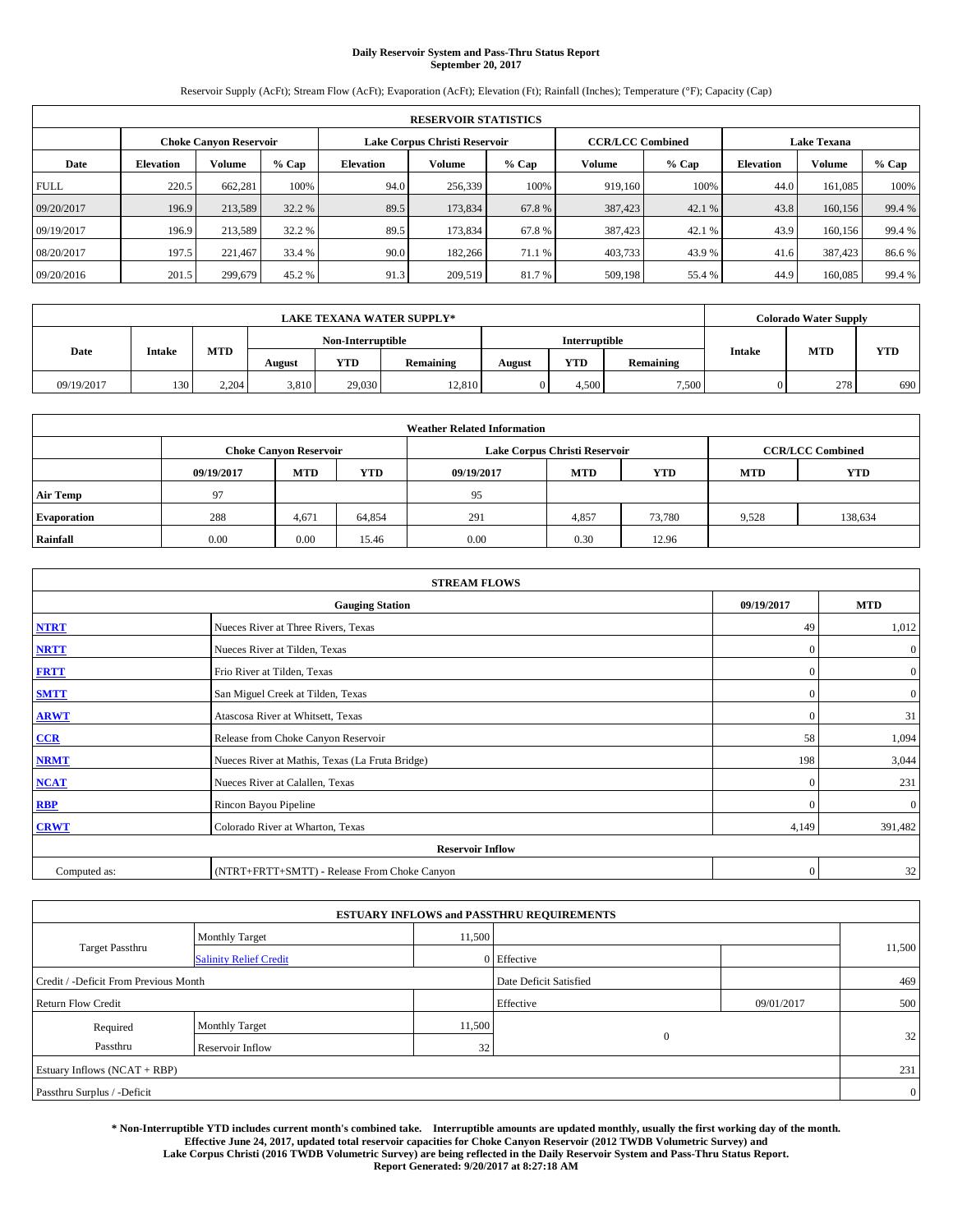# **Daily Reservoir System and Pass-Thru Status Report September 20, 2017**

Reservoir Supply (AcFt); Stream Flow (AcFt); Evaporation (AcFt); Elevation (Ft); Rainfall (Inches); Temperature (°F); Capacity (Cap)

| <b>RESERVOIR STATISTICS</b> |                  |                               |        |                  |                               |         |         |                                               |                  |         |        |
|-----------------------------|------------------|-------------------------------|--------|------------------|-------------------------------|---------|---------|-----------------------------------------------|------------------|---------|--------|
|                             |                  | <b>Choke Canyon Reservoir</b> |        |                  | Lake Corpus Christi Reservoir |         |         | <b>Lake Texana</b><br><b>CCR/LCC Combined</b> |                  |         |        |
| Date                        | <b>Elevation</b> | <b>Volume</b>                 | % Cap  | <b>Elevation</b> | Volume                        | $%$ Cap | Volume  | $%$ Cap                                       | <b>Elevation</b> | Volume  | % Cap  |
| <b>FULL</b>                 | 220.5            | 662,281                       | 100%   | 94.0             | 256,339                       | 100%    | 919,160 | 100%                                          | 44.0             | 161.085 | 100%   |
| 09/20/2017                  | 196.9            | 213,589                       | 32.2 % | 89.5             | 173,834                       | 67.8%   | 387,423 | 42.1 %                                        | 43.8             | 160,156 | 99.4 % |
| 09/19/2017                  | 196.9            | 213,589                       | 32.2 % | 89.5             | 173,834                       | 67.8%   | 387,423 | 42.1 %                                        | 43.9             | 160,156 | 99.4 % |
| 08/20/2017                  | 197.5            | 221.467                       | 33.4 % | 90.0             | 182,266                       | 71.1 %  | 403,733 | 43.9 %                                        | 41.6             | 387,423 | 86.6%  |
| 09/20/2016                  | 201.5            | 299,679                       | 45.2 % | 91.3             | 209,519                       | 81.7 %  | 509,198 | 55.4 %                                        | 44.9             | 160,085 | 99.4 % |

|            | <b>LAKE TEXANA WATER SUPPLY*</b><br><b>Interruptible</b><br>Non-Interruptible |       |        |        |           |        |            |           |               | <b>Colorado Water Supply</b> |            |
|------------|-------------------------------------------------------------------------------|-------|--------|--------|-----------|--------|------------|-----------|---------------|------------------------------|------------|
|            |                                                                               |       |        |        |           |        |            |           |               |                              |            |
| Date       | <b>Intake</b>                                                                 | MTD   | August | YTD    | Remaining | August | <b>YTD</b> | Remaining | <b>Intake</b> | <b>MTD</b>                   | <b>YTD</b> |
| 09/19/2017 | 130                                                                           | 2,204 | 3,810  | 29.030 | 12,810    |        | 4.500      | 7,500     |               | 278                          | 690        |

| <b>Weather Related Information</b> |            |                                                                                                |        |      |                               |                         |       |         |  |  |
|------------------------------------|------------|------------------------------------------------------------------------------------------------|--------|------|-------------------------------|-------------------------|-------|---------|--|--|
|                                    |            | <b>Choke Canyon Reservoir</b>                                                                  |        |      | Lake Corpus Christi Reservoir | <b>CCR/LCC Combined</b> |       |         |  |  |
|                                    | 09/19/2017 | <b>YTD</b><br><b>YTD</b><br><b>MTD</b><br><b>MTD</b><br><b>YTD</b><br>09/19/2017<br><b>MTD</b> |        |      |                               |                         |       |         |  |  |
| <b>Air Temp</b>                    | 97         |                                                                                                |        | 95   |                               |                         |       |         |  |  |
| <b>Evaporation</b>                 | 288        | 4,671                                                                                          | 64,854 | 291  | 4,857                         | 73,780                  | 9,528 | 138,634 |  |  |
| Rainfall                           | 0.00       | 0.00                                                                                           | 15.46  | 0.00 | 0.30                          | 12.96                   |       |         |  |  |

| <b>STREAM FLOWS</b>                  |                                                 |              |                  |  |  |  |  |  |
|--------------------------------------|-------------------------------------------------|--------------|------------------|--|--|--|--|--|
| <b>Gauging Station</b><br>09/19/2017 |                                                 |              |                  |  |  |  |  |  |
| <b>NTRT</b>                          | Nueces River at Three Rivers, Texas             |              |                  |  |  |  |  |  |
| <b>NRTT</b>                          | Nueces River at Tilden, Texas                   | $\mathbf{0}$ | $\mathbf{0}$     |  |  |  |  |  |
| <b>FRTT</b>                          | Frio River at Tilden, Texas                     | $\mathbf{0}$ | $\boldsymbol{0}$ |  |  |  |  |  |
| <b>SMTT</b>                          | San Miguel Creek at Tilden, Texas               | $\mathbf{0}$ | $\boldsymbol{0}$ |  |  |  |  |  |
| <b>ARWT</b>                          | Atascosa River at Whitsett, Texas               | $\mathbf{0}$ | 31               |  |  |  |  |  |
| $CCR$                                | Release from Choke Canyon Reservoir             | 58           | 1,094            |  |  |  |  |  |
| <b>NRMT</b>                          | Nueces River at Mathis, Texas (La Fruta Bridge) | 198          | 3,044            |  |  |  |  |  |
| <b>NCAT</b>                          | Nueces River at Calallen, Texas                 | $\mathbf{0}$ | 231              |  |  |  |  |  |
| RBP                                  | Rincon Bayou Pipeline                           | $\Omega$     | $\mathbf{0}$     |  |  |  |  |  |
| <b>CRWT</b>                          | Colorado River at Wharton, Texas                | 4,149        | 391,482          |  |  |  |  |  |
|                                      | <b>Reservoir Inflow</b>                         |              |                  |  |  |  |  |  |
| Computed as:                         | (NTRT+FRTT+SMTT) - Release From Choke Canyon    | $\mathbf{0}$ | 32               |  |  |  |  |  |

|                                       |                               |        | <b>ESTUARY INFLOWS and PASSTHRU REQUIREMENTS</b> |              |            |                |
|---------------------------------------|-------------------------------|--------|--------------------------------------------------|--------------|------------|----------------|
|                                       | <b>Monthly Target</b>         | 11,500 |                                                  |              |            |                |
| <b>Target Passthru</b>                | <b>Salinity Relief Credit</b> |        | 0 Effective                                      |              |            | 11,500         |
| Credit / -Deficit From Previous Month |                               |        | Date Deficit Satisfied                           |              |            | 469            |
| <b>Return Flow Credit</b>             |                               |        | Effective                                        |              | 09/01/2017 | 500            |
| Required                              | <b>Monthly Target</b>         | 11,500 |                                                  |              |            |                |
| Passthru                              | <b>Reservoir Inflow</b>       | 32     |                                                  | $\mathbf{0}$ |            | 32             |
| Estuary Inflows $(NCAT + RBP)$        |                               |        |                                                  |              |            | 231            |
| Passthru Surplus / -Deficit           |                               |        |                                                  |              |            | $\overline{0}$ |

**\* Non-Interruptible YTD includes current month's combined take. Interruptible amounts are updated monthly, usually the first working day of the month. Effective June 24, 2017, updated total reservoir capacities for Choke Canyon Reservoir (2012 TWDB Volumetric Survey) and Lake Corpus Christi (2016 TWDB Volumetric Survey) are being reflected in the Daily Reservoir System and Pass-Thru Status Report. Report Generated: 9/20/2017 at 8:27:18 AM**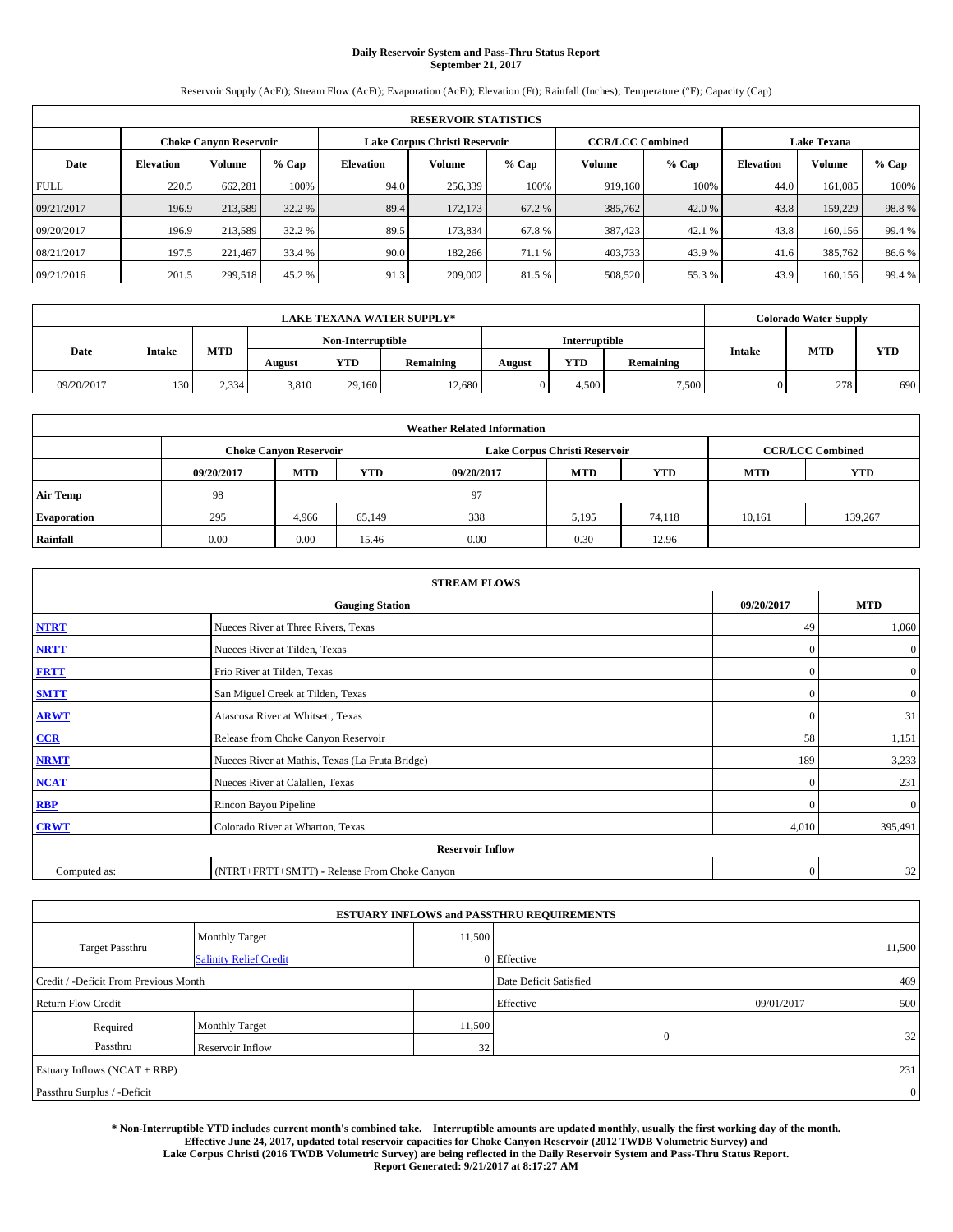# **Daily Reservoir System and Pass-Thru Status Report September 21, 2017**

Reservoir Supply (AcFt); Stream Flow (AcFt); Evaporation (AcFt); Elevation (Ft); Rainfall (Inches); Temperature (°F); Capacity (Cap)

|             | <b>RESERVOIR STATISTICS</b>   |               |        |                               |         |         |                         |         |                    |         |        |  |
|-------------|-------------------------------|---------------|--------|-------------------------------|---------|---------|-------------------------|---------|--------------------|---------|--------|--|
|             | <b>Choke Canyon Reservoir</b> |               |        | Lake Corpus Christi Reservoir |         |         | <b>CCR/LCC Combined</b> |         | <b>Lake Texana</b> |         |        |  |
| Date        | <b>Elevation</b>              | <b>Volume</b> | % Cap  | <b>Elevation</b>              | Volume  | $%$ Cap | Volume                  | $%$ Cap | <b>Elevation</b>   | Volume  | % Cap  |  |
| <b>FULL</b> | 220.5                         | 662,281       | 100%   | 94.0                          | 256,339 | 100%    | 919,160                 | 100%    | 44.0               | 161.085 | 100%   |  |
| 09/21/2017  | 196.9                         | 213,589       | 32.2 % | 89.4                          | 172,173 | 67.2 %  | 385,762                 | 42.0 %  | 43.8               | 159,229 | 98.8%  |  |
| 09/20/2017  | 196.9                         | 213,589       | 32.2 % | 89.5                          | 173,834 | 67.8%   | 387,423                 | 42.1 %  | 43.8               | 160,156 | 99.4 % |  |
| 08/21/2017  | 197.5                         | 221.467       | 33.4 % | 90.0                          | 182,266 | 71.1 %  | 403,733                 | 43.9 %  | 41.6               | 385,762 | 86.6%  |  |
| 09/21/2016  | 201.5                         | 299,518       | 45.2 % | 91.3                          | 209,002 | 81.5 %  | 508,520                 | 55.3 %  | 43.9               | 160.156 | 99.4 % |  |

|            |               | <b>LAKE TEXANA WATER SUPPLY*</b><br><b>Interruptible</b><br>Non-Interruptible |        |        |           |        |            |           | <b>Colorado Water Supply</b> |            |            |
|------------|---------------|-------------------------------------------------------------------------------|--------|--------|-----------|--------|------------|-----------|------------------------------|------------|------------|
|            |               |                                                                               |        |        |           |        |            |           |                              |            |            |
| Date       | <b>Intake</b> | MTD                                                                           | August | YTD    | Remaining | August | <b>YTD</b> | Remaining | <b>Intake</b>                | <b>MTD</b> | <b>YTD</b> |
| 09/20/2017 | 130           | 2.334                                                                         | 3,810  | 29.160 | 12,680    |        | 4.500      | 7,500     |                              | 278        | 690        |

| <b>Weather Related Information</b> |            |                                                                                  |        |      |                               |                         |        |            |  |  |
|------------------------------------|------------|----------------------------------------------------------------------------------|--------|------|-------------------------------|-------------------------|--------|------------|--|--|
|                                    |            | <b>Choke Canyon Reservoir</b>                                                    |        |      | Lake Corpus Christi Reservoir | <b>CCR/LCC Combined</b> |        |            |  |  |
|                                    | 09/20/2017 | <b>YTD</b><br><b>MTD</b><br><b>MTD</b><br><b>YTD</b><br>09/20/2017<br><b>MTD</b> |        |      |                               |                         |        | <b>YTD</b> |  |  |
| <b>Air Temp</b>                    | 98         |                                                                                  |        | 97   |                               |                         |        |            |  |  |
| <b>Evaporation</b>                 | 295        | 4.966                                                                            | 65.149 | 338  | 5,195                         | 74.118                  | 10,161 | 139.267    |  |  |
| Rainfall                           | 0.00       | 0.00                                                                             | 15.46  | 0.00 | 0.30                          | 12.96                   |        |            |  |  |

| <b>STREAM FLOWS</b>                                |                                                 |              |                  |  |  |  |  |  |
|----------------------------------------------------|-------------------------------------------------|--------------|------------------|--|--|--|--|--|
| <b>MTD</b><br><b>Gauging Station</b><br>09/20/2017 |                                                 |              |                  |  |  |  |  |  |
| <b>NTRT</b>                                        | Nueces River at Three Rivers, Texas             |              |                  |  |  |  |  |  |
| <b>NRTT</b>                                        | Nueces River at Tilden, Texas                   | $\mathbf{0}$ | $\mathbf{0}$     |  |  |  |  |  |
| <b>FRTT</b>                                        | Frio River at Tilden, Texas                     | $\mathbf{0}$ | $\boldsymbol{0}$ |  |  |  |  |  |
| <b>SMTT</b>                                        | San Miguel Creek at Tilden, Texas               | $\mathbf{0}$ | $\boldsymbol{0}$ |  |  |  |  |  |
| <b>ARWT</b>                                        | Atascosa River at Whitsett, Texas               | $\mathbf{0}$ | 31               |  |  |  |  |  |
| $CCR$                                              | Release from Choke Canyon Reservoir             | 58           | 1,151            |  |  |  |  |  |
| <b>NRMT</b>                                        | Nueces River at Mathis, Texas (La Fruta Bridge) | 189          | 3,233            |  |  |  |  |  |
| <b>NCAT</b>                                        | Nueces River at Calallen, Texas                 | $\mathbf{0}$ | 231              |  |  |  |  |  |
| RBP                                                | Rincon Bayou Pipeline                           | $\Omega$     | $\mathbf{0}$     |  |  |  |  |  |
| <b>CRWT</b>                                        | Colorado River at Wharton, Texas                | 4,010        | 395,491          |  |  |  |  |  |
|                                                    | <b>Reservoir Inflow</b>                         |              |                  |  |  |  |  |  |
| Computed as:                                       | (NTRT+FRTT+SMTT) - Release From Choke Canyon    | $\mathbf{0}$ | 32               |  |  |  |  |  |

|                                                                 |                               |        | <b>ESTUARY INFLOWS and PASSTHRU REQUIREMENTS</b> |            |                |  |  |
|-----------------------------------------------------------------|-------------------------------|--------|--------------------------------------------------|------------|----------------|--|--|
|                                                                 | <b>Monthly Target</b>         | 11,500 |                                                  |            |                |  |  |
| <b>Target Passthru</b>                                          | <b>Salinity Relief Credit</b> |        | $0$ Effective                                    |            | 11,500         |  |  |
| Credit / -Deficit From Previous Month<br>Date Deficit Satisfied |                               |        |                                                  |            |                |  |  |
| <b>Return Flow Credit</b>                                       |                               |        | Effective                                        | 09/01/2017 | 500            |  |  |
| Required                                                        | Monthly Target                | 11,500 |                                                  |            |                |  |  |
| Passthru                                                        | <b>Reservoir Inflow</b>       | 32     | $\Omega$                                         |            | 32             |  |  |
| Estuary Inflows (NCAT + RBP)                                    |                               |        |                                                  |            | 231            |  |  |
| Passthru Surplus / -Deficit                                     |                               |        |                                                  |            | $\overline{0}$ |  |  |

**\* Non-Interruptible YTD includes current month's combined take. Interruptible amounts are updated monthly, usually the first working day of the month. Effective June 24, 2017, updated total reservoir capacities for Choke Canyon Reservoir (2012 TWDB Volumetric Survey) and Lake Corpus Christi (2016 TWDB Volumetric Survey) are being reflected in the Daily Reservoir System and Pass-Thru Status Report. Report Generated: 9/21/2017 at 8:17:27 AM**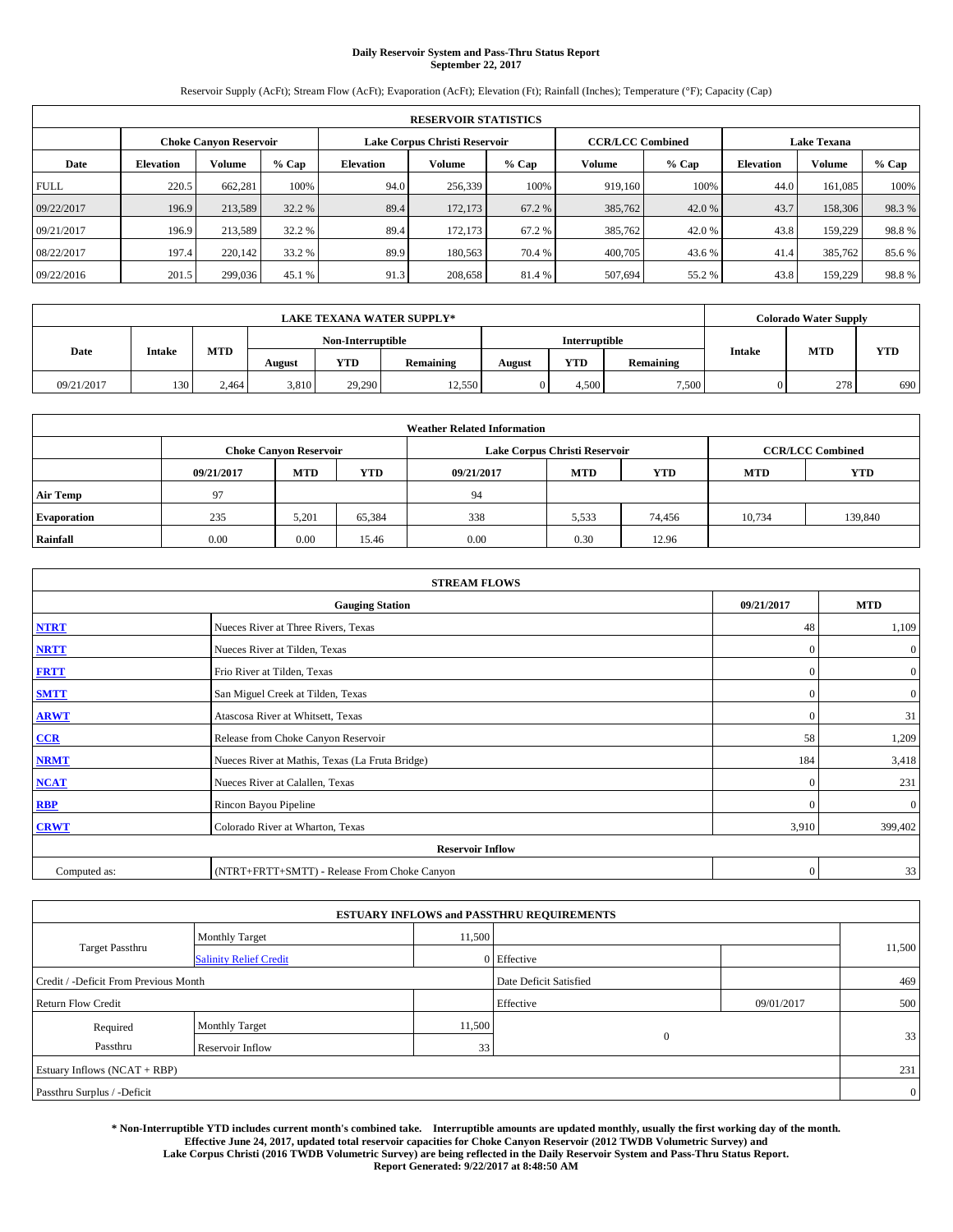# **Daily Reservoir System and Pass-Thru Status Report September 22, 2017**

Reservoir Supply (AcFt); Stream Flow (AcFt); Evaporation (AcFt); Elevation (Ft); Rainfall (Inches); Temperature (°F); Capacity (Cap)

|             | <b>RESERVOIR STATISTICS</b>   |               |        |                               |         |         |                         |         |                    |         |       |  |
|-------------|-------------------------------|---------------|--------|-------------------------------|---------|---------|-------------------------|---------|--------------------|---------|-------|--|
|             | <b>Choke Canyon Reservoir</b> |               |        | Lake Corpus Christi Reservoir |         |         | <b>CCR/LCC Combined</b> |         | <b>Lake Texana</b> |         |       |  |
| Date        | <b>Elevation</b>              | <b>Volume</b> | % Cap  | <b>Elevation</b>              | Volume  | $%$ Cap | Volume                  | $%$ Cap | <b>Elevation</b>   | Volume  | % Cap |  |
| <b>FULL</b> | 220.5                         | 662,281       | 100%   | 94.0                          | 256,339 | 100%    | 919,160                 | 100%    | 44.0               | 161.085 | 100%  |  |
| 09/22/2017  | 196.9                         | 213,589       | 32.2 % | 89.4                          | 172,173 | 67.2 %  | 385,762                 | 42.0 %  | 43.7               | 158,306 | 98.3% |  |
| 09/21/2017  | 196.9                         | 213,589       | 32.2 % | 89.4                          | 172,173 | 67.2%   | 385,762                 | 42.0 %  | 43.8               | 159,229 | 98.8% |  |
| 08/22/2017  | 197.4                         | 220,142       | 33.2 % | 89.9                          | 180,563 | 70.4 %  | 400,705                 | 43.6 %  | 41.4               | 385,762 | 85.6% |  |
| 09/22/2016  | 201.5                         | 299,036       | 45.1 % | 91.3                          | 208,658 | 81.4 %  | 507,694                 | 55.2 %  | 43.8               | 159,229 | 98.8% |  |

|             |               | <b>LAKE TEXANA WATER SUPPLY*</b><br><b>Interruptible</b><br>Non-Interruptible |        |        |           |        |            |           | <b>Colorado Water Supply</b> |            |            |
|-------------|---------------|-------------------------------------------------------------------------------|--------|--------|-----------|--------|------------|-----------|------------------------------|------------|------------|
|             |               |                                                                               |        |        |           |        |            |           |                              |            |            |
| <b>Date</b> | <b>Intake</b> | MTD                                                                           | August | YTD    | Remaining | August | <b>YTD</b> | Remaining | <b>Intake</b>                | <b>MTD</b> | <b>YTD</b> |
| 09/21/2017  | 130           | 2.464                                                                         | 3,810  | 29,290 | 12,550    |        | 4.500      | 7,500     |                              | 278        | 690        |

| <b>Weather Related Information</b> |            |                               |            |            |                               |                                        |        |         |  |  |
|------------------------------------|------------|-------------------------------|------------|------------|-------------------------------|----------------------------------------|--------|---------|--|--|
|                                    |            | <b>Choke Canyon Reservoir</b> |            |            | Lake Corpus Christi Reservoir | <b>CCR/LCC Combined</b>                |        |         |  |  |
|                                    | 09/21/2017 | <b>MTD</b>                    | <b>YTD</b> | 09/21/2017 | <b>MTD</b>                    | <b>YTD</b><br><b>YTD</b><br><b>MTD</b> |        |         |  |  |
| <b>Air Temp</b>                    | 97         |                               |            | 94         |                               |                                        |        |         |  |  |
| <b>Evaporation</b>                 | 235        | 5,201                         | 65,384     | 338        | 5,533                         | 74,456                                 | 10,734 | 139,840 |  |  |
| Rainfall                           | 0.00       | 0.00                          | 15.46      | 0.00       | 0.30                          | 12.96                                  |        |         |  |  |

| <b>STREAM FLOWS</b> |                                                 |              |                  |  |  |  |  |  |  |
|---------------------|-------------------------------------------------|--------------|------------------|--|--|--|--|--|--|
|                     | <b>Gauging Station</b>                          |              |                  |  |  |  |  |  |  |
| <b>NTRT</b>         | Nueces River at Three Rivers, Texas             | 48           | 1,109            |  |  |  |  |  |  |
| <b>NRTT</b>         | Nueces River at Tilden, Texas                   | $\mathbf{0}$ | $\mathbf{0}$     |  |  |  |  |  |  |
| <b>FRTT</b>         | Frio River at Tilden, Texas                     | $\mathbf{0}$ | $\boldsymbol{0}$ |  |  |  |  |  |  |
| <b>SMTT</b>         | San Miguel Creek at Tilden, Texas               | $\mathbf{0}$ | $\boldsymbol{0}$ |  |  |  |  |  |  |
| <b>ARWT</b>         | Atascosa River at Whitsett, Texas               | $\mathbf{0}$ | 31               |  |  |  |  |  |  |
| $CCR$               | Release from Choke Canyon Reservoir             | 58           | 1,209            |  |  |  |  |  |  |
| <b>NRMT</b>         | Nueces River at Mathis, Texas (La Fruta Bridge) | 184          | 3,418            |  |  |  |  |  |  |
| <b>NCAT</b>         | Nueces River at Calallen, Texas                 | $\mathbf{0}$ | 231              |  |  |  |  |  |  |
| RBP                 | Rincon Bayou Pipeline                           | $\Omega$     | $\mathbf{0}$     |  |  |  |  |  |  |
| <b>CRWT</b>         | Colorado River at Wharton, Texas                | 3,910        | 399,402          |  |  |  |  |  |  |
|                     | <b>Reservoir Inflow</b>                         |              |                  |  |  |  |  |  |  |
| Computed as:        | (NTRT+FRTT+SMTT) - Release From Choke Canyon    | $\mathbf{0}$ | 33               |  |  |  |  |  |  |

| <b>ESTUARY INFLOWS and PASSTHRU REQUIREMENTS</b> |                               |                 |                        |              |                |  |  |  |  |  |
|--------------------------------------------------|-------------------------------|-----------------|------------------------|--------------|----------------|--|--|--|--|--|
|                                                  | <b>Monthly Target</b>         | 11,500          |                        |              |                |  |  |  |  |  |
| <b>Target Passthru</b>                           | <b>Salinity Relief Credit</b> |                 | 0 Effective            |              | 11,500         |  |  |  |  |  |
| Credit / -Deficit From Previous Month            |                               |                 | Date Deficit Satisfied |              | 469            |  |  |  |  |  |
| <b>Return Flow Credit</b>                        |                               |                 | Effective              | 09/01/2017   | 500            |  |  |  |  |  |
| Required                                         | <b>Monthly Target</b>         | 11,500          |                        |              |                |  |  |  |  |  |
| Passthru                                         | <b>Reservoir Inflow</b>       | 33 <sub>1</sub> |                        | $\mathbf{0}$ | 33             |  |  |  |  |  |
| Estuary Inflows $(NCAT + RBP)$                   |                               |                 |                        |              | 231            |  |  |  |  |  |
| Passthru Surplus / -Deficit                      |                               |                 |                        |              | $\overline{0}$ |  |  |  |  |  |

**\* Non-Interruptible YTD includes current month's combined take. Interruptible amounts are updated monthly, usually the first working day of the month. Effective June 24, 2017, updated total reservoir capacities for Choke Canyon Reservoir (2012 TWDB Volumetric Survey) and Lake Corpus Christi (2016 TWDB Volumetric Survey) are being reflected in the Daily Reservoir System and Pass-Thru Status Report. Report Generated: 9/22/2017 at 8:48:50 AM**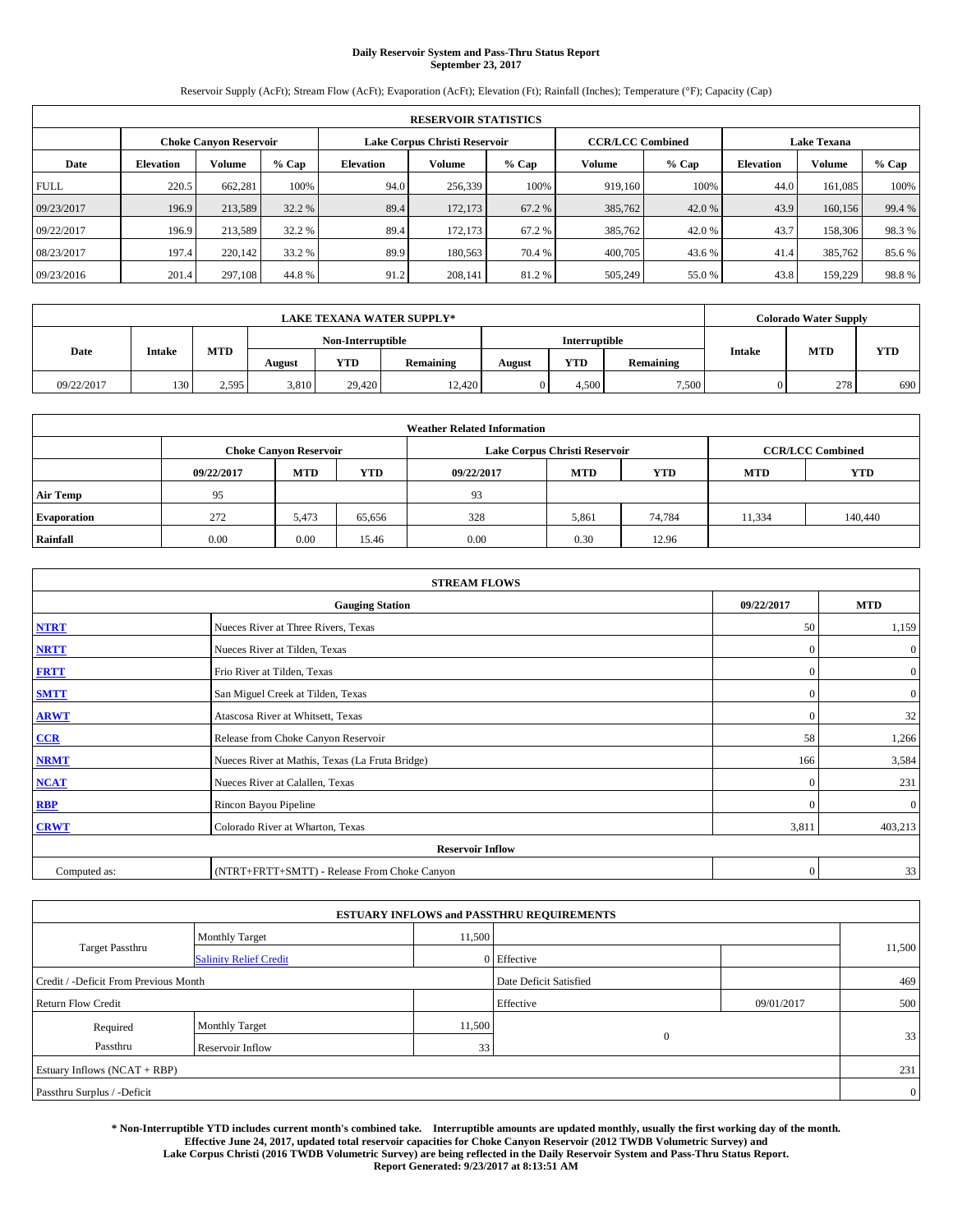# **Daily Reservoir System and Pass-Thru Status Report September 23, 2017**

Reservoir Supply (AcFt); Stream Flow (AcFt); Evaporation (AcFt); Elevation (Ft); Rainfall (Inches); Temperature (°F); Capacity (Cap)

| <b>RESERVOIR STATISTICS</b> |                               |               |        |                  |                               |         |                         |         |                    |         |        |  |
|-----------------------------|-------------------------------|---------------|--------|------------------|-------------------------------|---------|-------------------------|---------|--------------------|---------|--------|--|
|                             | <b>Choke Canyon Reservoir</b> |               |        |                  | Lake Corpus Christi Reservoir |         | <b>CCR/LCC Combined</b> |         | <b>Lake Texana</b> |         |        |  |
| Date                        | <b>Elevation</b>              | <b>Volume</b> | % Cap  | <b>Elevation</b> | Volume                        | $%$ Cap | Volume                  | $%$ Cap | <b>Elevation</b>   | Volume  | % Cap  |  |
| <b>FULL</b>                 | 220.5                         | 662,281       | 100%   | 94.0             | 256,339                       | 100%    | 919,160                 | 100%    | 44.0               | 161.085 | 100%   |  |
| 09/23/2017                  | 196.9                         | 213,589       | 32.2 % | 89.4             | 172,173                       | 67.2 %  | 385,762                 | 42.0 %  | 43.9               | 160,156 | 99.4 % |  |
| 09/22/2017                  | 196.9                         | 213,589       | 32.2 % | 89.4             | 172,173                       | 67.2%   | 385,762                 | 42.0 %  | 43.7               | 158,306 | 98.3%  |  |
| 08/23/2017                  | 197.4                         | 220,142       | 33.2 % | 89.9             | 180,563                       | 70.4 %  | 400,705                 | 43.6 %  | 41.4               | 385,762 | 85.6%  |  |
| 09/23/2016                  | 201.4                         | 297,108       | 44.8%  | 91.2             | 208,141                       | 81.2%   | 505,249                 | 55.0 %  | 43.8               | 159,229 | 98.8%  |  |

| <b>LAKE TEXANA WATER SUPPLY*</b> |               |       |                   |        |           |                      |            | <b>Colorado Water Supply</b> |               |            |            |
|----------------------------------|---------------|-------|-------------------|--------|-----------|----------------------|------------|------------------------------|---------------|------------|------------|
|                                  |               |       | Non-Interruptible |        |           | <b>Interruptible</b> |            |                              |               |            |            |
| <b>Date</b>                      | <b>Intake</b> | MTD   | August            | YTD    | Remaining | August               | <b>YTD</b> | Remaining                    | <b>Intake</b> | <b>MTD</b> | <b>YTD</b> |
| 09/22/2017                       | 130           | 2.595 | 3,810             | 29.420 | 12,420    |                      | 4.500      | 7,500                        |               | 278        | 690        |

| <b>Weather Related Information</b> |            |                               |            |            |                               |                         |            |            |  |  |  |
|------------------------------------|------------|-------------------------------|------------|------------|-------------------------------|-------------------------|------------|------------|--|--|--|
|                                    |            | <b>Choke Canyon Reservoir</b> |            |            | Lake Corpus Christi Reservoir | <b>CCR/LCC Combined</b> |            |            |  |  |  |
|                                    | 09/22/2017 | <b>MTD</b>                    | <b>YTD</b> | 09/22/2017 | <b>MTD</b>                    | <b>YTD</b>              | <b>MTD</b> | <b>YTD</b> |  |  |  |
| <b>Air Temp</b>                    | 95         |                               |            | 93         |                               |                         |            |            |  |  |  |
| <b>Evaporation</b>                 | 272        | 5,473                         | 65.656     | 328        | 5,861                         | 74,784                  | 11,334     | 140,440    |  |  |  |
| Rainfall                           | 0.00       | 0.00                          | 15.46      | 0.00       | 0.30                          | 12.96                   |            |            |  |  |  |

| <b>STREAM FLOWS</b> |                                                 |              |                  |  |  |  |  |  |  |
|---------------------|-------------------------------------------------|--------------|------------------|--|--|--|--|--|--|
|                     | <b>Gauging Station</b>                          |              |                  |  |  |  |  |  |  |
| <b>NTRT</b>         | Nueces River at Three Rivers, Texas             | 50           | 1,159            |  |  |  |  |  |  |
| <b>NRTT</b>         | Nueces River at Tilden, Texas                   | $\mathbf{0}$ | $\mathbf{0}$     |  |  |  |  |  |  |
| <b>FRTT</b>         | Frio River at Tilden, Texas                     | $\mathbf{0}$ | $\boldsymbol{0}$ |  |  |  |  |  |  |
| <b>SMTT</b>         | San Miguel Creek at Tilden, Texas               | $\mathbf{0}$ | $\boldsymbol{0}$ |  |  |  |  |  |  |
| <b>ARWT</b>         | Atascosa River at Whitsett, Texas               | $\mathbf{0}$ | 32               |  |  |  |  |  |  |
| $CCR$               | Release from Choke Canyon Reservoir             | 58           | 1,266            |  |  |  |  |  |  |
| <b>NRMT</b>         | Nueces River at Mathis, Texas (La Fruta Bridge) | 166          | 3,584            |  |  |  |  |  |  |
| <b>NCAT</b>         | Nueces River at Calallen, Texas                 | $\mathbf{0}$ | 231              |  |  |  |  |  |  |
| RBP                 | Rincon Bayou Pipeline                           | $\Omega$     | $\mathbf{0}$     |  |  |  |  |  |  |
| <b>CRWT</b>         | Colorado River at Wharton, Texas                | 3,811        | 403,213          |  |  |  |  |  |  |
|                     | <b>Reservoir Inflow</b>                         |              |                  |  |  |  |  |  |  |
| Computed as:        | (NTRT+FRTT+SMTT) - Release From Choke Canyon    | $\mathbf{0}$ | 33               |  |  |  |  |  |  |

| <b>ESTUARY INFLOWS and PASSTHRU REQUIREMENTS</b> |                               |                        |             |     |                |  |  |  |  |  |  |
|--------------------------------------------------|-------------------------------|------------------------|-------------|-----|----------------|--|--|--|--|--|--|
|                                                  | <b>Monthly Target</b>         | 11,500                 |             |     | 11,500         |  |  |  |  |  |  |
| Target Passthru                                  | <b>Salinity Relief Credit</b> |                        | 0 Effective |     |                |  |  |  |  |  |  |
| Credit / -Deficit From Previous Month            |                               | Date Deficit Satisfied |             | 469 |                |  |  |  |  |  |  |
| <b>Return Flow Credit</b>                        |                               | Effective              | 09/01/2017  | 500 |                |  |  |  |  |  |  |
| Required                                         | <b>Monthly Target</b>         | 11,500                 |             |     |                |  |  |  |  |  |  |
| Passthru                                         | <b>Reservoir Inflow</b>       | 33 <sub>1</sub>        | $\Omega$    |     | 33             |  |  |  |  |  |  |
| Estuary Inflows (NCAT + RBP)                     |                               |                        |             |     |                |  |  |  |  |  |  |
| Passthru Surplus / -Deficit                      |                               |                        |             |     | $\overline{0}$ |  |  |  |  |  |  |

**\* Non-Interruptible YTD includes current month's combined take. Interruptible amounts are updated monthly, usually the first working day of the month. Effective June 24, 2017, updated total reservoir capacities for Choke Canyon Reservoir (2012 TWDB Volumetric Survey) and Lake Corpus Christi (2016 TWDB Volumetric Survey) are being reflected in the Daily Reservoir System and Pass-Thru Status Report. Report Generated: 9/23/2017 at 8:13:51 AM**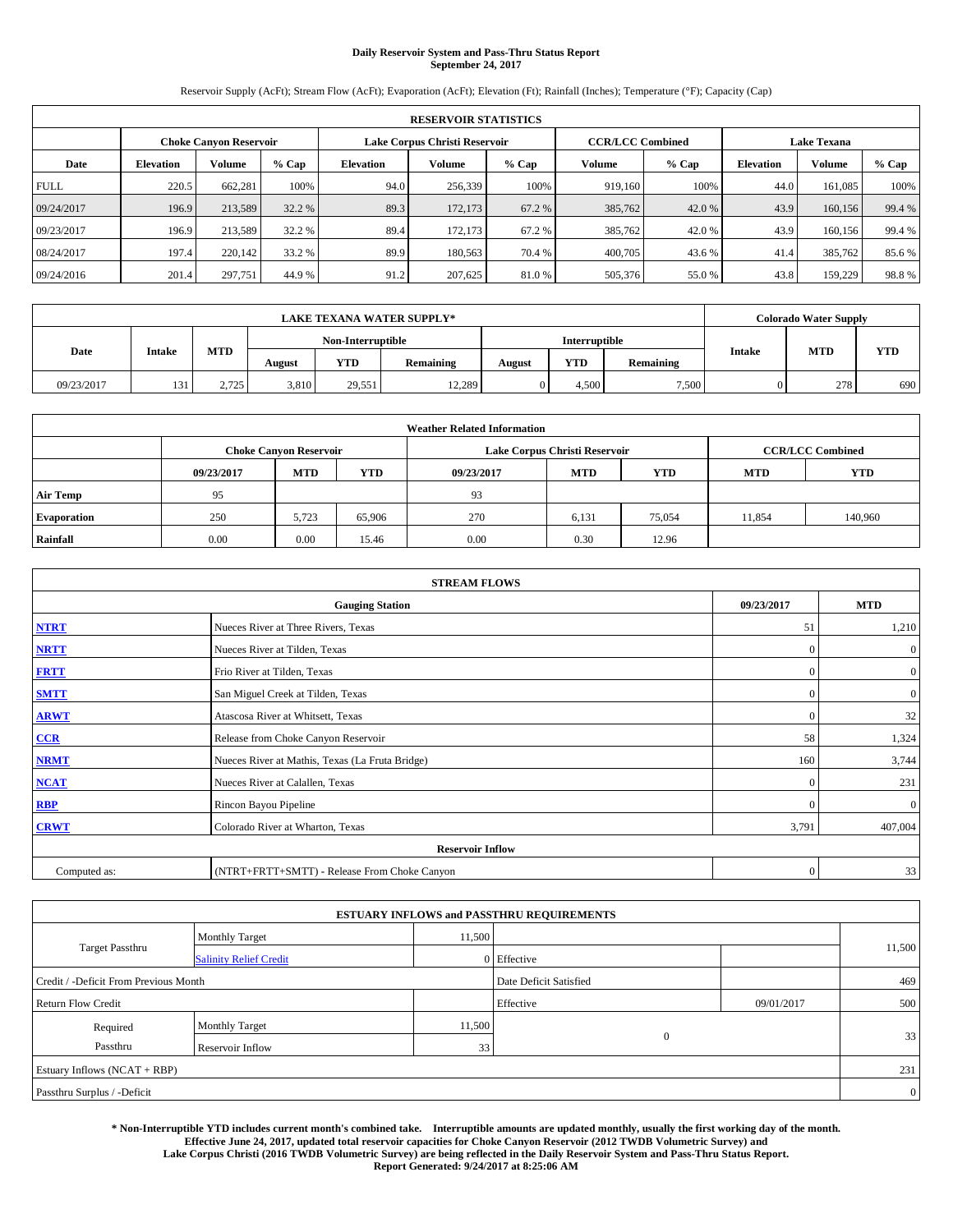# **Daily Reservoir System and Pass-Thru Status Report September 24, 2017**

Reservoir Supply (AcFt); Stream Flow (AcFt); Evaporation (AcFt); Elevation (Ft); Rainfall (Inches); Temperature (°F); Capacity (Cap)

|             | <b>RESERVOIR STATISTICS</b>   |               |        |                  |                               |         |                         |         |                    |         |        |  |  |
|-------------|-------------------------------|---------------|--------|------------------|-------------------------------|---------|-------------------------|---------|--------------------|---------|--------|--|--|
|             | <b>Choke Canvon Reservoir</b> |               |        |                  | Lake Corpus Christi Reservoir |         | <b>CCR/LCC Combined</b> |         | <b>Lake Texana</b> |         |        |  |  |
| Date        | <b>Elevation</b>              | <b>Volume</b> | % Cap  | <b>Elevation</b> | Volume                        | $%$ Cap | Volume                  | $%$ Cap | <b>Elevation</b>   | Volume  | % Cap  |  |  |
| <b>FULL</b> | 220.5                         | 662,281       | 100%   | 94.0             | 256,339                       | 100%    | 919,160                 | 100%    | 44.0               | 161.085 | 100%   |  |  |
| 09/24/2017  | 196.9                         | 213,589       | 32.2 % | 89.3             | 172,173                       | 67.2 %  | 385,762                 | 42.0 %  | 43.9               | 160,156 | 99.4 % |  |  |
| 09/23/2017  | 196.9                         | 213,589       | 32.2 % | 89.4             | 172,173                       | 67.2%   | 385,762                 | 42.0 %  | 43.9               | 160,156 | 99.4 % |  |  |
| 08/24/2017  | 197.4                         | 220,142       | 33.2 % | 89.9             | 180,563                       | 70.4 %  | 400,705                 | 43.6 %  | 41.4               | 385,762 | 85.6%  |  |  |
| 09/24/2016  | 201.4                         | 297,751       | 44.9 % | 91.2             | 207,625                       | 81.0%   | 505,376                 | 55.0 %  | 43.8               | 159,229 | 98.8%  |  |  |

| <b>LAKE TEXANA WATER SUPPLY*</b> |               |       |                   |            |           |                      |            | <b>Colorado Water Supply</b> |               |            |            |
|----------------------------------|---------------|-------|-------------------|------------|-----------|----------------------|------------|------------------------------|---------------|------------|------------|
|                                  |               |       | Non-Interruptible |            |           | <b>Interruptible</b> |            |                              |               |            |            |
| Date                             | <b>Intake</b> | MTD   | August            | <b>YTD</b> | Remaining | August               | <b>YTD</b> | Remaining                    | <b>Intake</b> | <b>MTD</b> | <b>YTD</b> |
| 09/23/2017                       | 131           | 2,725 | 3,810             | 29,551     | 12,289    |                      | 4.500      | 7,500                        |               | 278        | 690        |

| <b>Weather Related Information</b> |            |                               |            |            |                               |                         |            |            |  |  |
|------------------------------------|------------|-------------------------------|------------|------------|-------------------------------|-------------------------|------------|------------|--|--|
|                                    |            | <b>Choke Canyon Reservoir</b> |            |            | Lake Corpus Christi Reservoir | <b>CCR/LCC Combined</b> |            |            |  |  |
|                                    | 09/23/2017 | <b>MTD</b>                    | <b>YTD</b> | 09/23/2017 | <b>MTD</b>                    | <b>YTD</b>              | <b>MTD</b> | <b>YTD</b> |  |  |
| <b>Air Temp</b>                    | 95         |                               |            | 93         |                               |                         |            |            |  |  |
| <b>Evaporation</b>                 | 250        | 5,723                         | 65,906     | 270        | 6,131                         | 75,054                  | 11,854     | 140,960    |  |  |
| Rainfall                           | 0.00       | 0.00                          | 15.46      | 0.00       | 0.30                          | 12.96                   |            |            |  |  |

| <b>STREAM FLOWS</b> |                                                 |              |                  |  |  |  |  |  |  |
|---------------------|-------------------------------------------------|--------------|------------------|--|--|--|--|--|--|
|                     | 09/23/2017                                      | <b>MTD</b>   |                  |  |  |  |  |  |  |
| <b>NTRT</b>         | Nueces River at Three Rivers, Texas             | 51           | 1,210            |  |  |  |  |  |  |
| <b>NRTT</b>         | Nueces River at Tilden, Texas                   | $\mathbf{0}$ | $\mathbf{0}$     |  |  |  |  |  |  |
| <b>FRTT</b>         | Frio River at Tilden, Texas                     | $\mathbf{0}$ | $\boldsymbol{0}$ |  |  |  |  |  |  |
| <b>SMTT</b>         | San Miguel Creek at Tilden, Texas               | $\mathbf{0}$ | $\boldsymbol{0}$ |  |  |  |  |  |  |
| <b>ARWT</b>         | Atascosa River at Whitsett, Texas               | $\mathbf{0}$ | 32               |  |  |  |  |  |  |
| $CCR$               | Release from Choke Canyon Reservoir             | 58           | 1,324            |  |  |  |  |  |  |
| <b>NRMT</b>         | Nueces River at Mathis, Texas (La Fruta Bridge) | 160          | 3,744            |  |  |  |  |  |  |
| <b>NCAT</b>         | Nueces River at Calallen, Texas                 | $\mathbf{0}$ | 231              |  |  |  |  |  |  |
| RBP                 | Rincon Bayou Pipeline                           | $\Omega$     | $\mathbf{0}$     |  |  |  |  |  |  |
| <b>CRWT</b>         | Colorado River at Wharton, Texas                | 3,791        | 407,004          |  |  |  |  |  |  |
|                     | <b>Reservoir Inflow</b>                         |              |                  |  |  |  |  |  |  |
| Computed as:        | (NTRT+FRTT+SMTT) - Release From Choke Canyon    | $\mathbf{0}$ | 33               |  |  |  |  |  |  |

| <b>ESTUARY INFLOWS and PASSTHRU REQUIREMENTS</b> |                               |                 |                        |            |                |  |  |  |  |  |  |
|--------------------------------------------------|-------------------------------|-----------------|------------------------|------------|----------------|--|--|--|--|--|--|
|                                                  | <b>Monthly Target</b>         | 11,500          |                        |            |                |  |  |  |  |  |  |
| Target Passthru                                  | <b>Salinity Relief Credit</b> |                 | 0 Effective            |            | 11,500         |  |  |  |  |  |  |
| Credit / -Deficit From Previous Month            |                               |                 | Date Deficit Satisfied |            | 469            |  |  |  |  |  |  |
| <b>Return Flow Credit</b>                        |                               |                 | Effective              | 09/01/2017 | 500            |  |  |  |  |  |  |
| Required                                         | <b>Monthly Target</b>         | 11,500          |                        |            |                |  |  |  |  |  |  |
| Passthru                                         | <b>Reservoir Inflow</b>       | 33 <sub>1</sub> | $\Omega$               |            | 33             |  |  |  |  |  |  |
| Estuary Inflows (NCAT + RBP)                     |                               |                 |                        |            |                |  |  |  |  |  |  |
| Passthru Surplus / -Deficit                      |                               |                 |                        |            | $\overline{0}$ |  |  |  |  |  |  |

**\* Non-Interruptible YTD includes current month's combined take. Interruptible amounts are updated monthly, usually the first working day of the month. Effective June 24, 2017, updated total reservoir capacities for Choke Canyon Reservoir (2012 TWDB Volumetric Survey) and Lake Corpus Christi (2016 TWDB Volumetric Survey) are being reflected in the Daily Reservoir System and Pass-Thru Status Report. Report Generated: 9/24/2017 at 8:25:06 AM**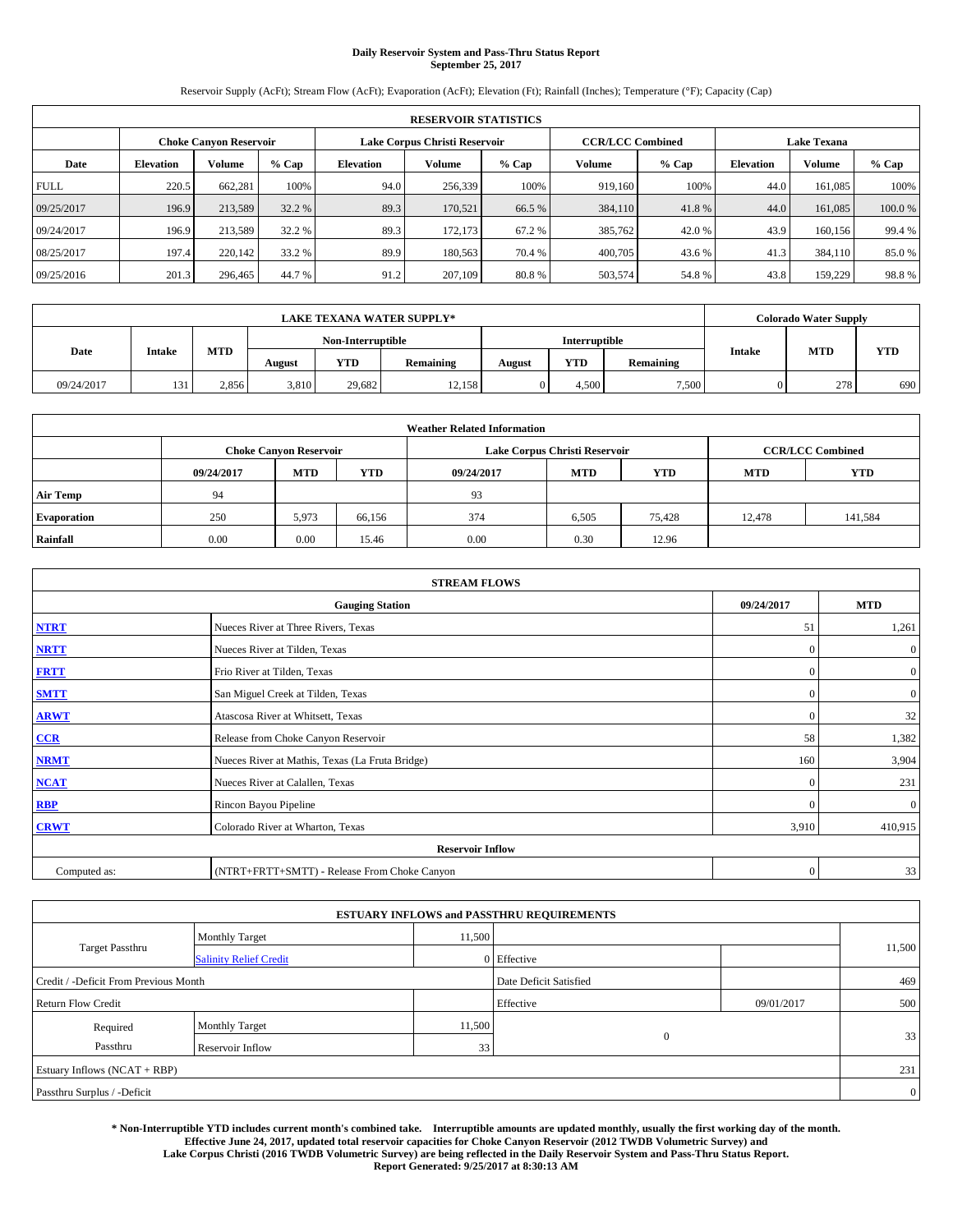# **Daily Reservoir System and Pass-Thru Status Report September 25, 2017**

Reservoir Supply (AcFt); Stream Flow (AcFt); Evaporation (AcFt); Elevation (Ft); Rainfall (Inches); Temperature (°F); Capacity (Cap)

|             | <b>RESERVOIR STATISTICS</b> |                               |         |                  |                               |         |                         |         |                    |               |        |  |
|-------------|-----------------------------|-------------------------------|---------|------------------|-------------------------------|---------|-------------------------|---------|--------------------|---------------|--------|--|
|             |                             | <b>Choke Canyon Reservoir</b> |         |                  | Lake Corpus Christi Reservoir |         | <b>CCR/LCC Combined</b> |         | <b>Lake Texana</b> |               |        |  |
| Date        | <b>Elevation</b>            | Volume                        | $%$ Cap | <b>Elevation</b> | Volume                        | $%$ Cap | Volume                  | $%$ Cap | <b>Elevation</b>   | <b>Volume</b> | % Cap  |  |
| <b>FULL</b> | 220.5                       | 662.281                       | 100%    | 94.0             | 256,339                       | 100%    | 919.160                 | 100%    | 44.0               | 161.085       | 100%   |  |
| 09/25/2017  | 196.9                       | 213,589                       | 32.2 %  | 89.3             | 170,521                       | 66.5 %  | 384,110                 | 41.8%   | 44.0               | 161,085       | 100.0% |  |
| 09/24/2017  | 196.9                       | 213,589                       | 32.2 %  | 89.3             | 172,173                       | 67.2 %  | 385,762                 | 42.0 %  | 43.9               | 160.156       | 99.4 % |  |
| 08/25/2017  | 197.4                       | 220,142                       | 33.2 %  | 89.9             | 180,563                       | 70.4 %  | 400,705                 | 43.6 %  | 41.3               | 384,110       | 85.0%  |  |
| 09/25/2016  | 201.3                       | 296,465                       | 44.7 %  | 91.2             | 207,109                       | 80.8%   | 503,574                 | 54.8%   | 43.8               | 159,229       | 98.8%  |  |

|            | <b>LAKE TEXANA WATER SUPPLY*</b> |            |                   |               |           |        |            |           |               | <b>Colorado Water Supply</b> |            |
|------------|----------------------------------|------------|-------------------|---------------|-----------|--------|------------|-----------|---------------|------------------------------|------------|
|            |                                  |            | Non-Interruptible | Interruptible |           |        |            |           |               |                              |            |
| Date       | <b>Intake</b>                    | <b>MTD</b> | August            | YTD           | Remaining | August | <b>YTD</b> | Remaining | <b>Intake</b> | MTD                          | <b>YTD</b> |
| 09/24/2017 | 131                              | 2,856      | 3,810             | 29.682        | 12.158    |        | 4.500      | 7,500     |               | 278                          | 690        |

| <b>Weather Related Information</b> |            |                               |            |            |                               |                         |            |            |  |  |
|------------------------------------|------------|-------------------------------|------------|------------|-------------------------------|-------------------------|------------|------------|--|--|
|                                    |            | <b>Choke Canyon Reservoir</b> |            |            | Lake Corpus Christi Reservoir | <b>CCR/LCC Combined</b> |            |            |  |  |
|                                    | 09/24/2017 | <b>MTD</b>                    | <b>YTD</b> | 09/24/2017 | <b>MTD</b>                    | <b>YTD</b>              | <b>MTD</b> | <b>YTD</b> |  |  |
| <b>Air Temp</b>                    | 94         |                               |            | 93         |                               |                         |            |            |  |  |
| <b>Evaporation</b>                 | 250        | 5.973                         | 66.156     | 374        | 6,505                         | 75,428                  | 12.478     | 141,584    |  |  |
| Rainfall                           | 0.00       | 0.00                          | 15.46      | 0.00       | 0.30                          | 12.96                   |            |            |  |  |

|              | <b>STREAM FLOWS</b>                             |              |                  |  |  |  |  |  |  |
|--------------|-------------------------------------------------|--------------|------------------|--|--|--|--|--|--|
|              | <b>Gauging Station</b>                          | 09/24/2017   | <b>MTD</b>       |  |  |  |  |  |  |
| <b>NTRT</b>  | Nueces River at Three Rivers, Texas             | 51           | 1,261            |  |  |  |  |  |  |
| <b>NRTT</b>  | Nueces River at Tilden, Texas                   | $\mathbf{0}$ | $\mathbf{0}$     |  |  |  |  |  |  |
| <b>FRTT</b>  | Frio River at Tilden, Texas                     | $\mathbf{0}$ | $\boldsymbol{0}$ |  |  |  |  |  |  |
| <b>SMTT</b>  | San Miguel Creek at Tilden, Texas               | $\mathbf{0}$ | $\boldsymbol{0}$ |  |  |  |  |  |  |
| <b>ARWT</b>  | Atascosa River at Whitsett, Texas               | $\mathbf{0}$ | 32               |  |  |  |  |  |  |
| $CCR$        | Release from Choke Canyon Reservoir             | 58           | 1,382            |  |  |  |  |  |  |
| <b>NRMT</b>  | Nueces River at Mathis, Texas (La Fruta Bridge) | 160          | 3,904            |  |  |  |  |  |  |
| <b>NCAT</b>  | Nueces River at Calallen, Texas                 | $\mathbf{0}$ | 231              |  |  |  |  |  |  |
| RBP          | Rincon Bayou Pipeline                           | $\Omega$     | $\mathbf{0}$     |  |  |  |  |  |  |
| <b>CRWT</b>  | Colorado River at Wharton, Texas                | 3,910        | 410,915          |  |  |  |  |  |  |
|              | <b>Reservoir Inflow</b>                         |              |                  |  |  |  |  |  |  |
| Computed as: | (NTRT+FRTT+SMTT) - Release From Choke Canyon    | $\mathbf{0}$ | 33               |  |  |  |  |  |  |

| <b>ESTUARY INFLOWS and PASSTHRU REQUIREMENTS</b> |                               |                 |                        |              |        |  |  |  |  |  |
|--------------------------------------------------|-------------------------------|-----------------|------------------------|--------------|--------|--|--|--|--|--|
|                                                  | <b>Monthly Target</b>         | 11,500          |                        |              |        |  |  |  |  |  |
| <b>Target Passthru</b>                           | <b>Salinity Relief Credit</b> |                 | 0 Effective            |              | 11,500 |  |  |  |  |  |
| Credit / -Deficit From Previous Month            |                               |                 | Date Deficit Satisfied | 469          |        |  |  |  |  |  |
| <b>Return Flow Credit</b>                        |                               |                 | Effective              | 09/01/2017   | 500    |  |  |  |  |  |
| Required                                         | <b>Monthly Target</b>         | 11,500          |                        |              |        |  |  |  |  |  |
| Passthru                                         | <b>Reservoir Inflow</b>       | 33 <sub>1</sub> |                        | $\mathbf{0}$ | 33     |  |  |  |  |  |
| Estuary Inflows $(NCAT + RBP)$                   |                               |                 |                        |              | 231    |  |  |  |  |  |
| Passthru Surplus / -Deficit                      |                               |                 |                        |              |        |  |  |  |  |  |

**\* Non-Interruptible YTD includes current month's combined take. Interruptible amounts are updated monthly, usually the first working day of the month. Effective June 24, 2017, updated total reservoir capacities for Choke Canyon Reservoir (2012 TWDB Volumetric Survey) and Lake Corpus Christi (2016 TWDB Volumetric Survey) are being reflected in the Daily Reservoir System and Pass-Thru Status Report. Report Generated: 9/25/2017 at 8:30:13 AM**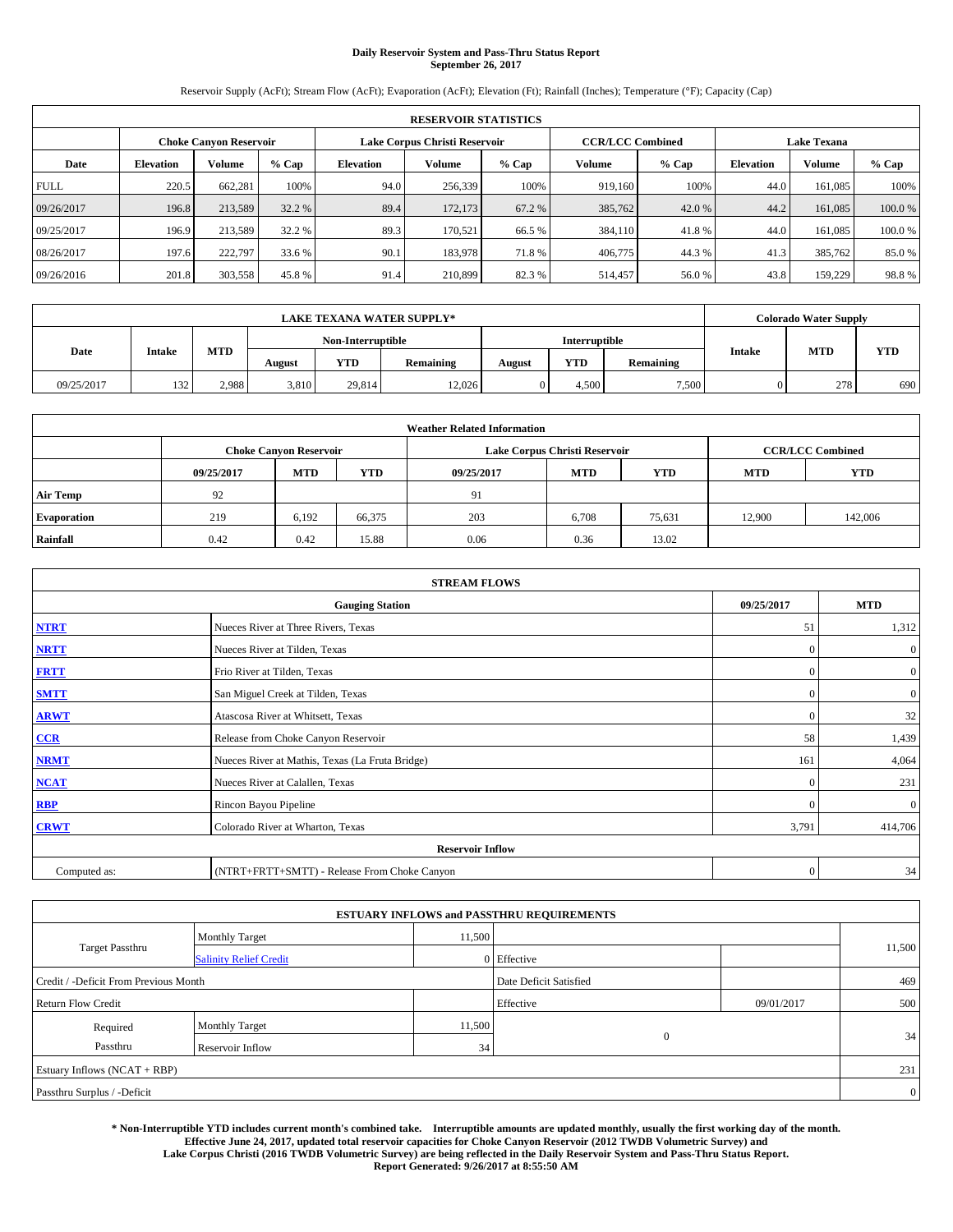# **Daily Reservoir System and Pass-Thru Status Report September 26, 2017**

Reservoir Supply (AcFt); Stream Flow (AcFt); Evaporation (AcFt); Elevation (Ft); Rainfall (Inches); Temperature (°F); Capacity (Cap)

|             | <b>RESERVOIR STATISTICS</b> |                               |         |                  |                                                          |         |         |         |                    |               |        |  |
|-------------|-----------------------------|-------------------------------|---------|------------------|----------------------------------------------------------|---------|---------|---------|--------------------|---------------|--------|--|
|             |                             | <b>Choke Canyon Reservoir</b> |         |                  | Lake Corpus Christi Reservoir<br><b>CCR/LCC Combined</b> |         |         |         | <b>Lake Texana</b> |               |        |  |
| Date        | <b>Elevation</b>            | Volume                        | $%$ Cap | <b>Elevation</b> | Volume                                                   | $%$ Cap | Volume  | $%$ Cap | <b>Elevation</b>   | <b>Volume</b> | % Cap  |  |
| <b>FULL</b> | 220.5                       | 662.281                       | 100%    | 94.0             | 256,339                                                  | 100%    | 919.160 | 100%    | 44.0               | 161.085       | 100%   |  |
| 09/26/2017  | 196.8                       | 213,589                       | 32.2 %  | 89.4             | 172,173                                                  | 67.2 %  | 385,762 | 42.0 %  | 44.2               | 161,085       | 100.0% |  |
| 09/25/2017  | 196.9                       | 213,589                       | 32.2 %  | 89.3             | 170.521                                                  | 66.5 %  | 384,110 | 41.8%   | 44.0               | 161.085       | 100.0% |  |
| 08/26/2017  | 197.6                       | 222,797                       | 33.6 %  | 90.1             | 183,978                                                  | 71.8%   | 406,775 | 44.3 %  | 41.3               | 385,762       | 85.0%  |  |
| 09/26/2016  | 201.8                       | 303,558                       | 45.8%   | 91.4             | 210,899                                                  | 82.3%   | 514,457 | 56.0%   | 43.8               | 159,229       | 98.8%  |  |

|            | <b>LAKE TEXANA WATER SUPPLY*</b> |            |        |                   |           |        |               |           |               | <b>Colorado Water Supply</b> |            |
|------------|----------------------------------|------------|--------|-------------------|-----------|--------|---------------|-----------|---------------|------------------------------|------------|
|            |                                  |            |        | Non-Interruptible |           |        | Interruptible |           |               |                              |            |
| Date       | <b>Intake</b>                    | <b>MTD</b> | August | YTD               | Remaining | August | <b>YTD</b>    | Remaining | <b>Intake</b> | MTD                          | <b>YTD</b> |
| 09/25/2017 | 132                              | 2.988      | 3,810  | 29.814            | 12.026    |        | 4.500         | 7.500     |               | 278                          | 690        |

| <b>Weather Related Information</b> |            |                               |            |            |                               |                         |            |            |  |  |  |
|------------------------------------|------------|-------------------------------|------------|------------|-------------------------------|-------------------------|------------|------------|--|--|--|
|                                    |            | <b>Choke Canyon Reservoir</b> |            |            | Lake Corpus Christi Reservoir | <b>CCR/LCC Combined</b> |            |            |  |  |  |
|                                    | 09/25/2017 | <b>MTD</b>                    | <b>YTD</b> | 09/25/2017 | <b>MTD</b>                    | <b>YTD</b>              | <b>MTD</b> | <b>YTD</b> |  |  |  |
| <b>Air Temp</b>                    | 92         |                               |            | 91         |                               |                         |            |            |  |  |  |
| <b>Evaporation</b>                 | 219        | 6.192                         | 66,375     | 203        | 6,708                         | 75,631                  | 12.900     | 142,006    |  |  |  |
| Rainfall                           | 0.42       | 0.42                          | 15.88      | 0.06       | 0.36                          | 13.02                   |            |            |  |  |  |

|              | <b>STREAM FLOWS</b>                             |              |                |  |  |  |  |  |  |
|--------------|-------------------------------------------------|--------------|----------------|--|--|--|--|--|--|
|              | 09/25/2017                                      | <b>MTD</b>   |                |  |  |  |  |  |  |
| <b>NTRT</b>  | Nueces River at Three Rivers, Texas             | 51           | 1,312          |  |  |  |  |  |  |
| <b>NRTT</b>  | Nueces River at Tilden, Texas                   | $\Omega$     | $\mathbf{0}$   |  |  |  |  |  |  |
| <b>FRTT</b>  | Frio River at Tilden, Texas                     | $\mathbf{0}$ | $\mathbf{0}$   |  |  |  |  |  |  |
| <b>SMTT</b>  | San Miguel Creek at Tilden, Texas               | $\mathbf{0}$ | $\overline{0}$ |  |  |  |  |  |  |
| <b>ARWT</b>  | Atascosa River at Whitsett, Texas               | $\Omega$     | 32             |  |  |  |  |  |  |
| CCR          | Release from Choke Canyon Reservoir             | 58           | 1,439          |  |  |  |  |  |  |
| <b>NRMT</b>  | Nueces River at Mathis, Texas (La Fruta Bridge) | 161          | 4,064          |  |  |  |  |  |  |
| <b>NCAT</b>  | Nueces River at Calallen, Texas                 | $\Omega$     | 231            |  |  |  |  |  |  |
| <b>RBP</b>   | Rincon Bayou Pipeline                           | $\Omega$     | $\mathbf{0}$   |  |  |  |  |  |  |
| <b>CRWT</b>  | Colorado River at Wharton, Texas                | 3,791        | 414,706        |  |  |  |  |  |  |
|              | <b>Reservoir Inflow</b>                         |              |                |  |  |  |  |  |  |
| Computed as: | (NTRT+FRTT+SMTT) - Release From Choke Canyon    | $\Omega$     | 34             |  |  |  |  |  |  |

| <b>ESTUARY INFLOWS and PASSTHRU REQUIREMENTS</b> |                               |                        |             |     |        |  |  |  |  |  |
|--------------------------------------------------|-------------------------------|------------------------|-------------|-----|--------|--|--|--|--|--|
|                                                  | <b>Monthly Target</b>         | 11,500                 |             |     |        |  |  |  |  |  |
| Target Passthru                                  | <b>Salinity Relief Credit</b> |                        | 0 Effective |     | 11,500 |  |  |  |  |  |
| Credit / -Deficit From Previous Month            |                               | Date Deficit Satisfied |             | 469 |        |  |  |  |  |  |
| <b>Return Flow Credit</b>                        |                               | Effective              | 09/01/2017  | 500 |        |  |  |  |  |  |
| Required                                         | <b>Monthly Target</b>         | 11,500                 |             |     |        |  |  |  |  |  |
| Passthru                                         | <b>Reservoir Inflow</b>       | 34 <sub>1</sub>        | $\Omega$    |     | 34     |  |  |  |  |  |
| Estuary Inflows (NCAT + RBP)                     |                               |                        |             |     |        |  |  |  |  |  |
| Passthru Surplus / -Deficit                      |                               |                        |             |     |        |  |  |  |  |  |

**\* Non-Interruptible YTD includes current month's combined take. Interruptible amounts are updated monthly, usually the first working day of the month. Effective June 24, 2017, updated total reservoir capacities for Choke Canyon Reservoir (2012 TWDB Volumetric Survey) and Lake Corpus Christi (2016 TWDB Volumetric Survey) are being reflected in the Daily Reservoir System and Pass-Thru Status Report. Report Generated: 9/26/2017 at 8:55:50 AM**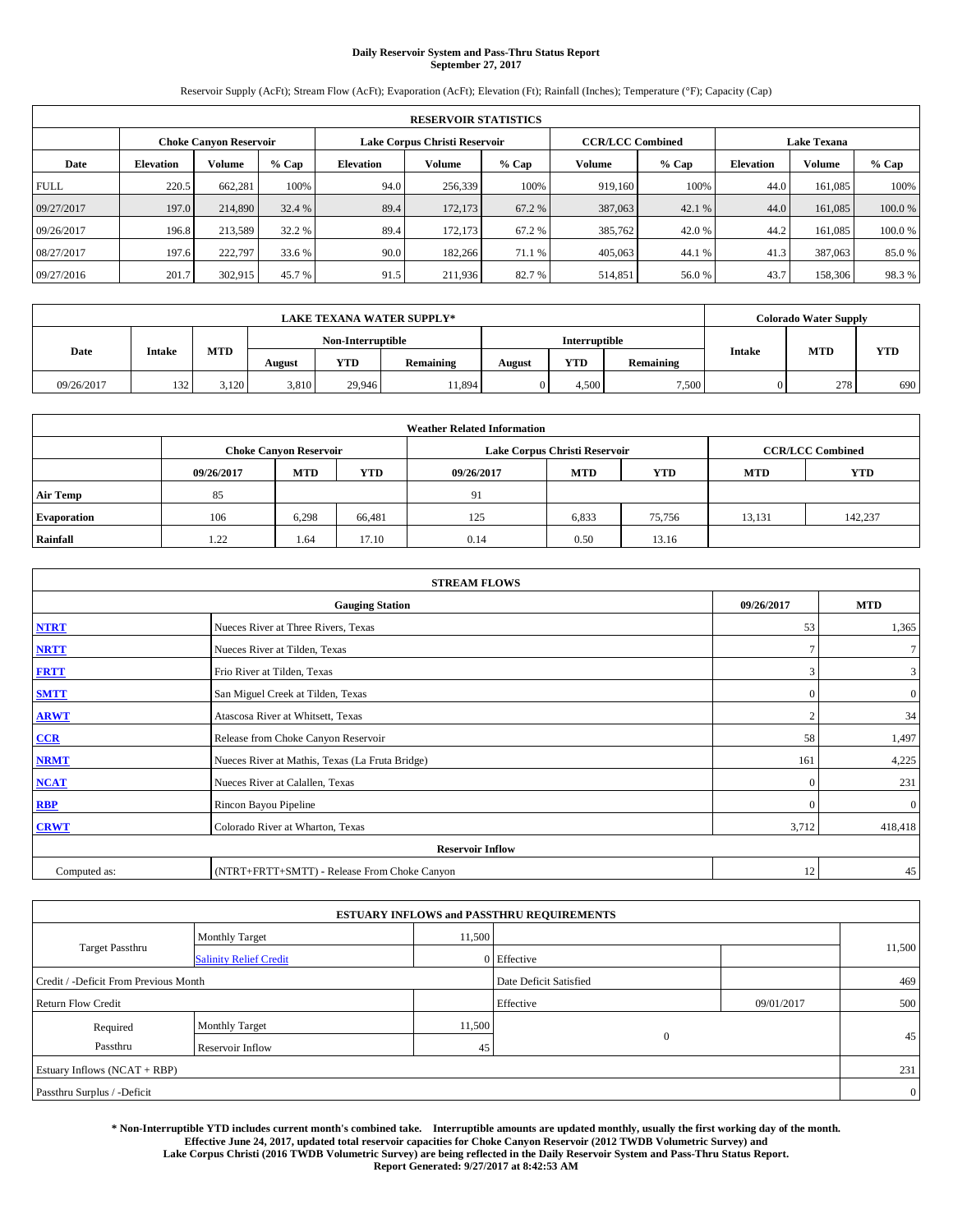# **Daily Reservoir System and Pass-Thru Status Report September 27, 2017**

Reservoir Supply (AcFt); Stream Flow (AcFt); Evaporation (AcFt); Elevation (Ft); Rainfall (Inches); Temperature (°F); Capacity (Cap)

|             | <b>RESERVOIR STATISTICS</b> |         |         |                  |                               |         |                         |         |                    |               |        |
|-------------|-----------------------------|---------|---------|------------------|-------------------------------|---------|-------------------------|---------|--------------------|---------------|--------|
|             | Choke Canvon Reservoir      |         |         |                  | Lake Corpus Christi Reservoir |         | <b>CCR/LCC Combined</b> |         | <b>Lake Texana</b> |               |        |
| Date        | <b>Elevation</b>            | Volume  | $%$ Cap | <b>Elevation</b> | Volume                        | $%$ Cap | <b>Volume</b>           | $%$ Cap | <b>Elevation</b>   | <b>Volume</b> | % Cap  |
| <b>FULL</b> | 220.5                       | 662,281 | 100%    | 94.0             | 256,339                       | 100%    | 919.160                 | 100%    | 44.0               | 161.085       | 100%   |
| 09/27/2017  | 197.0                       | 214,890 | 32.4 %  | 89.4             | 172,173                       | 67.2 %  | 387,063                 | 42.1 %  | 44.0               | 161,085       | 100.0% |
| 09/26/2017  | 196.8                       | 213,589 | 32.2 %  | 89.4             | 172,173                       | 67.2 %  | 385,762                 | 42.0 %  | 44.2               | 161.085       | 100.0% |
| 08/27/2017  | 197.6                       | 222,797 | 33.6 %  | 90.0             | 182,266                       | 71.1 %  | 405,063                 | 44.1 %  | 41.3               | 387,063       | 85.0 % |
| 09/27/2016  | 201.7                       | 302,915 | 45.7 %  | 91.5             | 211,936                       | 82.7 %  | 514,851                 | 56.0%   | 43.7               | 158,306       | 98.3%  |

|            |               |       |        |                   | <b>LAKE TEXANA WATER SUPPLY*</b> |               |            |           |               | <b>Colorado Water Supply</b> |            |
|------------|---------------|-------|--------|-------------------|----------------------------------|---------------|------------|-----------|---------------|------------------------------|------------|
|            |               |       |        | Non-Interruptible |                                  | Interruptible |            |           |               |                              |            |
| Date       | <b>Intake</b> | MTD   | August | YTD               | Remaining                        | August        | <b>YTD</b> | Remaining | <b>Intake</b> | <b>MTD</b>                   | <b>YTD</b> |
| 09/26/2017 | 132           | 3,120 | 3,810  | 29,946            | 11,894                           |               | 4.500      | 7,500     |               | 278                          | 690        |

| <b>Weather Related Information</b> |            |                               |            |            |                                                      |                         |        |         |  |
|------------------------------------|------------|-------------------------------|------------|------------|------------------------------------------------------|-------------------------|--------|---------|--|
|                                    |            | <b>Choke Canyon Reservoir</b> |            |            | Lake Corpus Christi Reservoir                        | <b>CCR/LCC Combined</b> |        |         |  |
|                                    | 09/26/2017 | <b>MTD</b>                    | <b>YTD</b> | 09/26/2017 | <b>YTD</b><br><b>MTD</b><br><b>YTD</b><br><b>MTD</b> |                         |        |         |  |
| <b>Air Temp</b>                    | 85         |                               |            | 91         |                                                      |                         |        |         |  |
| <b>Evaporation</b>                 | 106        | 6.298                         | 66,481     | 125        | 6,833                                                | 75,756                  | 13,131 | 142,237 |  |
| Rainfall                           | 1.22       | 1.64                          | 17.10      | 0.14       | 0.50                                                 | 13.16                   |        |         |  |

| <b>STREAM FLOWS</b> |                                                 |                |                |  |  |  |  |  |  |
|---------------------|-------------------------------------------------|----------------|----------------|--|--|--|--|--|--|
|                     | 09/26/2017                                      | <b>MTD</b>     |                |  |  |  |  |  |  |
| <b>NTRT</b>         | Nueces River at Three Rivers, Texas             | 53             | 1,365          |  |  |  |  |  |  |
| <b>NRTT</b>         | Nueces River at Tilden, Texas                   | $\mathcal{L}$  | $\tau$         |  |  |  |  |  |  |
| <b>FRTT</b>         | Frio River at Tilden, Texas                     | 3              | 3              |  |  |  |  |  |  |
| <b>SMTT</b>         | San Miguel Creek at Tilden, Texas               | $\mathbf{0}$   | $\overline{0}$ |  |  |  |  |  |  |
| <b>ARWT</b>         | Atascosa River at Whitsett, Texas               | $\overline{2}$ | 34             |  |  |  |  |  |  |
| $CCR$               | Release from Choke Canyon Reservoir             | 58             | 1,497          |  |  |  |  |  |  |
| <b>NRMT</b>         | Nueces River at Mathis, Texas (La Fruta Bridge) | 161            | 4,225          |  |  |  |  |  |  |
| <b>NCAT</b>         | Nueces River at Calallen, Texas                 | $\Omega$       | 231            |  |  |  |  |  |  |
| <b>RBP</b>          | Rincon Bayou Pipeline                           | $\mathbf{0}$   | $\mathbf{0}$   |  |  |  |  |  |  |
| <b>CRWT</b>         | Colorado River at Wharton, Texas                | 3,712          | 418,418        |  |  |  |  |  |  |
|                     | <b>Reservoir Inflow</b>                         |                |                |  |  |  |  |  |  |
| Computed as:        | (NTRT+FRTT+SMTT) - Release From Choke Canyon    | 12             | 45             |  |  |  |  |  |  |

|                                       |                               |                        | <b>ESTUARY INFLOWS and PASSTHRU REQUIREMENTS</b> |            |                |  |  |  |
|---------------------------------------|-------------------------------|------------------------|--------------------------------------------------|------------|----------------|--|--|--|
|                                       | <b>Monthly Target</b>         | 11,500                 |                                                  |            |                |  |  |  |
| Target Passthru                       | <b>Salinity Relief Credit</b> |                        | 0 Effective                                      |            | 11,500         |  |  |  |
| Credit / -Deficit From Previous Month |                               | Date Deficit Satisfied |                                                  | 469        |                |  |  |  |
| <b>Return Flow Credit</b>             |                               |                        | Effective                                        | 09/01/2017 | 500            |  |  |  |
| Required                              | <b>Monthly Target</b>         | 11,500                 |                                                  |            |                |  |  |  |
| Passthru                              | <b>Reservoir Inflow</b>       | 45                     | $\Omega$                                         |            | 45             |  |  |  |
| Estuary Inflows (NCAT + RBP)          |                               |                        |                                                  |            |                |  |  |  |
| Passthru Surplus / -Deficit           |                               |                        |                                                  |            | $\overline{0}$ |  |  |  |

**\* Non-Interruptible YTD includes current month's combined take. Interruptible amounts are updated monthly, usually the first working day of the month. Effective June 24, 2017, updated total reservoir capacities for Choke Canyon Reservoir (2012 TWDB Volumetric Survey) and Lake Corpus Christi (2016 TWDB Volumetric Survey) are being reflected in the Daily Reservoir System and Pass-Thru Status Report. Report Generated: 9/27/2017 at 8:42:53 AM**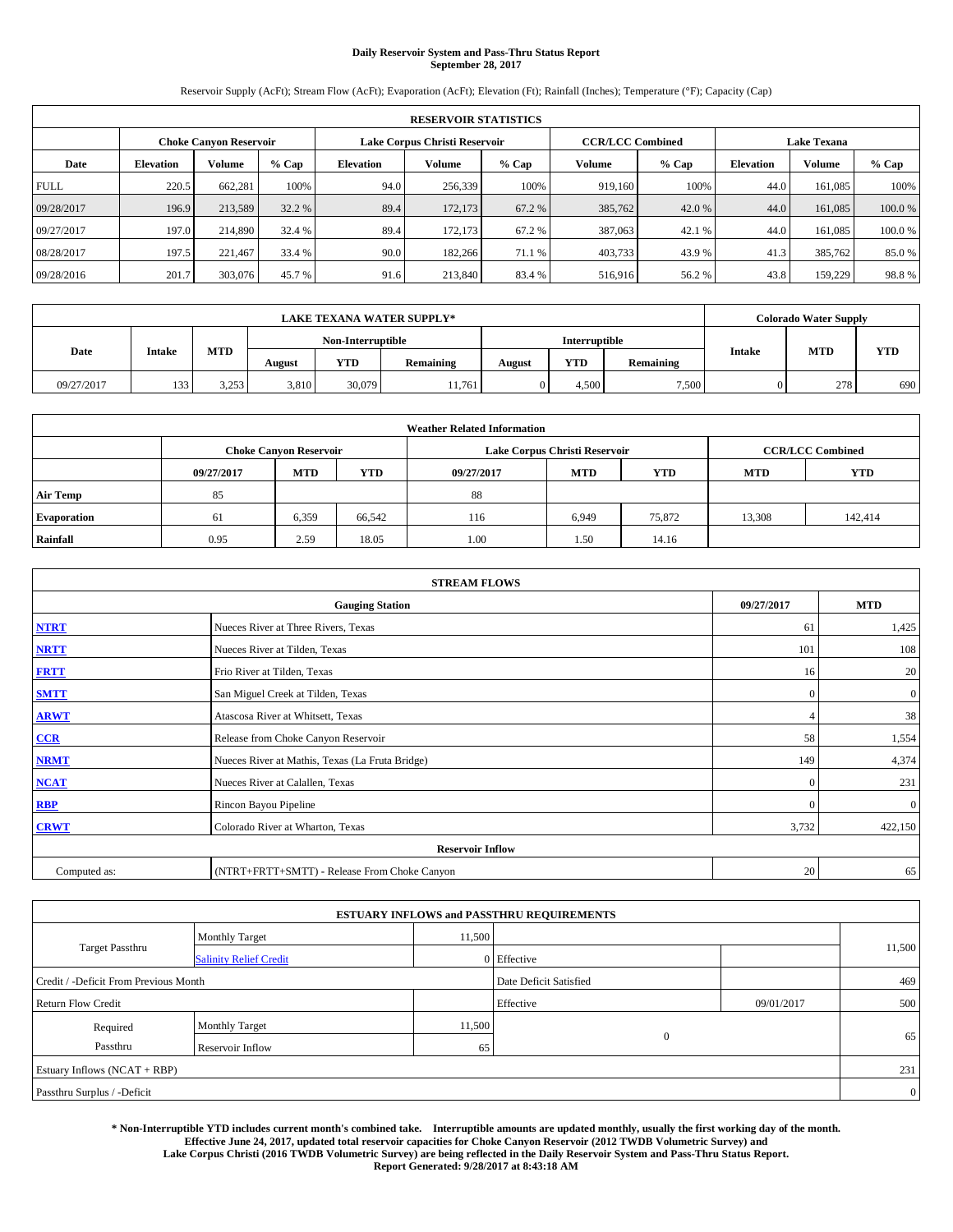# **Daily Reservoir System and Pass-Thru Status Report September 28, 2017**

Reservoir Supply (AcFt); Stream Flow (AcFt); Evaporation (AcFt); Elevation (Ft); Rainfall (Inches); Temperature (°F); Capacity (Cap)

| <b>RESERVOIR STATISTICS</b> |                  |                               |         |                  |                               |         |                         |         |                  |                    |        |  |
|-----------------------------|------------------|-------------------------------|---------|------------------|-------------------------------|---------|-------------------------|---------|------------------|--------------------|--------|--|
|                             |                  | <b>Choke Canyon Reservoir</b> |         |                  | Lake Corpus Christi Reservoir |         | <b>CCR/LCC Combined</b> |         |                  | <b>Lake Texana</b> |        |  |
| Date                        | <b>Elevation</b> | Volume                        | $%$ Cap | <b>Elevation</b> | Volume                        | $%$ Cap | Volume                  | $%$ Cap | <b>Elevation</b> | <b>Volume</b>      | % Cap  |  |
| <b>FULL</b>                 | 220.5            | 662.281                       | 100%    | 94.0             | 256,339                       | 100%    | 919.160                 | 100%    | 44.0             | 161.085            | 100%   |  |
| 09/28/2017                  | 196.9            | 213,589                       | 32.2 %  | 89.4             | 172,173                       | 67.2 %  | 385,762                 | 42.0 %  | 44.0             | 161,085            | 100.0% |  |
| 09/27/2017                  | 197.0            | 214,890                       | 32.4 %  | 89.4             | 172,173                       | 67.2 %  | 387,063                 | 42.1 %  | 44.0             | 161.085            | 100.0% |  |
| 08/28/2017                  | 197.5            | 221.467                       | 33.4 %  | 90.0             | 182,266                       | 71.1 %  | 403,733                 | 43.9 %  | 41.3             | 385,762            | 85.0%  |  |
| 09/28/2016                  | 201.7            | 303,076                       | 45.7 %  | 91.6             | 213,840                       | 83.4 %  | 516,916                 | 56.2%   | 43.8             | 159,229            | 98.8%  |  |

| <b>LAKE TEXANA WATER SUPPLY*</b> |               |            |        |                   |           |        |               |           |               | <b>Colorado Water Supply</b> |            |
|----------------------------------|---------------|------------|--------|-------------------|-----------|--------|---------------|-----------|---------------|------------------------------|------------|
|                                  |               |            |        | Non-Interruptible |           |        | Interruptible |           |               |                              |            |
| Date                             | <b>Intake</b> | <b>MTD</b> | August | YTD               | Remaining | August | <b>YTD</b>    | Remaining | <b>Intake</b> | MTD                          | <b>YTD</b> |
| 09/27/2017                       | 133           | 3,253      | 3,810  | 30.079            | 11.761    |        | 4.500         | 7,500     |               | 278                          | 690        |

| <b>Weather Related Information</b> |            |                               |            |            |                                                      |                         |        |         |  |  |
|------------------------------------|------------|-------------------------------|------------|------------|------------------------------------------------------|-------------------------|--------|---------|--|--|
|                                    |            | <b>Choke Canyon Reservoir</b> |            |            | Lake Corpus Christi Reservoir                        | <b>CCR/LCC Combined</b> |        |         |  |  |
|                                    | 09/27/2017 | <b>MTD</b>                    | <b>YTD</b> | 09/27/2017 | <b>YTD</b><br><b>MTD</b><br><b>MTD</b><br><b>YTD</b> |                         |        |         |  |  |
| <b>Air Temp</b>                    | 85         |                               |            | 88         |                                                      |                         |        |         |  |  |
| <b>Evaporation</b>                 | 61         | 6,359                         | 66,542     | 116        | 6,949                                                | 75,872                  | 13,308 | 142,414 |  |  |
| Rainfall                           | 0.95       | 2.59                          | 18.05      | 1.00       | 1.50                                                 | 14.16                   |        |         |  |  |

| <b>STREAM FLOWS</b> |                                                 |              |              |  |  |  |  |  |
|---------------------|-------------------------------------------------|--------------|--------------|--|--|--|--|--|
|                     | 09/27/2017                                      | <b>MTD</b>   |              |  |  |  |  |  |
| <b>NTRT</b>         | Nueces River at Three Rivers, Texas             | -61          | 1,425        |  |  |  |  |  |
| <b>NRTT</b>         | Nueces River at Tilden, Texas                   | 101          | 108          |  |  |  |  |  |
| <b>FRTT</b>         | Frio River at Tilden, Texas                     | 16           | 20           |  |  |  |  |  |
| <b>SMTT</b>         | San Miguel Creek at Tilden, Texas               | $\mathbf{0}$ | $\mathbf{0}$ |  |  |  |  |  |
| <b>ARWT</b>         | Atascosa River at Whitsett, Texas               |              | 38           |  |  |  |  |  |
| $CCR$               | Release from Choke Canyon Reservoir             | 58           | 1,554        |  |  |  |  |  |
| <b>NRMT</b>         | Nueces River at Mathis, Texas (La Fruta Bridge) | 149          | 4,374        |  |  |  |  |  |
| <b>NCAT</b>         | Nueces River at Calallen, Texas                 | $\mathbf{0}$ | 231          |  |  |  |  |  |
| RBP                 | Rincon Bayou Pipeline                           | $\Omega$     | $\mathbf{0}$ |  |  |  |  |  |
| <b>CRWT</b>         | Colorado River at Wharton, Texas                | 3,732        | 422,150      |  |  |  |  |  |
|                     |                                                 |              |              |  |  |  |  |  |
| Computed as:        | (NTRT+FRTT+SMTT) - Release From Choke Canyon    | 20           | 65           |  |  |  |  |  |

|                                       |                               | <b>ESTUARY INFLOWS and PASSTHRU REQUIREMENTS</b> |                        |              |                |
|---------------------------------------|-------------------------------|--------------------------------------------------|------------------------|--------------|----------------|
|                                       | <b>Monthly Target</b>         | 11,500                                           |                        |              |                |
| <b>Target Passthru</b>                | <b>Salinity Relief Credit</b> |                                                  | 0 Effective            |              | 11,500         |
| Credit / -Deficit From Previous Month |                               |                                                  | Date Deficit Satisfied |              | 469            |
| <b>Return Flow Credit</b>             |                               |                                                  | Effective              | 09/01/2017   | 500            |
| Required                              | <b>Monthly Target</b>         | 11,500                                           |                        |              |                |
| Passthru                              | <b>Reservoir Inflow</b>       | 65                                               |                        | $\mathbf{0}$ | 65             |
| Estuary Inflows $(NCAT + RBP)$        |                               |                                                  |                        |              | 231            |
| Passthru Surplus / -Deficit           |                               |                                                  |                        |              | $\overline{0}$ |

**\* Non-Interruptible YTD includes current month's combined take. Interruptible amounts are updated monthly, usually the first working day of the month. Effective June 24, 2017, updated total reservoir capacities for Choke Canyon Reservoir (2012 TWDB Volumetric Survey) and Lake Corpus Christi (2016 TWDB Volumetric Survey) are being reflected in the Daily Reservoir System and Pass-Thru Status Report. Report Generated: 9/28/2017 at 8:43:18 AM**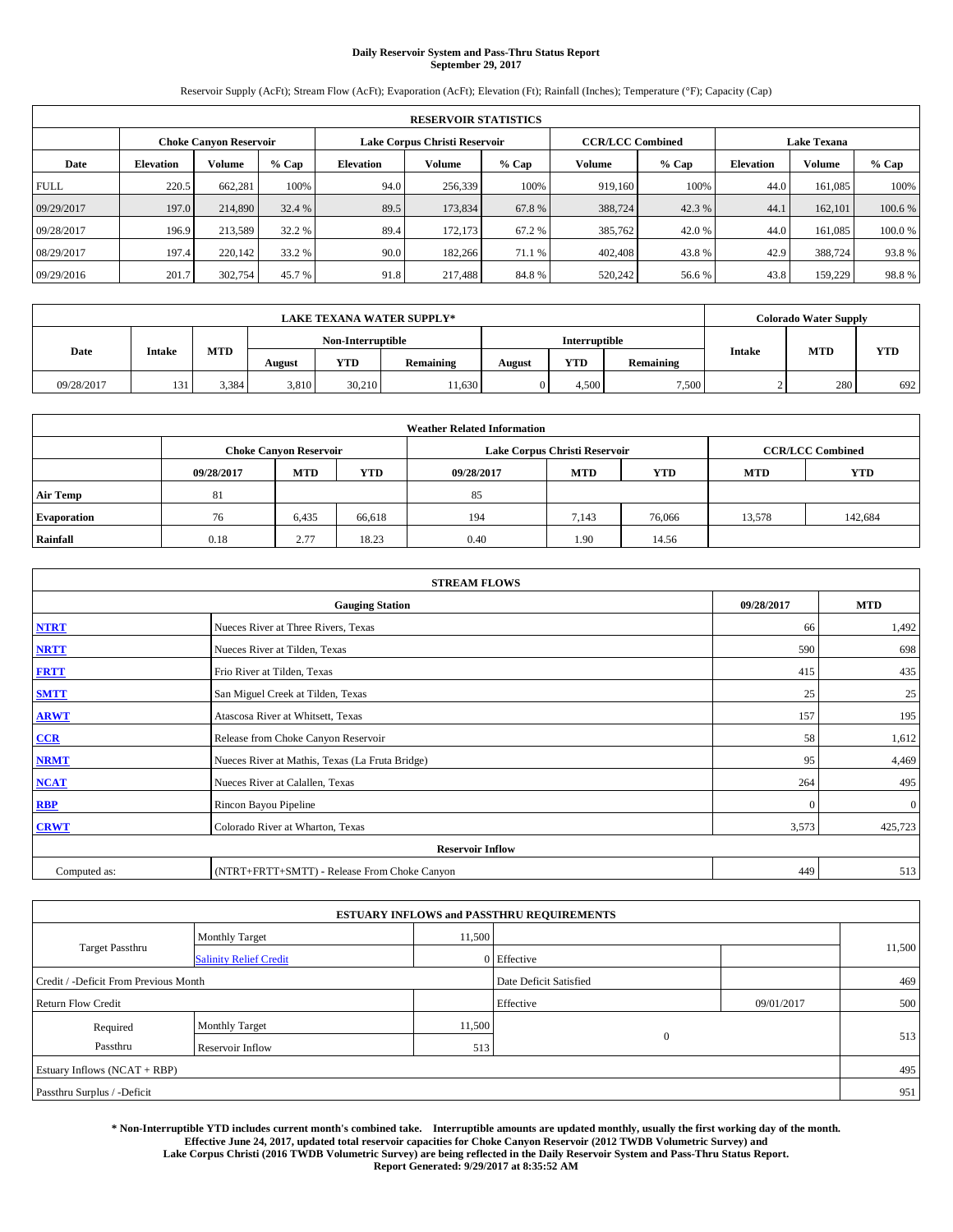# **Daily Reservoir System and Pass-Thru Status Report September 29, 2017**

Reservoir Supply (AcFt); Stream Flow (AcFt); Evaporation (AcFt); Elevation (Ft); Rainfall (Inches); Temperature (°F); Capacity (Cap)

|             | <b>RESERVOIR STATISTICS</b> |                               |         |                  |                               |         |                         |         |                  |                    |        |  |
|-------------|-----------------------------|-------------------------------|---------|------------------|-------------------------------|---------|-------------------------|---------|------------------|--------------------|--------|--|
|             |                             | <b>Choke Canyon Reservoir</b> |         |                  | Lake Corpus Christi Reservoir |         | <b>CCR/LCC Combined</b> |         |                  | <b>Lake Texana</b> |        |  |
| Date        | <b>Elevation</b>            | Volume                        | $%$ Cap | <b>Elevation</b> | Volume                        | $%$ Cap | Volume                  | $%$ Cap | <b>Elevation</b> | <b>Volume</b>      | % Cap  |  |
| <b>FULL</b> | 220.5                       | 662.281                       | 100%    | 94.0             | 256,339                       | 100%    | 919.160                 | 100%    | 44.0             | 161.085            | 100%   |  |
| 09/29/2017  | 197.0                       | 214,890                       | 32.4 %  | 89.5             | 173,834                       | 67.8%   | 388,724                 | 42.3 %  | 44.1             | 162,101            | 100.6% |  |
| 09/28/2017  | 196.9                       | 213,589                       | 32.2 %  | 89.4             | 172,173                       | 67.2 %  | 385,762                 | 42.0 %  | 44.0             | 161.085            | 100.0% |  |
| 08/29/2017  | 197.4                       | 220,142                       | 33.2 %  | 90.0             | 182,266                       | 71.1 %  | 402,408                 | 43.8%   | 42.9             | 388,724            | 93.8%  |  |
| 09/29/2016  | 201.7                       | 302,754                       | 45.7 %  | 91.8             | 217,488                       | 84.8%   | 520,242                 | 56.6%   | 43.8             | 159,229            | 98.8%  |  |

| <b>LAKE TEXANA WATER SUPPLY*</b> |               |       |        |                   |           |        |               |           | <b>Colorado Water Supply</b> |            |
|----------------------------------|---------------|-------|--------|-------------------|-----------|--------|---------------|-----------|------------------------------|------------|
|                                  |               |       |        | Non-Interruptible |           |        | Interruptible |           |                              | <b>YTD</b> |
| Date                             | <b>Intake</b> | MTD   | August | YTD               | Remaining | August | <b>YTD</b>    | Remaining | <b>MTD</b><br><b>Intake</b>  |            |
| 09/28/2017                       | 131           | 3.384 | 3,810  | 30.210            | 1,630     |        | 4.500         | 7,500     | 280                          | 692        |

| <b>Weather Related Information</b> |            |                               |            |            |                                                      |                         |        |         |  |  |
|------------------------------------|------------|-------------------------------|------------|------------|------------------------------------------------------|-------------------------|--------|---------|--|--|
|                                    |            | <b>Choke Canyon Reservoir</b> |            |            | Lake Corpus Christi Reservoir                        | <b>CCR/LCC Combined</b> |        |         |  |  |
|                                    | 09/28/2017 | <b>MTD</b>                    | <b>YTD</b> | 09/28/2017 | <b>MTD</b><br><b>YTD</b><br><b>YTD</b><br><b>MTD</b> |                         |        |         |  |  |
| <b>Air Temp</b>                    | 81         |                               |            | 85         |                                                      |                         |        |         |  |  |
| <b>Evaporation</b>                 | 76         | 6.435                         | 66,618     | 194        | 7,143                                                | 76,066                  | 13,578 | 142,684 |  |  |
| Rainfall                           | 0.18       | 2.77                          | 18.23      | 0.40       | 1.90                                                 | 14.56                   |        |         |  |  |

| <b>STREAM FLOWS</b> |                                                 |            |              |  |  |  |  |  |
|---------------------|-------------------------------------------------|------------|--------------|--|--|--|--|--|
|                     | 09/28/2017                                      | <b>MTD</b> |              |  |  |  |  |  |
| <b>NTRT</b>         | Nueces River at Three Rivers, Texas             | 66         | 1,492        |  |  |  |  |  |
| <b>NRTT</b>         | Nueces River at Tilden, Texas                   | 590        | 698          |  |  |  |  |  |
| <b>FRTT</b>         | Frio River at Tilden, Texas                     | 415        | 435          |  |  |  |  |  |
| <b>SMTT</b>         | San Miguel Creek at Tilden, Texas               | 25         | 25           |  |  |  |  |  |
| <b>ARWT</b>         | Atascosa River at Whitsett, Texas               | 157        | 195          |  |  |  |  |  |
| CCR                 | Release from Choke Canyon Reservoir             | 58         | 1,612        |  |  |  |  |  |
| <b>NRMT</b>         | Nueces River at Mathis, Texas (La Fruta Bridge) | 95         | 4,469        |  |  |  |  |  |
| <b>NCAT</b>         | Nueces River at Calallen, Texas                 | 264        | 495          |  |  |  |  |  |
| <b>RBP</b>          | Rincon Bayou Pipeline                           | $\theta$   | $\mathbf{0}$ |  |  |  |  |  |
| <b>CRWT</b>         | Colorado River at Wharton, Texas                | 3,573      | 425,723      |  |  |  |  |  |
|                     |                                                 |            |              |  |  |  |  |  |
| Computed as:        | (NTRT+FRTT+SMTT) - Release From Choke Canyon    | 449        | 513          |  |  |  |  |  |

|                                       |                               | <b>ESTUARY INFLOWS and PASSTHRU REQUIREMENTS</b> |                        |              |            |     |  |
|---------------------------------------|-------------------------------|--------------------------------------------------|------------------------|--------------|------------|-----|--|
|                                       | <b>Monthly Target</b>         | 11,500                                           |                        |              | 11,500     |     |  |
| <b>Target Passthru</b>                | <b>Salinity Relief Credit</b> |                                                  | 0 Effective            |              |            |     |  |
| Credit / -Deficit From Previous Month |                               |                                                  | Date Deficit Satisfied |              |            | 469 |  |
| <b>Return Flow Credit</b>             |                               |                                                  | Effective              |              | 09/01/2017 | 500 |  |
| Required                              | <b>Monthly Target</b>         | 11,500                                           |                        |              |            | 513 |  |
| Passthru                              | <b>Reservoir Inflow</b>       | 513                                              |                        | $\mathbf{0}$ |            |     |  |
| Estuary Inflows $(NCAT + RBP)$        |                               |                                                  |                        |              |            |     |  |
| Passthru Surplus / -Deficit           |                               |                                                  |                        |              |            |     |  |

**\* Non-Interruptible YTD includes current month's combined take. Interruptible amounts are updated monthly, usually the first working day of the month. Effective June 24, 2017, updated total reservoir capacities for Choke Canyon Reservoir (2012 TWDB Volumetric Survey) and Lake Corpus Christi (2016 TWDB Volumetric Survey) are being reflected in the Daily Reservoir System and Pass-Thru Status Report. Report Generated: 9/29/2017 at 8:35:52 AM**